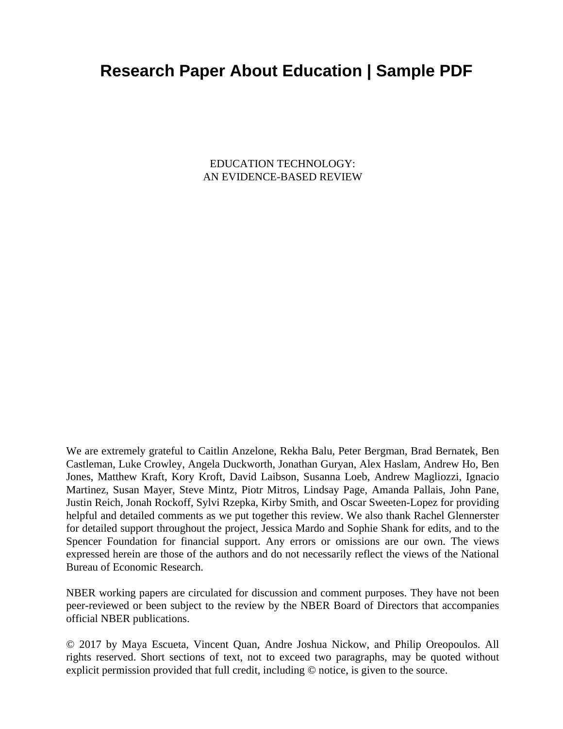# **Research Paper About Education | Sample PDF**

EDUCATION TECHNOLOGY: AN EVIDENCE-BASED REVIEW

We are extremely grateful to Caitlin Anzelone, Rekha Balu, Peter Bergman, Brad Bernatek, Ben Castleman, Luke Crowley, Angela Duckworth, Jonathan Guryan, Alex Haslam, Andrew Ho, Ben Jones, Matthew Kraft, Kory Kroft, David Laibson, Susanna Loeb, Andrew Magliozzi, Ignacio Martinez, Susan Mayer, Steve Mintz, Piotr Mitros, Lindsay Page, Amanda Pallais, John Pane, Justin Reich, Jonah Rockoff, Sylvi Rzepka, Kirby Smith, and Oscar Sweeten-Lopez for providing helpful and detailed comments as we put together this review. We also thank Rachel Glennerster for detailed support throughout the project, Jessica Mardo and Sophie Shank for edits, and to the Spencer Foundation for financial support. Any errors or omissions are our own. The views expressed herein are those of the authors and do not necessarily reflect the views of the National Bureau of Economic Research.

NBER working papers are circulated for discussion and comment purposes. They have not been peer-reviewed or been subject to the review by the NBER Board of Directors that accompanies official NBER publications.

© 2017 by Maya Escueta, Vincent Quan, Andre Joshua Nickow, and Philip Oreopoulos. All rights reserved. Short sections of text, not to exceed two paragraphs, may be quoted without explicit permission provided that full credit, including © notice, is given to the source.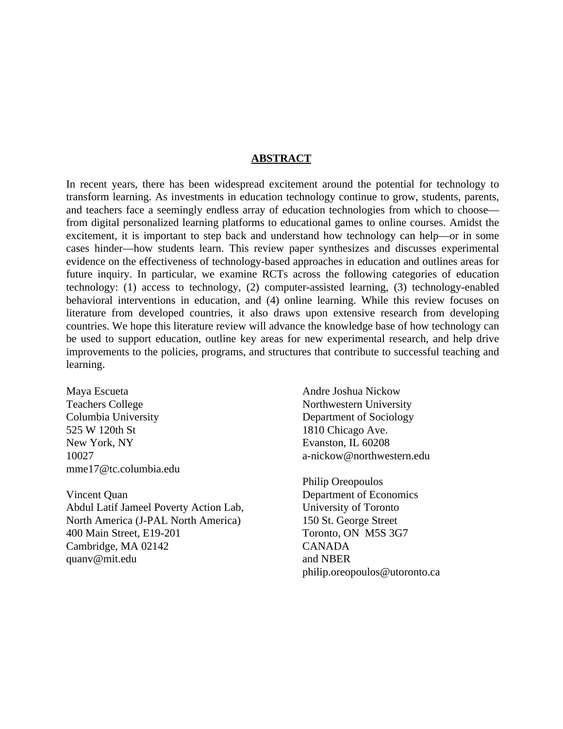#### **ABSTRACT**

In recent years, there has been widespread excitement around the potential for technology to transform learning. As investments in education technology continue to grow, students, parents, and teachers face a seemingly endless array of education technologies from which to choose from digital personalized learning platforms to educational games to online courses. Amidst the excitement, it is important to step back and understand how technology can help—or in some cases hinder—how students learn. This review paper synthesizes and discusses experimental evidence on the effectiveness of technology-based approaches in education and outlines areas for future inquiry. In particular, we examine RCTs across the following categories of education technology: (1) access to technology, (2) computer-assisted learning, (3) technology-enabled behavioral interventions in education, and (4) online learning. While this review focuses on literature from developed countries, it also draws upon extensive research from developing countries. We hope this literature review will advance the knowledge base of how technology can be used to support education, outline key areas for new experimental research, and help drive improvements to the policies, programs, and structures that contribute to successful teaching and learning.

Maya Escueta Teachers College Columbia University 525 W 120th St New York, NY 10027 mme17@tc.columbia.edu

Vincent Quan Abdul Latif Jameel Poverty Action Lab, North America (J-PAL North America) 400 Main Street, E19-201 Cambridge, MA 02142 quanv@mit.edu

Andre Joshua Nickow Northwestern University Department of Sociology 1810 Chicago Ave. Evanston, IL 60208 a-nickow@northwestern.edu

Philip Oreopoulos Department of Economics University of Toronto 150 St. George Street Toronto, ON M5S 3G7 CANADA and NBER philip.oreopoulos@utoronto.ca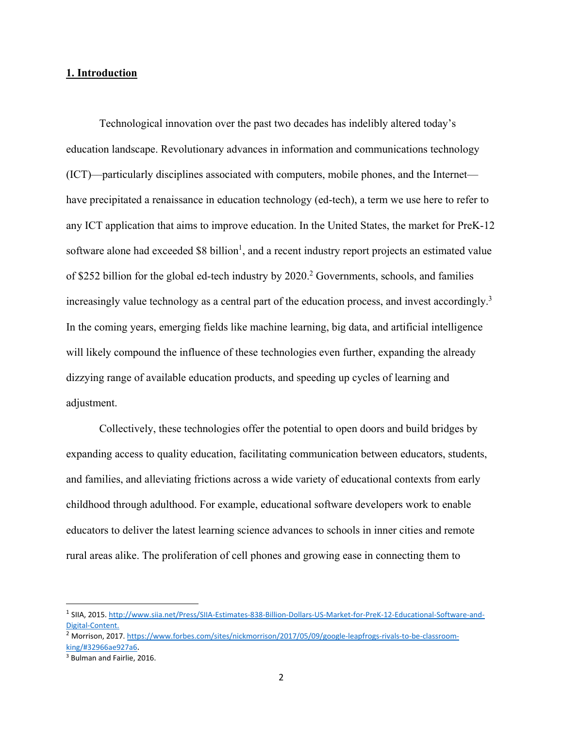## **1. Introduction**

Technological innovation over the past two decades has indelibly altered today's education landscape. Revolutionary advances in information and communications technology (ICT)—particularly disciplines associated with computers, mobile phones, and the Internet have precipitated a renaissance in education technology (ed-tech), a term we use here to refer to any ICT application that aims to improve education. In the United States, the market for PreK-12 software alone had exceeded  $$8$  billion<sup>1</sup>, and a recent industry report projects an estimated value of \$252 billion for the global ed-tech industry by  $2020$ .<sup>2</sup> Governments, schools, and families increasingly value technology as a central part of the education process, and invest accordingly.<sup>3</sup> In the coming years, emerging fields like machine learning, big data, and artificial intelligence will likely compound the influence of these technologies even further, expanding the already dizzying range of available education products, and speeding up cycles of learning and adjustment.

Collectively, these technologies offer the potential to open doors and build bridges by expanding access to quality education, facilitating communication between educators, students, and families, and alleviating frictions across a wide variety of educational contexts from early childhood through adulthood. For example, educational software developers work to enable educators to deliver the latest learning science advances to schools in inner cities and remote rural areas alike. The proliferation of cell phones and growing ease in connecting them to

<sup>1</sup> SIIA, 2015. http://www.siia.net/Press/SIIA‐Estimates‐838‐Billion‐Dollars‐US‐Market‐for‐PreK‐12‐Educational‐Software‐and‐ Digital‐Content.

<sup>&</sup>lt;sup>2</sup> Morrison, 2017. https://www.forbes.com/sites/nickmorrison/2017/05/09/google-leapfrogs-rivals-to-be-classroomking/#32966ae927a6.

<sup>3</sup> Bulman and Fairlie, 2016.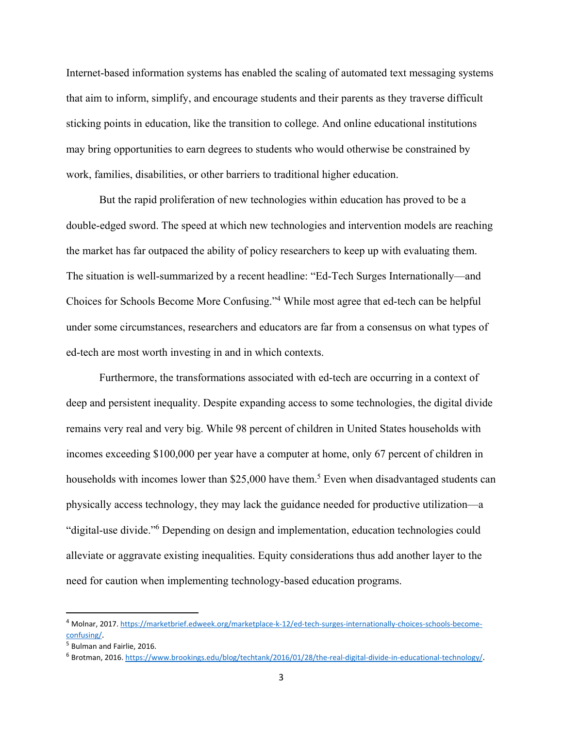Internet-based information systems has enabled the scaling of automated text messaging systems that aim to inform, simplify, and encourage students and their parents as they traverse difficult sticking points in education, like the transition to college. And online educational institutions may bring opportunities to earn degrees to students who would otherwise be constrained by work, families, disabilities, or other barriers to traditional higher education.

But the rapid proliferation of new technologies within education has proved to be a double-edged sword. The speed at which new technologies and intervention models are reaching the market has far outpaced the ability of policy researchers to keep up with evaluating them. The situation is well-summarized by a recent headline: "Ed-Tech Surges Internationally—and Choices for Schools Become More Confusing."4 While most agree that ed-tech can be helpful under some circumstances, researchers and educators are far from a consensus on what types of ed-tech are most worth investing in and in which contexts.

Furthermore, the transformations associated with ed-tech are occurring in a context of deep and persistent inequality. Despite expanding access to some technologies, the digital divide remains very real and very big. While 98 percent of children in United States households with incomes exceeding \$100,000 per year have a computer at home, only 67 percent of children in households with incomes lower than \$25,000 have them.<sup>5</sup> Even when disadvantaged students can physically access technology, they may lack the guidance needed for productive utilization—a "digital-use divide."6 Depending on design and implementation, education technologies could alleviate or aggravate existing inequalities. Equity considerations thus add another layer to the need for caution when implementing technology-based education programs.

<sup>4</sup> Molnar, 2017. https://marketbrief.edweek.org/marketplace-k-12/ed-tech-surges-internationally-choices-schools-becomeconfusing/.

<sup>5</sup> Bulman and Fairlie, 2016.

<sup>6</sup> Brotman, 2016. https://www.brookings.edu/blog/techtank/2016/01/28/the‐real‐digital‐divide‐in‐educational‐technology/.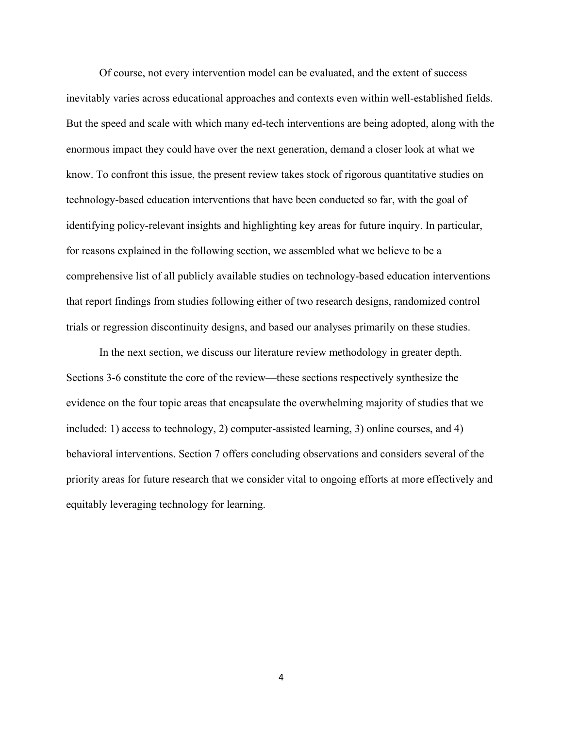Of course, not every intervention model can be evaluated, and the extent of success inevitably varies across educational approaches and contexts even within well-established fields. But the speed and scale with which many ed-tech interventions are being adopted, along with the enormous impact they could have over the next generation, demand a closer look at what we know. To confront this issue, the present review takes stock of rigorous quantitative studies on technology-based education interventions that have been conducted so far, with the goal of identifying policy-relevant insights and highlighting key areas for future inquiry. In particular, for reasons explained in the following section, we assembled what we believe to be a comprehensive list of all publicly available studies on technology-based education interventions that report findings from studies following either of two research designs, randomized control trials or regression discontinuity designs, and based our analyses primarily on these studies.

In the next section, we discuss our literature review methodology in greater depth. Sections 3-6 constitute the core of the review—these sections respectively synthesize the evidence on the four topic areas that encapsulate the overwhelming majority of studies that we included: 1) access to technology, 2) computer-assisted learning, 3) online courses, and 4) behavioral interventions. Section 7 offers concluding observations and considers several of the priority areas for future research that we consider vital to ongoing efforts at more effectively and equitably leveraging technology for learning.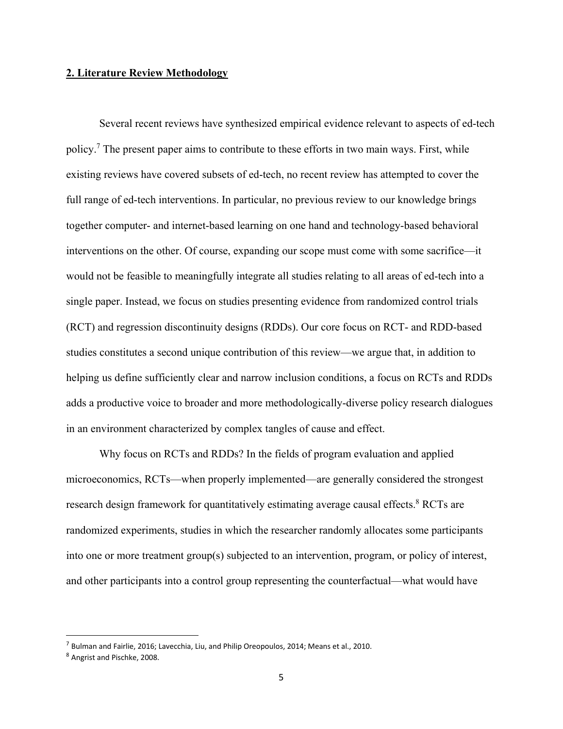#### **2. Literature Review Methodology**

Several recent reviews have synthesized empirical evidence relevant to aspects of ed-tech policy.<sup>7</sup> The present paper aims to contribute to these efforts in two main ways. First, while existing reviews have covered subsets of ed-tech, no recent review has attempted to cover the full range of ed-tech interventions. In particular, no previous review to our knowledge brings together computer- and internet-based learning on one hand and technology-based behavioral interventions on the other. Of course, expanding our scope must come with some sacrifice—it would not be feasible to meaningfully integrate all studies relating to all areas of ed-tech into a single paper. Instead, we focus on studies presenting evidence from randomized control trials (RCT) and regression discontinuity designs (RDDs). Our core focus on RCT- and RDD-based studies constitutes a second unique contribution of this review—we argue that, in addition to helping us define sufficiently clear and narrow inclusion conditions, a focus on RCTs and RDDs adds a productive voice to broader and more methodologically-diverse policy research dialogues in an environment characterized by complex tangles of cause and effect.

Why focus on RCTs and RDDs? In the fields of program evaluation and applied microeconomics, RCTs—when properly implemented—are generally considered the strongest research design framework for quantitatively estimating average causal effects.<sup>8</sup> RCTs are randomized experiments, studies in which the researcher randomly allocates some participants into one or more treatment group(s) subjected to an intervention, program, or policy of interest, and other participants into a control group representing the counterfactual—what would have

 $^7$  Bulman and Fairlie, 2016; Lavecchia, Liu, and Philip Oreopoulos, 2014; Means et al., 2010.

<sup>8</sup> Angrist and Pischke, 2008.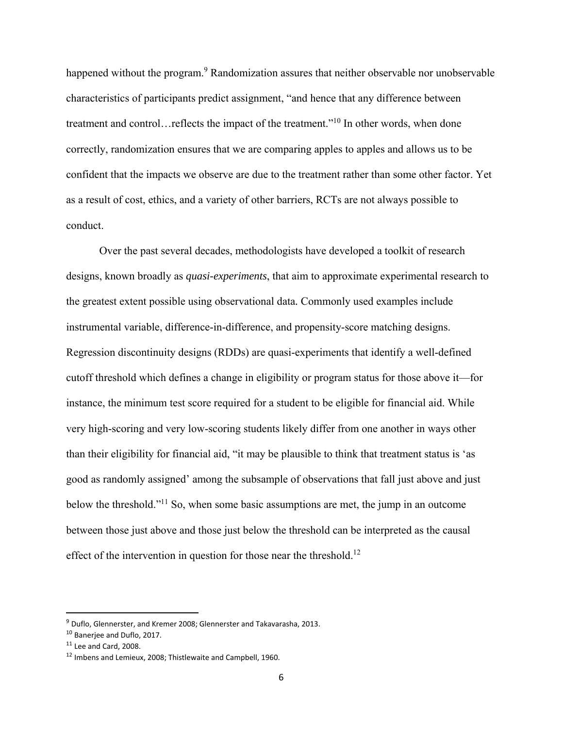happened without the program.<sup>9</sup> Randomization assures that neither observable nor unobservable characteristics of participants predict assignment, "and hence that any difference between treatment and control…reflects the impact of the treatment."10 In other words, when done correctly, randomization ensures that we are comparing apples to apples and allows us to be confident that the impacts we observe are due to the treatment rather than some other factor. Yet as a result of cost, ethics, and a variety of other barriers, RCTs are not always possible to conduct.

Over the past several decades, methodologists have developed a toolkit of research designs, known broadly as *quasi-experiments*, that aim to approximate experimental research to the greatest extent possible using observational data*.* Commonly used examples include instrumental variable, difference-in-difference, and propensity-score matching designs. Regression discontinuity designs (RDDs) are quasi-experiments that identify a well-defined cutoff threshold which defines a change in eligibility or program status for those above it—for instance, the minimum test score required for a student to be eligible for financial aid. While very high-scoring and very low-scoring students likely differ from one another in ways other than their eligibility for financial aid, "it may be plausible to think that treatment status is 'as good as randomly assigned' among the subsample of observations that fall just above and just below the threshold."<sup>11</sup> So, when some basic assumptions are met, the jump in an outcome between those just above and those just below the threshold can be interpreted as the causal effect of the intervention in question for those near the threshold.<sup>12</sup>

<sup>9</sup> Duflo, Glennerster, and Kremer 2008; Glennerster and Takavarasha, 2013.

<sup>10</sup> Banerjee and Duflo, 2017.

 $11$  Lee and Card, 2008.

<sup>12</sup> Imbens and Lemieux, 2008; Thistlewaite and Campbell, 1960.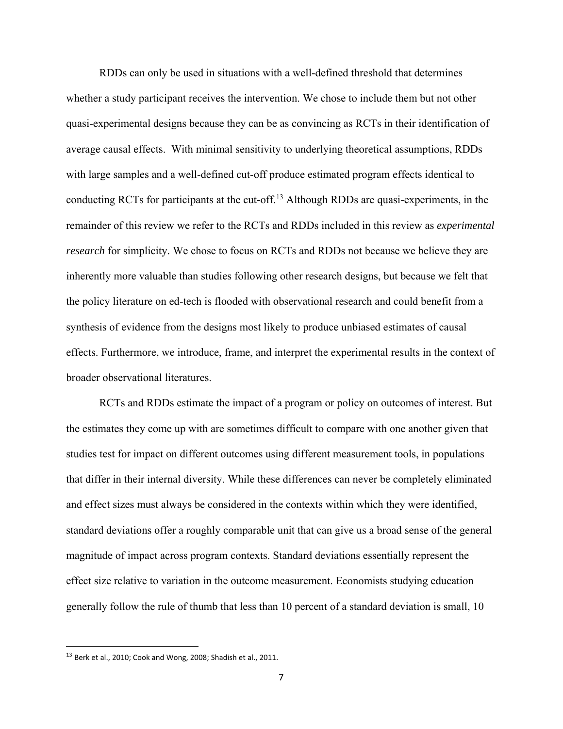RDDs can only be used in situations with a well-defined threshold that determines whether a study participant receives the intervention. We chose to include them but not other quasi-experimental designs because they can be as convincing as RCTs in their identification of average causal effects. With minimal sensitivity to underlying theoretical assumptions, RDDs with large samples and a well-defined cut-off produce estimated program effects identical to conducting RCTs for participants at the cut-off.13 Although RDDs are quasi-experiments, in the remainder of this review we refer to the RCTs and RDDs included in this review as *experimental research* for simplicity. We chose to focus on RCTs and RDDs not because we believe they are inherently more valuable than studies following other research designs, but because we felt that the policy literature on ed-tech is flooded with observational research and could benefit from a synthesis of evidence from the designs most likely to produce unbiased estimates of causal effects. Furthermore, we introduce, frame, and interpret the experimental results in the context of broader observational literatures.

RCTs and RDDs estimate the impact of a program or policy on outcomes of interest. But the estimates they come up with are sometimes difficult to compare with one another given that studies test for impact on different outcomes using different measurement tools, in populations that differ in their internal diversity. While these differences can never be completely eliminated and effect sizes must always be considered in the contexts within which they were identified, standard deviations offer a roughly comparable unit that can give us a broad sense of the general magnitude of impact across program contexts. Standard deviations essentially represent the effect size relative to variation in the outcome measurement. Economists studying education generally follow the rule of thumb that less than 10 percent of a standard deviation is small, 10

<sup>&</sup>lt;sup>13</sup> Berk et al., 2010; Cook and Wong, 2008; Shadish et al., 2011.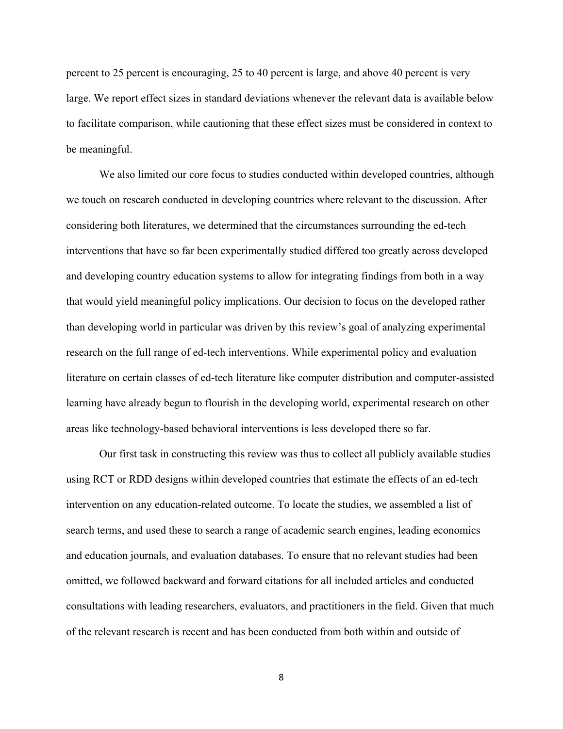percent to 25 percent is encouraging, 25 to 40 percent is large, and above 40 percent is very large. We report effect sizes in standard deviations whenever the relevant data is available below to facilitate comparison, while cautioning that these effect sizes must be considered in context to be meaningful.

We also limited our core focus to studies conducted within developed countries, although we touch on research conducted in developing countries where relevant to the discussion. After considering both literatures, we determined that the circumstances surrounding the ed-tech interventions that have so far been experimentally studied differed too greatly across developed and developing country education systems to allow for integrating findings from both in a way that would yield meaningful policy implications. Our decision to focus on the developed rather than developing world in particular was driven by this review's goal of analyzing experimental research on the full range of ed-tech interventions. While experimental policy and evaluation literature on certain classes of ed-tech literature like computer distribution and computer-assisted learning have already begun to flourish in the developing world, experimental research on other areas like technology-based behavioral interventions is less developed there so far.

Our first task in constructing this review was thus to collect all publicly available studies using RCT or RDD designs within developed countries that estimate the effects of an ed-tech intervention on any education-related outcome. To locate the studies, we assembled a list of search terms, and used these to search a range of academic search engines, leading economics and education journals, and evaluation databases. To ensure that no relevant studies had been omitted, we followed backward and forward citations for all included articles and conducted consultations with leading researchers, evaluators, and practitioners in the field. Given that much of the relevant research is recent and has been conducted from both within and outside of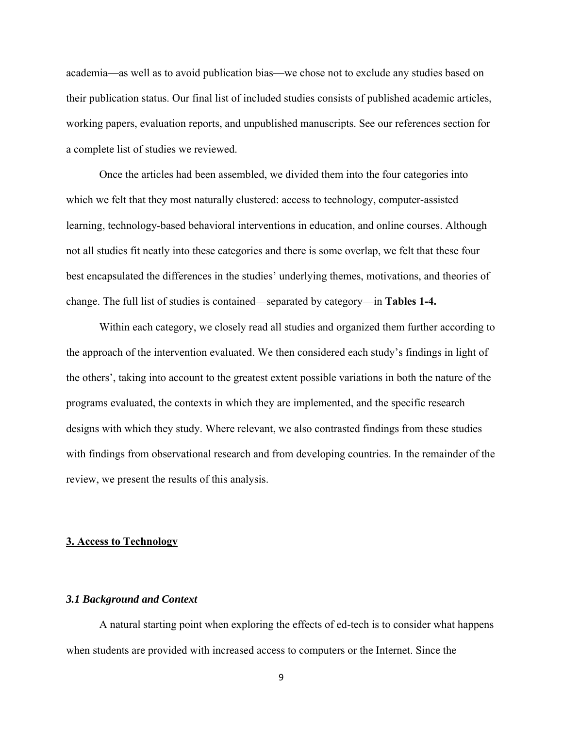academia—as well as to avoid publication bias—we chose not to exclude any studies based on their publication status. Our final list of included studies consists of published academic articles, working papers, evaluation reports, and unpublished manuscripts. See our references section for a complete list of studies we reviewed.

Once the articles had been assembled, we divided them into the four categories into which we felt that they most naturally clustered: access to technology, computer-assisted learning, technology-based behavioral interventions in education, and online courses. Although not all studies fit neatly into these categories and there is some overlap, we felt that these four best encapsulated the differences in the studies' underlying themes, motivations, and theories of change. The full list of studies is contained—separated by category—in **Tables 1-4.** 

Within each category, we closely read all studies and organized them further according to the approach of the intervention evaluated. We then considered each study's findings in light of the others', taking into account to the greatest extent possible variations in both the nature of the programs evaluated, the contexts in which they are implemented, and the specific research designs with which they study. Where relevant, we also contrasted findings from these studies with findings from observational research and from developing countries. In the remainder of the review, we present the results of this analysis.

#### **3. Access to Technology**

#### *3.1 Background and Context*

A natural starting point when exploring the effects of ed-tech is to consider what happens when students are provided with increased access to computers or the Internet. Since the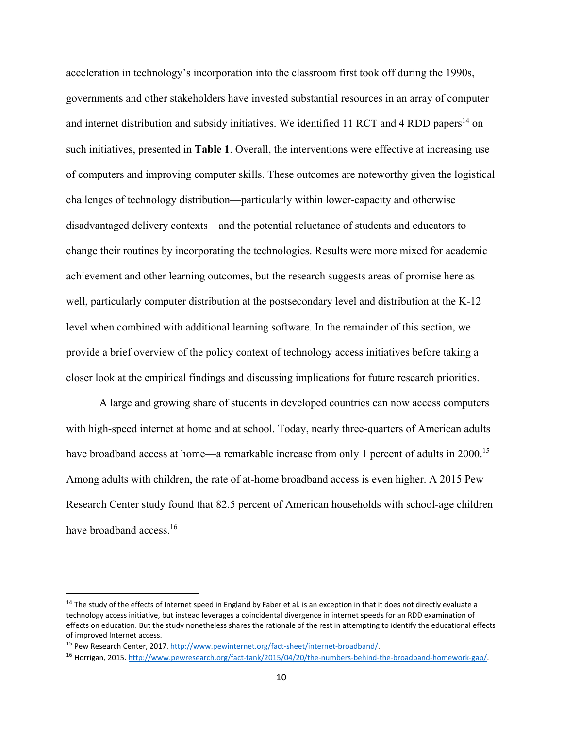acceleration in technology's incorporation into the classroom first took off during the 1990s, governments and other stakeholders have invested substantial resources in an array of computer and internet distribution and subsidy initiatives. We identified 11 RCT and 4 RDD papers<sup>14</sup> on such initiatives, presented in **Table 1**. Overall, the interventions were effective at increasing use of computers and improving computer skills. These outcomes are noteworthy given the logistical challenges of technology distribution—particularly within lower-capacity and otherwise disadvantaged delivery contexts—and the potential reluctance of students and educators to change their routines by incorporating the technologies. Results were more mixed for academic achievement and other learning outcomes, but the research suggests areas of promise here as well, particularly computer distribution at the postsecondary level and distribution at the K-12 level when combined with additional learning software. In the remainder of this section, we provide a brief overview of the policy context of technology access initiatives before taking a closer look at the empirical findings and discussing implications for future research priorities.

A large and growing share of students in developed countries can now access computers with high-speed internet at home and at school. Today, nearly three-quarters of American adults have broadband access at home—a remarkable increase from only 1 percent of adults in 2000.<sup>15</sup> Among adults with children, the rate of at-home broadband access is even higher. A 2015 Pew Research Center study found that 82.5 percent of American households with school-age children have broadband access.<sup>16</sup>

<sup>&</sup>lt;sup>14</sup> The study of the effects of Internet speed in England by Faber et al. is an exception in that it does not directly evaluate a technology access initiative, but instead leverages a coincidental divergence in internet speeds for an RDD examination of effects on education. But the study nonetheless shares the rationale of the rest in attempting to identify the educational effects of improved Internet access.

<sup>15</sup> Pew Research Center, 2017. http://www.pewinternet.org/fact‐sheet/internet‐broadband/.

<sup>16</sup> Horrigan, 2015. http://www.pewresearch.org/fact-tank/2015/04/20/the-numbers-behind-the-broadband-homework-gap/.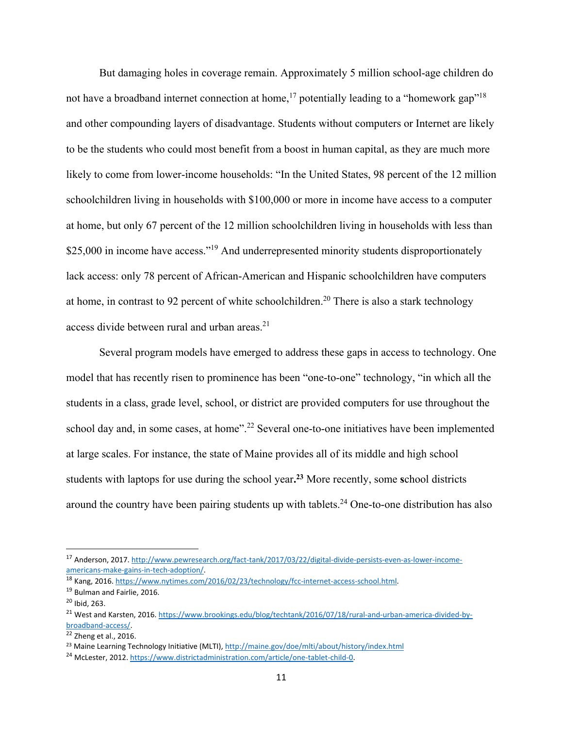But damaging holes in coverage remain. Approximately 5 million school-age children do not have a broadband internet connection at home,<sup>17</sup> potentially leading to a "homework gap"<sup>18</sup> and other compounding layers of disadvantage. Students without computers or Internet are likely to be the students who could most benefit from a boost in human capital, as they are much more likely to come from lower-income households: "In the United States, 98 percent of the 12 million schoolchildren living in households with \$100,000 or more in income have access to a computer at home, but only 67 percent of the 12 million schoolchildren living in households with less than \$25,000 in income have access."<sup>19</sup> And underrepresented minority students disproportionately lack access: only 78 percent of African-American and Hispanic schoolchildren have computers at home, in contrast to 92 percent of white schoolchildren.<sup>20</sup> There is also a stark technology access divide between rural and urban areas.<sup>21</sup>

Several program models have emerged to address these gaps in access to technology. One model that has recently risen to prominence has been "one-to-one" technology, "in which all the students in a class, grade level, school, or district are provided computers for use throughout the school day and, in some cases, at home".<sup>22</sup> Several one-to-one initiatives have been implemented at large scales. For instance, the state of Maine provides all of its middle and high school students with laptops for use during the school year**. <sup>23</sup>** More recently, some **s**chool districts around the country have been pairing students up with tablets.<sup>24</sup> One-to-one distribution has also

<sup>17</sup> Anderson, 2017. http://www.pewresearch.org/fact-tank/2017/03/22/digital-divide-persists-even-as-lower-incomeamericans‐make‐gains‐in‐tech‐adoption/.

<sup>18</sup> Kang, 2016. https://www.nytimes.com/2016/02/23/technology/fcc-internet-access-school.html.

<sup>19</sup> Bulman and Fairlie, 2016.

 $20$  Ibid, 263.

<sup>&</sup>lt;sup>21</sup> West and Karsten, 2016. https://www.brookings.edu/blog/techtank/2016/07/18/rural-and-urban-america-divided-bybroadband‐access/.

 $22$  Zheng et al., 2016.

<sup>&</sup>lt;sup>23</sup> Maine Learning Technology Initiative (MLTI), http://maine.gov/doe/mlti/about/history/index.html

<sup>&</sup>lt;sup>24</sup> McLester, 2012. https://www.districtadministration.com/article/one-tablet-child-0.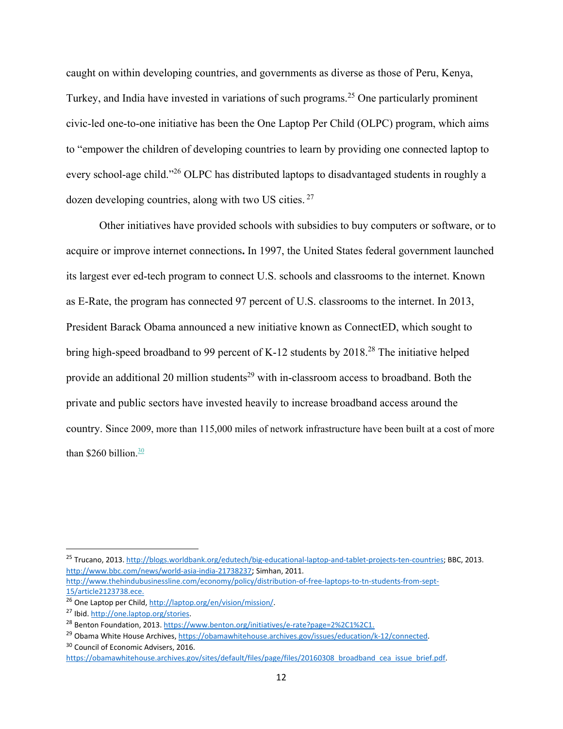caught on within developing countries, and governments as diverse as those of Peru, Kenya, Turkey, and India have invested in variations of such programs.25 One particularly prominent civic-led one-to-one initiative has been the One Laptop Per Child (OLPC) program, which aims to "empower the children of developing countries to learn by providing one connected laptop to every school-age child."26 OLPC has distributed laptops to disadvantaged students in roughly a dozen developing countries, along with two US cities. 27

Other initiatives have provided schools with subsidies to buy computers or software, or to acquire or improve internet connections**.** In 1997, the United States federal government launched its largest ever ed-tech program to connect U.S. schools and classrooms to the internet. Known as E-Rate, the program has connected 97 percent of U.S. classrooms to the internet. In 2013, President Barack Obama announced a new initiative known as ConnectED, which sought to bring high-speed broadband to 99 percent of K-12 students by  $2018<sup>28</sup>$  The initiative helped provide an additional 20 million students<sup>29</sup> with in-classroom access to broadband. Both the private and public sectors have invested heavily to increase broadband access around the country. Since 2009, more than 115,000 miles of network infrastructure have been built at a cost of more than \$260 billion. $\frac{30}{2}$ 

<sup>&</sup>lt;sup>25</sup> Trucano, 2013. http://blogs.worldbank.org/edutech/big-educational-laptop-and-tablet-projects-ten-countries; BBC, 2013. http://www.bbc.com/news/world‐asia‐india‐21738237; Simhan, 2011.

http://www.thehindubusinessline.com/economy/policy/distribution‐of‐free‐laptops‐to‐tn‐students‐from‐sept‐ 15/article2123738.ece.

<sup>&</sup>lt;sup>26</sup> One Laptop per Child, http://laptop.org/en/vision/mission/.

<sup>27</sup> Ibid. http://one.laptop.org/stories.

<sup>&</sup>lt;sup>28</sup> Benton Foundation, 2013. https://www.benton.org/initiatives/e-rate?page=2%2C1%2C1.

<sup>&</sup>lt;sup>29</sup> Obama White House Archives, https://obamawhitehouse.archives.gov/issues/education/k-12/connected.

<sup>&</sup>lt;sup>30</sup> Council of Economic Advisers, 2016.

https://obamawhitehouse.archives.gov/sites/default/files/page/files/20160308\_broadband\_cea\_issue\_brief.pdf.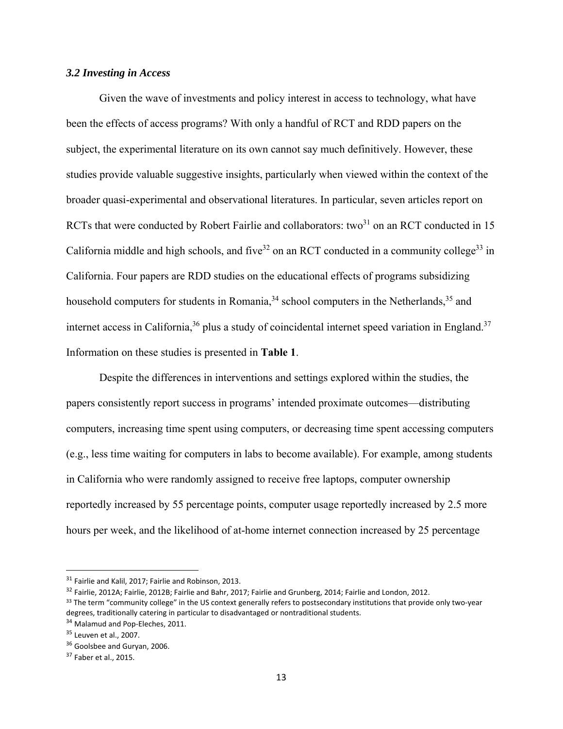#### *3.2 Investing in Access*

Given the wave of investments and policy interest in access to technology, what have been the effects of access programs? With only a handful of RCT and RDD papers on the subject, the experimental literature on its own cannot say much definitively. However, these studies provide valuable suggestive insights, particularly when viewed within the context of the broader quasi-experimental and observational literatures. In particular, seven articles report on RCTs that were conducted by Robert Fairlie and collaborators: two $31$  on an RCT conducted in 15 California middle and high schools, and five<sup>32</sup> on an RCT conducted in a community college<sup>33</sup> in California. Four papers are RDD studies on the educational effects of programs subsidizing household computers for students in Romania,<sup>34</sup> school computers in the Netherlands,<sup>35</sup> and internet access in California,  $36$  plus a study of coincidental internet speed variation in England.  $37$ Information on these studies is presented in **Table 1**.

Despite the differences in interventions and settings explored within the studies, the papers consistently report success in programs' intended proximate outcomes—distributing computers, increasing time spent using computers, or decreasing time spent accessing computers (e.g., less time waiting for computers in labs to become available). For example, among students in California who were randomly assigned to receive free laptops, computer ownership reportedly increased by 55 percentage points, computer usage reportedly increased by 2.5 more hours per week, and the likelihood of at-home internet connection increased by 25 percentage

<sup>&</sup>lt;sup>31</sup> Fairlie and Kalil, 2017; Fairlie and Robinson, 2013.

<sup>32</sup> Fairlie, 2012A; Fairlie, 2012B; Fairlie and Bahr, 2017; Fairlie and Grunberg, 2014; Fairlie and London, 2012.

<sup>33</sup> The term "community college" in the US context generally refers to postsecondary institutions that provide only two-year degrees, traditionally catering in particular to disadvantaged or nontraditional students.

<sup>34</sup> Malamud and Pop-Eleches, 2011.

<sup>35</sup> Leuven et al., 2007.

<sup>&</sup>lt;sup>36</sup> Goolsbee and Guryan, 2006.

<sup>37</sup> Faber et al., 2015.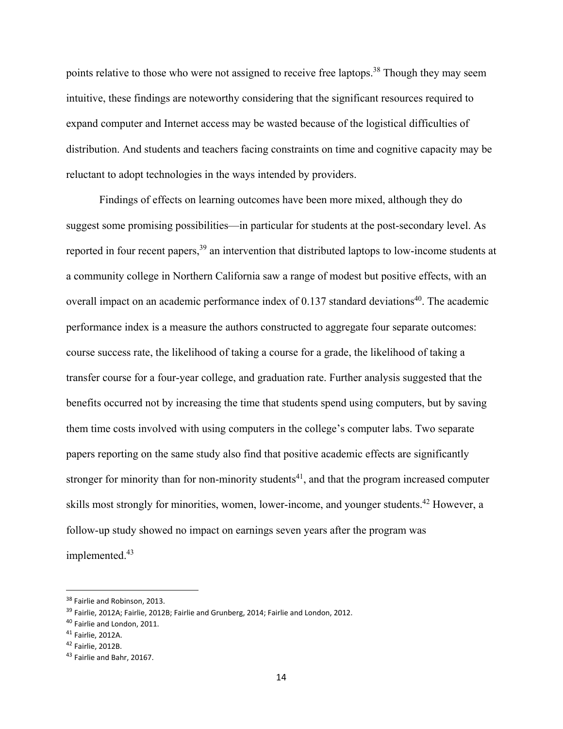points relative to those who were not assigned to receive free laptops.<sup>38</sup> Though they may seem intuitive, these findings are noteworthy considering that the significant resources required to expand computer and Internet access may be wasted because of the logistical difficulties of distribution. And students and teachers facing constraints on time and cognitive capacity may be reluctant to adopt technologies in the ways intended by providers.

Findings of effects on learning outcomes have been more mixed, although they do suggest some promising possibilities—in particular for students at the post-secondary level. As reported in four recent papers,<sup>39</sup> an intervention that distributed laptops to low-income students at a community college in Northern California saw a range of modest but positive effects, with an overall impact on an academic performance index of  $0.137$  standard deviations<sup>40</sup>. The academic performance index is a measure the authors constructed to aggregate four separate outcomes: course success rate, the likelihood of taking a course for a grade, the likelihood of taking a transfer course for a four-year college, and graduation rate. Further analysis suggested that the benefits occurred not by increasing the time that students spend using computers, but by saving them time costs involved with using computers in the college's computer labs. Two separate papers reporting on the same study also find that positive academic effects are significantly stronger for minority than for non-minority students<sup>41</sup>, and that the program increased computer skills most strongly for minorities, women, lower-income, and younger students.<sup>42</sup> However, a follow-up study showed no impact on earnings seven years after the program was implemented.<sup>43</sup>

<sup>&</sup>lt;sup>38</sup> Fairlie and Robinson, 2013.

<sup>&</sup>lt;sup>39</sup> Fairlie, 2012A; Fairlie, 2012B; Fairlie and Grunberg, 2014; Fairlie and London, 2012.

<sup>40</sup> Fairlie and London, 2011.

<sup>41</sup> Fairlie, 2012A.

<sup>42</sup> Fairlie, 2012B.

<sup>43</sup> Fairlie and Bahr, 20167.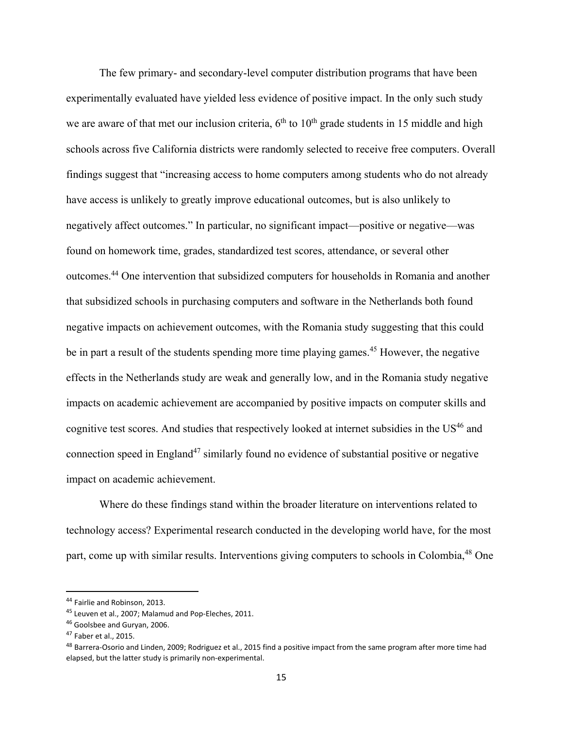The few primary- and secondary-level computer distribution programs that have been experimentally evaluated have yielded less evidence of positive impact. In the only such study we are aware of that met our inclusion criteria,  $6<sup>th</sup>$  to  $10<sup>th</sup>$  grade students in 15 middle and high schools across five California districts were randomly selected to receive free computers. Overall findings suggest that "increasing access to home computers among students who do not already have access is unlikely to greatly improve educational outcomes, but is also unlikely to negatively affect outcomes." In particular, no significant impact—positive or negative—was found on homework time, grades, standardized test scores, attendance, or several other outcomes.44 One intervention that subsidized computers for households in Romania and another that subsidized schools in purchasing computers and software in the Netherlands both found negative impacts on achievement outcomes, with the Romania study suggesting that this could be in part a result of the students spending more time playing games.<sup>45</sup> However, the negative effects in the Netherlands study are weak and generally low, and in the Romania study negative impacts on academic achievement are accompanied by positive impacts on computer skills and cognitive test scores. And studies that respectively looked at internet subsidies in the US<sup>46</sup> and connection speed in England<sup>47</sup> similarly found no evidence of substantial positive or negative impact on academic achievement.

Where do these findings stand within the broader literature on interventions related to technology access? Experimental research conducted in the developing world have, for the most part, come up with similar results. Interventions giving computers to schools in Colombia,<sup>48</sup> One

<sup>44</sup> Fairlie and Robinson, 2013.

<sup>45</sup> Leuven et al., 2007; Malamud and Pop-Eleches, 2011.

<sup>46</sup> Goolsbee and Guryan, 2006.

<sup>47</sup> Faber et al., 2015.

<sup>48</sup> Barrera-Osorio and Linden, 2009; Rodriguez et al., 2015 find a positive impact from the same program after more time had elapsed, but the latter study is primarily non‐experimental.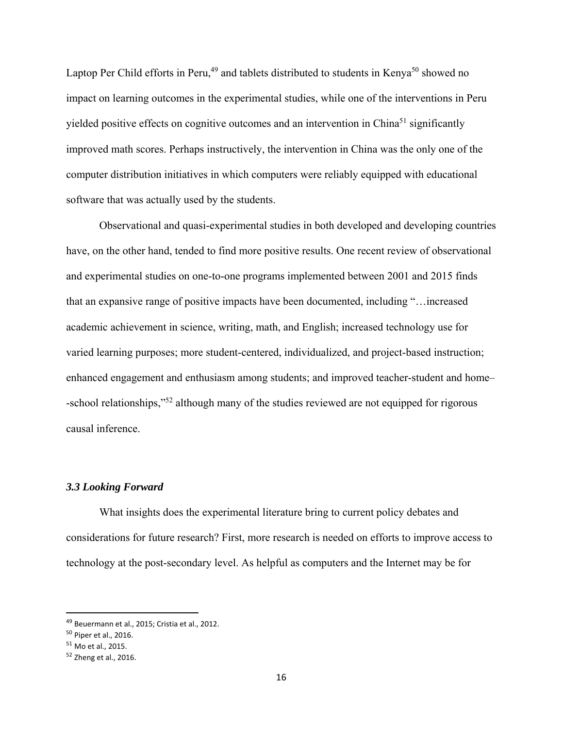Laptop Per Child efforts in Peru,<sup>49</sup> and tablets distributed to students in Kenya<sup>50</sup> showed no impact on learning outcomes in the experimental studies, while one of the interventions in Peru yielded positive effects on cognitive outcomes and an intervention in China<sup>51</sup> significantly improved math scores. Perhaps instructively, the intervention in China was the only one of the computer distribution initiatives in which computers were reliably equipped with educational software that was actually used by the students.

Observational and quasi-experimental studies in both developed and developing countries have, on the other hand, tended to find more positive results. One recent review of observational and experimental studies on one-to-one programs implemented between 2001 and 2015 finds that an expansive range of positive impacts have been documented, including "…increased academic achievement in science, writing, math, and English; increased technology use for varied learning purposes; more student-centered, individualized, and project-based instruction; enhanced engagement and enthusiasm among students; and improved teacher-student and home– -school relationships,"<sup>52</sup> although many of the studies reviewed are not equipped for rigorous causal inference.

#### *3.3 Looking Forward*

What insights does the experimental literature bring to current policy debates and considerations for future research? First, more research is needed on efforts to improve access to technology at the post-secondary level. As helpful as computers and the Internet may be for

<sup>49</sup> Beuermann et al., 2015; Cristia et al., 2012.

<sup>50</sup> Piper et al., 2016.

<sup>51</sup> Mo et al., 2015.

<sup>52</sup> Zheng et al., 2016.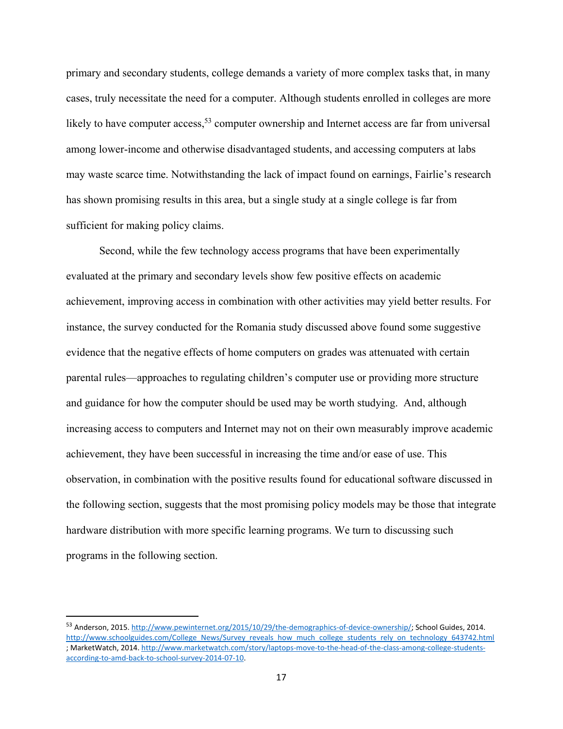primary and secondary students, college demands a variety of more complex tasks that, in many cases, truly necessitate the need for a computer. Although students enrolled in colleges are more likely to have computer access,<sup>53</sup> computer ownership and Internet access are far from universal among lower-income and otherwise disadvantaged students, and accessing computers at labs may waste scarce time. Notwithstanding the lack of impact found on earnings, Fairlie's research has shown promising results in this area, but a single study at a single college is far from sufficient for making policy claims.

 Second, while the few technology access programs that have been experimentally evaluated at the primary and secondary levels show few positive effects on academic achievement, improving access in combination with other activities may yield better results. For instance, the survey conducted for the Romania study discussed above found some suggestive evidence that the negative effects of home computers on grades was attenuated with certain parental rules—approaches to regulating children's computer use or providing more structure and guidance for how the computer should be used may be worth studying. And, although increasing access to computers and Internet may not on their own measurably improve academic achievement, they have been successful in increasing the time and/or ease of use. This observation, in combination with the positive results found for educational software discussed in the following section, suggests that the most promising policy models may be those that integrate hardware distribution with more specific learning programs. We turn to discussing such programs in the following section.

<sup>53</sup> Anderson, 2015. http://www.pewinternet.org/2015/10/29/the-demographics-of-device-ownership/; School Guides, 2014. http://www.schoolguides.com/College\_News/Survey\_reveals\_how\_much\_college\_students\_rely\_on\_technology\_643742.html ; MarketWatch, 2014. http://www.marketwatch.com/story/laptops‐move‐to‐the‐head‐of‐the‐class‐among‐college‐students‐ according‐to‐amd‐back‐to‐school‐survey‐2014‐07‐10.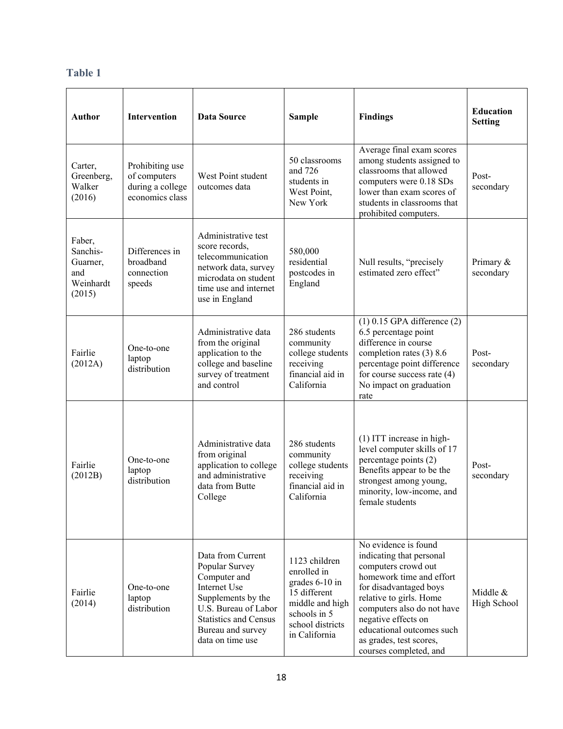# **Table 1**

| <b>Author</b>                                                | Intervention                                                           | <b>Data Source</b>                                                                                                                                                                                | <b>Sample</b>                                                                                                                          | <b>Findings</b>                                                                                                                                                                                                                                                                                 | <b>Education</b><br><b>Setting</b> |
|--------------------------------------------------------------|------------------------------------------------------------------------|---------------------------------------------------------------------------------------------------------------------------------------------------------------------------------------------------|----------------------------------------------------------------------------------------------------------------------------------------|-------------------------------------------------------------------------------------------------------------------------------------------------------------------------------------------------------------------------------------------------------------------------------------------------|------------------------------------|
| Carter,<br>Greenberg,<br>Walker<br>(2016)                    | Prohibiting use<br>of computers<br>during a college<br>economics class | West Point student<br>outcomes data                                                                                                                                                               | 50 classrooms<br>and 726<br>students in<br>West Point,<br>New York                                                                     | Average final exam scores<br>among students assigned to<br>classrooms that allowed<br>computers were 0.18 SDs<br>lower than exam scores of<br>students in classrooms that<br>prohibited computers.                                                                                              | Post-<br>secondary                 |
| Faber,<br>Sanchis-<br>Guarner,<br>and<br>Weinhardt<br>(2015) | Differences in<br>broadband<br>connection<br>speeds                    | Administrative test<br>score records,<br>telecommunication<br>network data, survey<br>microdata on student<br>time use and internet<br>use in England                                             | 580,000<br>residential<br>postcodes in<br>England                                                                                      | Null results, "precisely<br>estimated zero effect"                                                                                                                                                                                                                                              | Primary &<br>secondary             |
| Fairlie<br>(2012A)                                           | One-to-one<br>laptop<br>distribution                                   | Administrative data<br>from the original<br>application to the<br>college and baseline<br>survey of treatment<br>and control                                                                      | 286 students<br>community<br>college students<br>receiving<br>financial aid in<br>California                                           | $(1)$ 0.15 GPA difference $(2)$<br>6.5 percentage point<br>difference in course<br>completion rates (3) 8.6<br>percentage point difference<br>for course success rate $(4)$<br>No impact on graduation<br>rate                                                                                  | Post-<br>secondary                 |
| Fairlie<br>(2012B)                                           | One-to-one<br>laptop<br>distribution                                   | Administrative data<br>from original<br>application to college<br>and administrative<br>data from Butte<br>College                                                                                | 286 students<br>community<br>college students<br>receiving<br>financial aid in<br>California                                           | (1) ITT increase in high-<br>level computer skills of 17<br>percentage points (2)<br>Benefits appear to be the<br>strongest among young,<br>minority, low-income, and<br>female students                                                                                                        | Post-<br>secondary                 |
| Fairlie<br>(2014)                                            | One-to-one<br>laptop<br>distribution                                   | Data from Current<br>Popular Survey<br>Computer and<br><b>Internet Use</b><br>Supplements by the<br>U.S. Bureau of Labor<br><b>Statistics and Census</b><br>Bureau and survey<br>data on time use | 1123 children<br>enrolled in<br>grades 6-10 in<br>15 different<br>middle and high<br>schools in 5<br>school districts<br>in California | No evidence is found<br>indicating that personal<br>computers crowd out<br>homework time and effort<br>for disadvantaged boys<br>relative to girls. Home<br>computers also do not have<br>negative effects on<br>educational outcomes such<br>as grades, test scores,<br>courses completed, and | Middle &<br>High School            |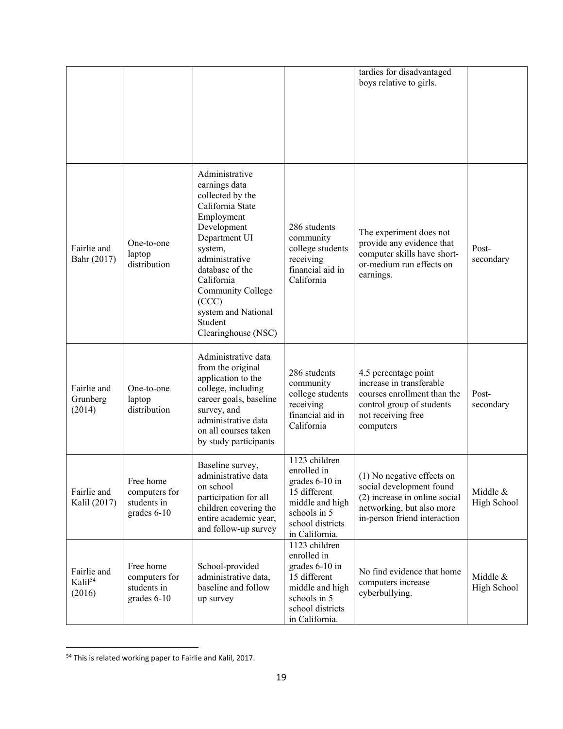|                                              |                                                            |                                                                                                                                                                                                                                                                            |                                                                                                                                         | tardies for disadvantaged<br>boys relative to girls.                                                                                                 |                         |
|----------------------------------------------|------------------------------------------------------------|----------------------------------------------------------------------------------------------------------------------------------------------------------------------------------------------------------------------------------------------------------------------------|-----------------------------------------------------------------------------------------------------------------------------------------|------------------------------------------------------------------------------------------------------------------------------------------------------|-------------------------|
| Fairlie and<br>Bahr (2017)                   | One-to-one<br>laptop<br>distribution                       | Administrative<br>earnings data<br>collected by the<br>California State<br>Employment<br>Development<br>Department UI<br>system,<br>administrative<br>database of the<br>California<br>Community College<br>(CCC)<br>system and National<br>Student<br>Clearinghouse (NSC) | 286 students<br>community<br>college students<br>receiving<br>financial aid in<br>California                                            | The experiment does not<br>provide any evidence that<br>computer skills have short-<br>or-medium run effects on<br>earnings.                         | Post-<br>secondary      |
| Fairlie and<br>Grunberg<br>(2014)            | One-to-one<br>laptop<br>distribution                       | Administrative data<br>from the original<br>application to the<br>college, including<br>career goals, baseline<br>survey, and<br>administrative data<br>on all courses taken<br>by study participants                                                                      | 286 students<br>community<br>college students<br>receiving<br>financial aid in<br>California                                            | 4.5 percentage point<br>increase in transferable<br>courses enrollment than the<br>control group of students<br>not receiving free<br>computers      | Post-<br>secondary      |
| Fairlie and<br>Kalil (2017)                  | Free home<br>computers for<br>students in<br>grades $6-10$ | Baseline survey,<br>administrative data<br>on school<br>participation for all<br>children covering the<br>entire academic year,<br>and follow-up survey                                                                                                                    | 1123 children<br>enrolled in<br>grades 6-10 in<br>15 different<br>middle and high<br>schools in 5<br>school districts<br>in California. | (1) No negative effects on<br>social development found<br>(2) increase in online social<br>networking, but also more<br>in-person friend interaction | Middle &<br>High School |
| Fairlie and<br>Kalil <sup>54</sup><br>(2016) | Free home<br>computers for<br>students in<br>grades 6-10   | School-provided<br>administrative data,<br>baseline and follow<br>up survey                                                                                                                                                                                                | 1123 children<br>enrolled in<br>grades 6-10 in<br>15 different<br>middle and high<br>schools in 5<br>school districts<br>in California. | No find evidence that home<br>computers increase<br>cyberbullying.                                                                                   | Middle &<br>High School |

<sup>&</sup>lt;sup>54</sup> This is related working paper to Fairlie and Kalil, 2017.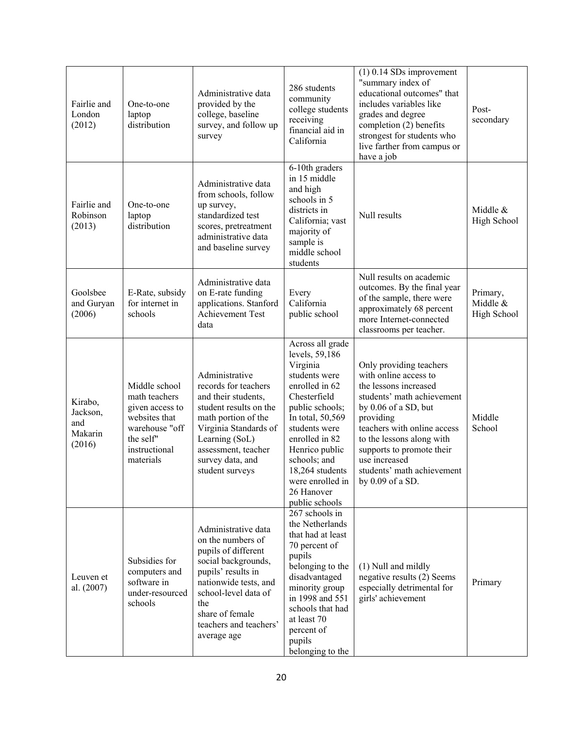| Fairlie and<br>London<br>(2012)                 | One-to-one<br>laptop<br>distribution                                                                                            | Administrative data<br>provided by the<br>college, baseline<br>survey, and follow up<br>survey                                                                                                                                   | 286 students<br>community<br>college students<br>receiving<br>financial aid in<br>California                                                                                                                                                                                         | $(1)$ 0.14 SDs improvement<br>"summary index of<br>educational outcomes" that<br>includes variables like<br>grades and degree<br>completion (2) benefits<br>strongest for students who<br>live farther from campus or<br>have a job                                                                      | Post-<br>secondary                  |
|-------------------------------------------------|---------------------------------------------------------------------------------------------------------------------------------|----------------------------------------------------------------------------------------------------------------------------------------------------------------------------------------------------------------------------------|--------------------------------------------------------------------------------------------------------------------------------------------------------------------------------------------------------------------------------------------------------------------------------------|----------------------------------------------------------------------------------------------------------------------------------------------------------------------------------------------------------------------------------------------------------------------------------------------------------|-------------------------------------|
| Fairlie and<br>Robinson<br>(2013)               | One-to-one<br>laptop<br>distribution                                                                                            | Administrative data<br>from schools, follow<br>up survey,<br>standardized test<br>scores, pretreatment<br>administrative data<br>and baseline survey                                                                             | 6-10th graders<br>in 15 middle<br>and high<br>schools in 5<br>districts in<br>California; vast<br>majority of<br>sample is<br>middle school<br>students                                                                                                                              | Null results                                                                                                                                                                                                                                                                                             | Middle &<br>High School             |
| Goolsbee<br>and Guryan<br>(2006)                | E-Rate, subsidy<br>for internet in<br>schools                                                                                   | Administrative data<br>on E-rate funding<br>applications. Stanford<br><b>Achievement Test</b><br>data                                                                                                                            | Every<br>California<br>public school                                                                                                                                                                                                                                                 | Null results on academic<br>outcomes. By the final year<br>of the sample, there were<br>approximately 68 percent<br>more Internet-connected<br>classrooms per teacher.                                                                                                                                   | Primary,<br>Middle &<br>High School |
| Kirabo,<br>Jackson,<br>and<br>Makarin<br>(2016) | Middle school<br>math teachers<br>given access to<br>websites that<br>warehouse "off<br>the self"<br>instructional<br>materials | Administrative<br>records for teachers<br>and their students,<br>student results on the<br>math portion of the<br>Virginia Standards of<br>Learning (SoL)<br>assessment, teacher<br>survey data, and<br>student surveys          | Across all grade<br>levels, 59,186<br>Virginia<br>students were<br>enrolled in 62<br>Chesterfield<br>public schools;<br>In total, 50,569<br>students were<br>enrolled in 82<br>Henrico public<br>schools; and<br>18,264 students<br>were enrolled in<br>26 Hanover<br>public schools | Only providing teachers<br>with online access to<br>the lessons increased<br>students' math achievement<br>by 0.06 of a SD, but<br>providing<br>teachers with online access<br>to the lessons along with<br>supports to promote their<br>use increased<br>students' math achievement<br>by 0.09 of a SD. | Middle<br>School                    |
| Leuven et<br>al. (2007)                         | Subsidies for<br>computers and<br>software in<br>under-resourced<br>schools                                                     | Administrative data<br>on the numbers of<br>pupils of different<br>social backgrounds,<br>pupils' results in<br>nationwide tests, and<br>school-level data of<br>the<br>share of female<br>teachers and teachers'<br>average age | 267 schools in<br>the Netherlands<br>that had at least<br>70 percent of<br>pupils<br>belonging to the<br>disadvantaged<br>minority group<br>in 1998 and 551<br>schools that had<br>at least 70<br>percent of<br>pupils<br>belonging to the                                           | (1) Null and mildly<br>negative results (2) Seems<br>especially detrimental for<br>girls' achievement                                                                                                                                                                                                    | Primary                             |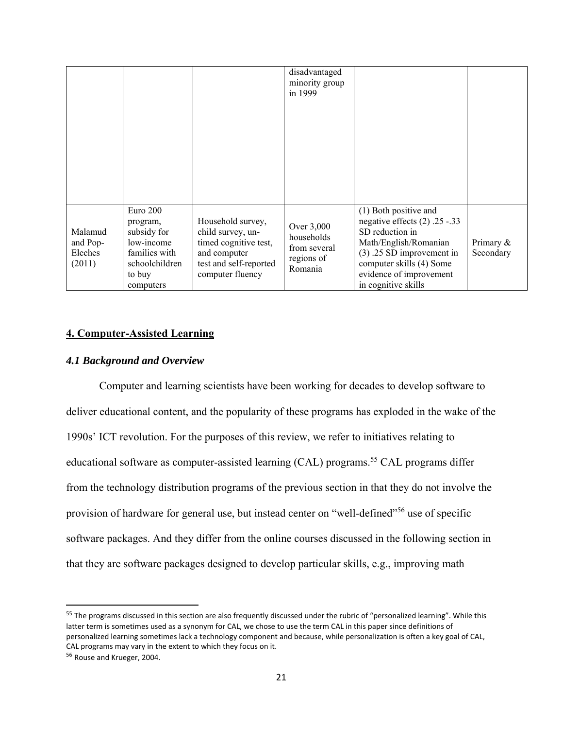|                                          |                                                                                                             |                                                                                                                               | disadvantaged<br>minority group<br>in 1999                        |                                                                                                                                                                                                                    |                        |
|------------------------------------------|-------------------------------------------------------------------------------------------------------------|-------------------------------------------------------------------------------------------------------------------------------|-------------------------------------------------------------------|--------------------------------------------------------------------------------------------------------------------------------------------------------------------------------------------------------------------|------------------------|
| Malamud<br>and Pop-<br>Eleches<br>(2011) | Euro 200<br>program,<br>subsidy for<br>low-income<br>families with<br>schoolchildren<br>to buy<br>computers | Household survey,<br>child survey, un-<br>timed cognitive test,<br>and computer<br>test and self-reported<br>computer fluency | Over 3,000<br>households<br>from several<br>regions of<br>Romania | (1) Both positive and<br>negative effects $(2)$ . 25 -.33<br>SD reduction in<br>Math/English/Romanian<br>$(3)$ .25 SD improvement in<br>computer skills (4) Some<br>evidence of improvement<br>in cognitive skills | Primary &<br>Secondary |

#### **4. Computer-Assisted Learning**

### *4.1 Background and Overview*

Computer and learning scientists have been working for decades to develop software to deliver educational content, and the popularity of these programs has exploded in the wake of the 1990s' ICT revolution. For the purposes of this review, we refer to initiatives relating to educational software as computer-assisted learning  $(CAL)$  programs.<sup>55</sup> CAL programs differ from the technology distribution programs of the previous section in that they do not involve the provision of hardware for general use, but instead center on "well-defined"<sup>56</sup> use of specific software packages. And they differ from the online courses discussed in the following section in that they are software packages designed to develop particular skills, e.g., improving math

<sup>&</sup>lt;sup>55</sup> The programs discussed in this section are also frequently discussed under the rubric of "personalized learning". While this latter term is sometimes used as a synonym for CAL, we chose to use the term CAL in this paper since definitions of personalized learning sometimes lack a technology component and because, while personalization is often a key goal of CAL, CAL programs may vary in the extent to which they focus on it.

<sup>56</sup> Rouse and Krueger, 2004.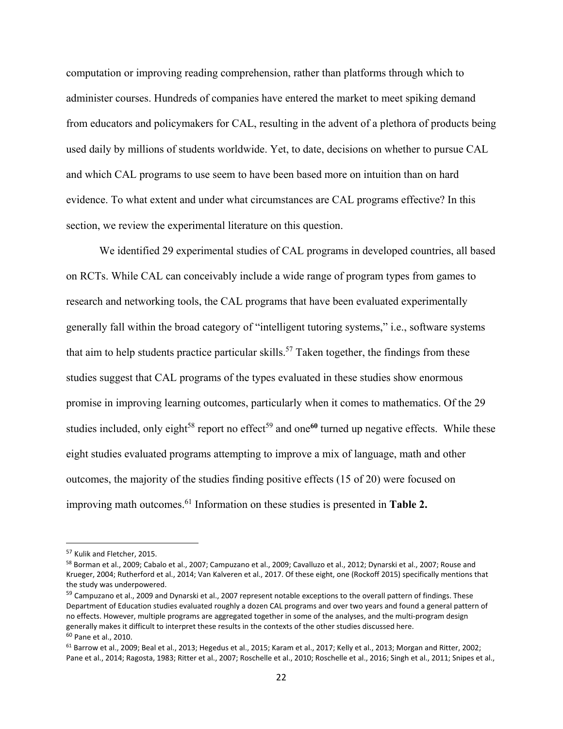computation or improving reading comprehension, rather than platforms through which to administer courses. Hundreds of companies have entered the market to meet spiking demand from educators and policymakers for CAL, resulting in the advent of a plethora of products being used daily by millions of students worldwide. Yet, to date, decisions on whether to pursue CAL and which CAL programs to use seem to have been based more on intuition than on hard evidence. To what extent and under what circumstances are CAL programs effective? In this section, we review the experimental literature on this question.

We identified 29 experimental studies of CAL programs in developed countries, all based on RCTs. While CAL can conceivably include a wide range of program types from games to research and networking tools, the CAL programs that have been evaluated experimentally generally fall within the broad category of "intelligent tutoring systems," i.e., software systems that aim to help students practice particular skills.<sup>57</sup> Taken together, the findings from these studies suggest that CAL programs of the types evaluated in these studies show enormous promise in improving learning outcomes, particularly when it comes to mathematics. Of the 29 studies included, only eight<sup>58</sup> report no effect<sup>59</sup> and one<sup>60</sup> turned up negative effects. While these eight studies evaluated programs attempting to improve a mix of language, math and other outcomes, the majority of the studies finding positive effects (15 of 20) were focused on improving math outcomes.61 Information on these studies is presented in **Table 2.**

<sup>57</sup> Kulik and Fletcher, 2015.

<sup>58</sup> Borman et al., 2009; Cabalo et al., 2007; Campuzano et al., 2009; Cavalluzo et al., 2012; Dynarski et al., 2007; Rouse and Krueger, 2004; Rutherford et al., 2014; Van Kalveren et al., 2017. Of these eight, one (Rockoff 2015) specifically mentions that the study was underpowered.

<sup>&</sup>lt;sup>59</sup> Campuzano et al., 2009 and Dynarski et al., 2007 represent notable exceptions to the overall pattern of findings. These Department of Education studies evaluated roughly a dozen CAL programs and over two years and found a general pattern of no effects. However, multiple programs are aggregated together in some of the analyses, and the multi‐program design generally makes it difficult to interpret these results in the contexts of the other studies discussed here. <sup>60</sup> Pane et al., 2010.

<sup>&</sup>lt;sup>61</sup> Barrow et al., 2009; Beal et al., 2013; Hegedus et al., 2015; Karam et al., 2017; Kelly et al., 2013; Morgan and Ritter, 2002; Pane et al., 2014; Ragosta, 1983; Ritter et al., 2007; Roschelle et al., 2010; Roschelle et al., 2016; Singh et al., 2011; Snipes et al.,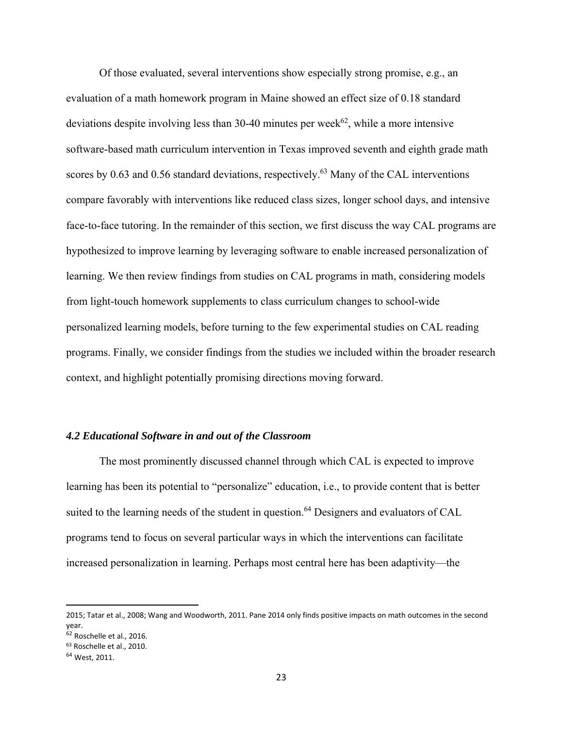Of those evaluated, several interventions show especially strong promise, e.g., an evaluation of a math homework program in Maine showed an effect size of 0.18 standard deviations despite involving less than 30-40 minutes per week<sup>62</sup>, while a more intensive software-based math curriculum intervention in Texas improved seventh and eighth grade math scores by 0.63 and 0.56 standard deviations, respectively.<sup>63</sup> Many of the CAL interventions compare favorably with interventions like reduced class sizes, longer school days, and intensive face-to-face tutoring. In the remainder of this section, we first discuss the way CAL programs are hypothesized to improve learning by leveraging software to enable increased personalization of learning. We then review findings from studies on CAL programs in math, considering models from light-touch homework supplements to class curriculum changes to school-wide personalized learning models, before turning to the few experimental studies on CAL reading programs. Finally, we consider findings from the studies we included within the broader research context, and highlight potentially promising directions moving forward.

#### *4.2 Educational Software in and out of the Classroom*

The most prominently discussed channel through which CAL is expected to improve learning has been its potential to "personalize" education, i.e., to provide content that is better suited to the learning needs of the student in question.<sup>64</sup> Designers and evaluators of CAL programs tend to focus on several particular ways in which the interventions can facilitate increased personalization in learning. Perhaps most central here has been adaptivity—the

<sup>2015;</sup> Tatar et al., 2008; Wang and Woodworth, 2011. Pane 2014 only finds positive impacts on math outcomes in the second year.

<sup>62</sup> Roschelle et al., 2016.

<sup>63</sup> Roschelle et al., 2010.

<sup>64</sup> West, 2011.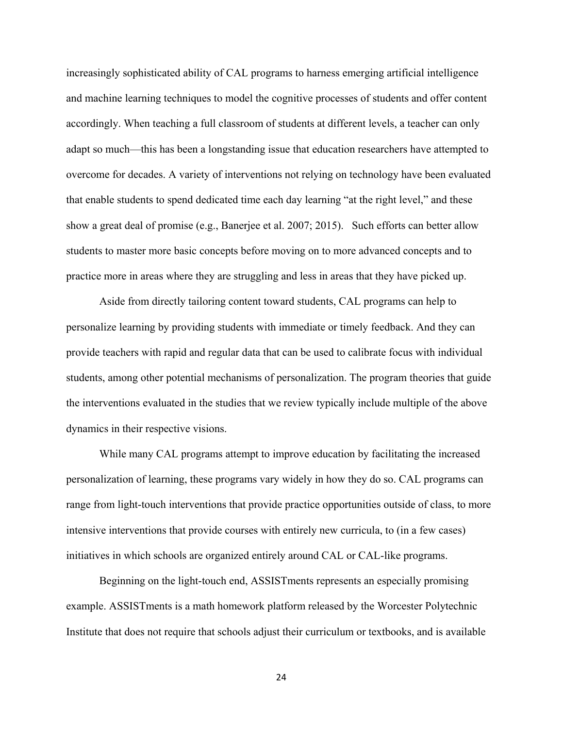increasingly sophisticated ability of CAL programs to harness emerging artificial intelligence and machine learning techniques to model the cognitive processes of students and offer content accordingly. When teaching a full classroom of students at different levels, a teacher can only adapt so much—this has been a longstanding issue that education researchers have attempted to overcome for decades. A variety of interventions not relying on technology have been evaluated that enable students to spend dedicated time each day learning "at the right level," and these show a great deal of promise (e.g., Banerjee et al. 2007; 2015). Such efforts can better allow students to master more basic concepts before moving on to more advanced concepts and to practice more in areas where they are struggling and less in areas that they have picked up.

Aside from directly tailoring content toward students, CAL programs can help to personalize learning by providing students with immediate or timely feedback. And they can provide teachers with rapid and regular data that can be used to calibrate focus with individual students, among other potential mechanisms of personalization. The program theories that guide the interventions evaluated in the studies that we review typically include multiple of the above dynamics in their respective visions.

While many CAL programs attempt to improve education by facilitating the increased personalization of learning, these programs vary widely in how they do so. CAL programs can range from light-touch interventions that provide practice opportunities outside of class, to more intensive interventions that provide courses with entirely new curricula, to (in a few cases) initiatives in which schools are organized entirely around CAL or CAL-like programs.

Beginning on the light-touch end, ASSISTments represents an especially promising example. ASSISTments is a math homework platform released by the Worcester Polytechnic Institute that does not require that schools adjust their curriculum or textbooks, and is available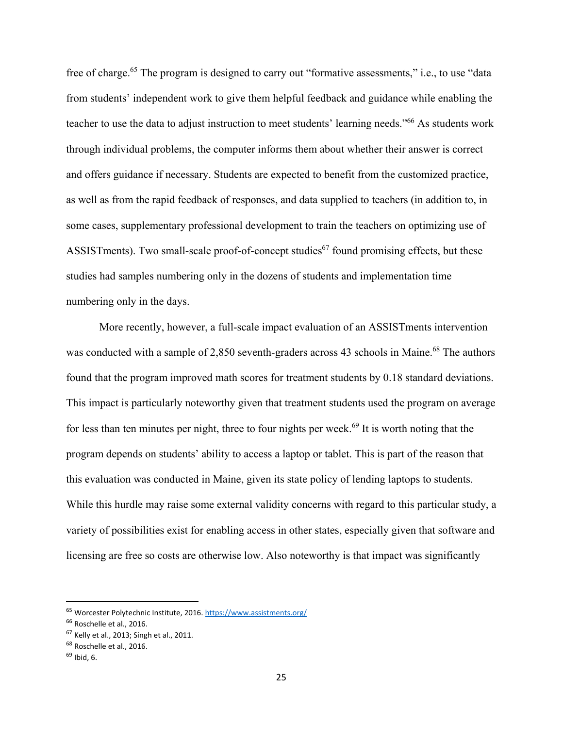free of charge.<sup>65</sup> The program is designed to carry out "formative assessments," i.e., to use "data from students' independent work to give them helpful feedback and guidance while enabling the teacher to use the data to adjust instruction to meet students' learning needs."66 As students work through individual problems, the computer informs them about whether their answer is correct and offers guidance if necessary. Students are expected to benefit from the customized practice, as well as from the rapid feedback of responses, and data supplied to teachers (in addition to, in some cases, supplementary professional development to train the teachers on optimizing use of ASSISTments). Two small-scale proof-of-concept studies<sup>67</sup> found promising effects, but these studies had samples numbering only in the dozens of students and implementation time numbering only in the days.

More recently, however, a full-scale impact evaluation of an ASSISTments intervention was conducted with a sample of 2,850 seventh-graders across 43 schools in Maine.<sup>68</sup> The authors found that the program improved math scores for treatment students by 0.18 standard deviations. This impact is particularly noteworthy given that treatment students used the program on average for less than ten minutes per night, three to four nights per week.<sup>69</sup> It is worth noting that the program depends on students' ability to access a laptop or tablet. This is part of the reason that this evaluation was conducted in Maine, given its state policy of lending laptops to students. While this hurdle may raise some external validity concerns with regard to this particular study, a variety of possibilities exist for enabling access in other states, especially given that software and licensing are free so costs are otherwise low. Also noteworthy is that impact was significantly

<sup>65</sup> Worcester Polytechnic Institute, 2016. https://www.assistments.org/

<sup>&</sup>lt;sup>66</sup> Roschelle et al., 2016.

<sup>67</sup> Kelly et al., 2013; Singh et al., 2011.

<sup>&</sup>lt;sup>68</sup> Roschelle et al., 2016.

<sup>69</sup> Ibid, 6.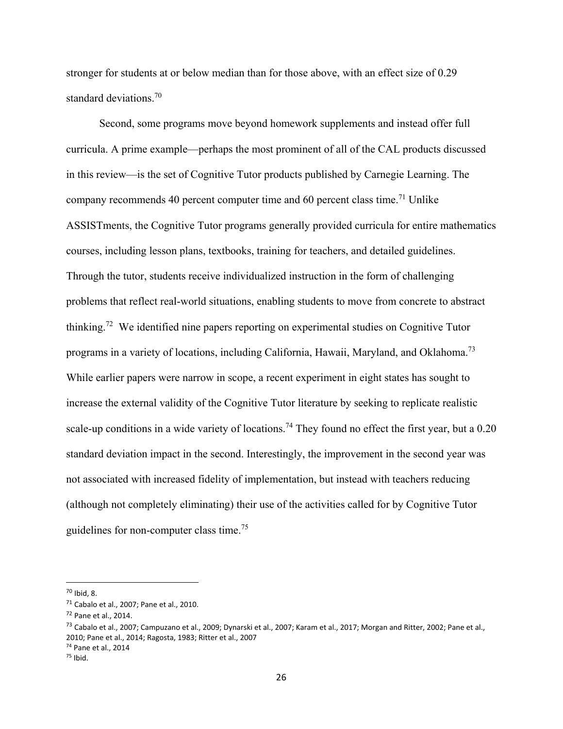stronger for students at or below median than for those above, with an effect size of 0.29 standard deviations.<sup>70</sup>

Second, some programs move beyond homework supplements and instead offer full curricula. A prime example—perhaps the most prominent of all of the CAL products discussed in this review—is the set of Cognitive Tutor products published by Carnegie Learning. The company recommends 40 percent computer time and 60 percent class time.<sup>71</sup> Unlike ASSISTments, the Cognitive Tutor programs generally provided curricula for entire mathematics courses, including lesson plans, textbooks, training for teachers, and detailed guidelines. Through the tutor, students receive individualized instruction in the form of challenging problems that reflect real-world situations, enabling students to move from concrete to abstract thinking.72 We identified nine papers reporting on experimental studies on Cognitive Tutor programs in a variety of locations, including California, Hawaii, Maryland, and Oklahoma.<sup>73</sup> While earlier papers were narrow in scope, a recent experiment in eight states has sought to increase the external validity of the Cognitive Tutor literature by seeking to replicate realistic scale-up conditions in a wide variety of locations.<sup>74</sup> They found no effect the first year, but a  $0.20$ standard deviation impact in the second. Interestingly, the improvement in the second year was not associated with increased fidelity of implementation, but instead with teachers reducing (although not completely eliminating) their use of the activities called for by Cognitive Tutor guidelines for non-computer class time.<sup>75</sup>

<sup>70</sup> Ibid, 8.

<sup>71</sup> Cabalo et al., 2007; Pane et al., 2010.

<sup>72</sup> Pane et al., 2014.

<sup>&</sup>lt;sup>73</sup> Cabalo et al., 2007; Campuzano et al., 2009; Dynarski et al., 2007; Karam et al., 2017; Morgan and Ritter, 2002; Pane et al., 2010; Pane et al., 2014; Ragosta, 1983; Ritter et al., 2007

<sup>74</sup> Pane et al., 2014

<sup>75</sup> Ibid.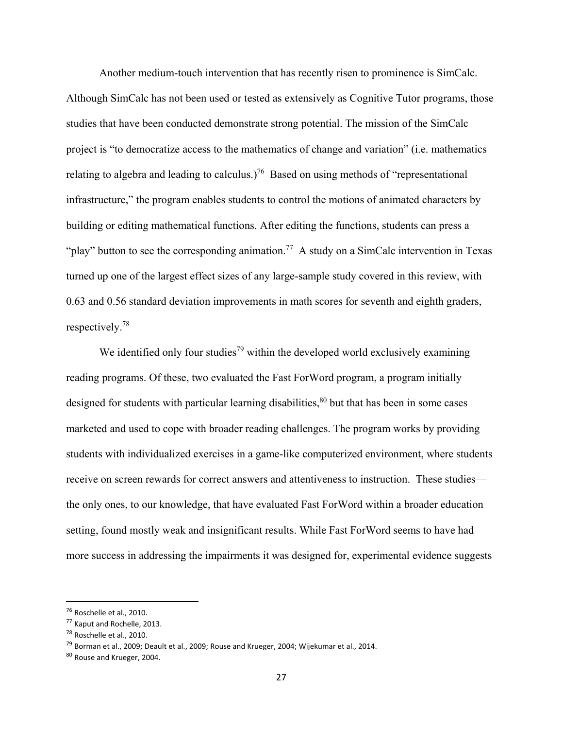Another medium-touch intervention that has recently risen to prominence is SimCalc. Although SimCalc has not been used or tested as extensively as Cognitive Tutor programs, those studies that have been conducted demonstrate strong potential. The mission of the SimCalc project is "to democratize access to the mathematics of change and variation" (i.e. mathematics relating to algebra and leading to calculus.)<sup>76</sup> Based on using methods of "representational" infrastructure," the program enables students to control the motions of animated characters by building or editing mathematical functions. After editing the functions, students can press a "play" button to see the corresponding animation.<sup>77</sup> A study on a SimCalc intervention in Texas turned up one of the largest effect sizes of any large-sample study covered in this review, with 0.63 and 0.56 standard deviation improvements in math scores for seventh and eighth graders, respectively.78

We identified only four studies<sup>79</sup> within the developed world exclusively examining reading programs. Of these, two evaluated the Fast ForWord program, a program initially designed for students with particular learning disabilities, $80$  but that has been in some cases marketed and used to cope with broader reading challenges. The program works by providing students with individualized exercises in a game-like computerized environment, where students receive on screen rewards for correct answers and attentiveness to instruction. These studies the only ones, to our knowledge, that have evaluated Fast ForWord within a broader education setting, found mostly weak and insignificant results. While Fast ForWord seems to have had more success in addressing the impairments it was designed for, experimental evidence suggests

<sup>76</sup> Roschelle et al., 2010.

<sup>77</sup> Kaput and Rochelle, 2013.

<sup>&</sup>lt;sup>78</sup> Roschelle et al., 2010.

 $^{79}$  Borman et al., 2009; Deault et al., 2009; Rouse and Krueger, 2004; Wijekumar et al., 2014.

<sup>80</sup> Rouse and Krueger, 2004.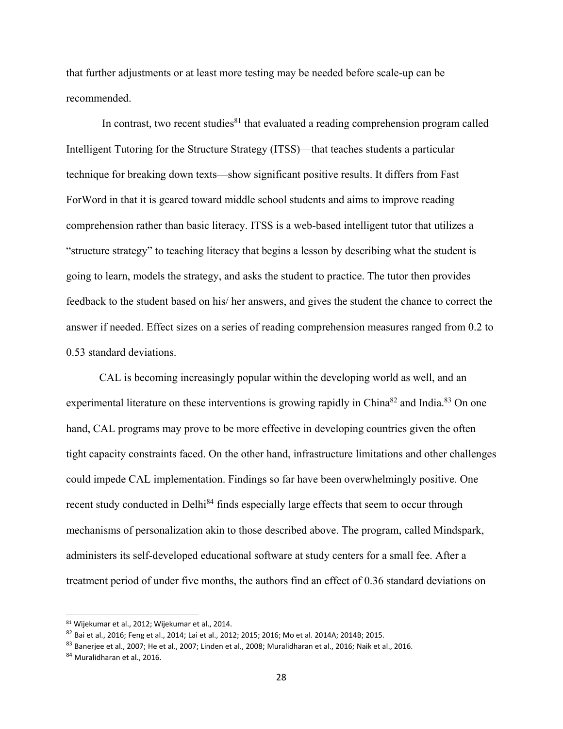that further adjustments or at least more testing may be needed before scale-up can be recommended.

In contrast, two recent studies $81$  that evaluated a reading comprehension program called Intelligent Tutoring for the Structure Strategy (ITSS)—that teaches students a particular technique for breaking down texts—show significant positive results. It differs from Fast ForWord in that it is geared toward middle school students and aims to improve reading comprehension rather than basic literacy. ITSS is a web-based intelligent tutor that utilizes a "structure strategy" to teaching literacy that begins a lesson by describing what the student is going to learn, models the strategy, and asks the student to practice. The tutor then provides feedback to the student based on his/ her answers, and gives the student the chance to correct the answer if needed. Effect sizes on a series of reading comprehension measures ranged from 0.2 to 0.53 standard deviations.

 CAL is becoming increasingly popular within the developing world as well, and an experimental literature on these interventions is growing rapidly in China<sup>82</sup> and India.<sup>83</sup> On one hand, CAL programs may prove to be more effective in developing countries given the often tight capacity constraints faced. On the other hand, infrastructure limitations and other challenges could impede CAL implementation. Findings so far have been overwhelmingly positive. One recent study conducted in Delhi<sup>84</sup> finds especially large effects that seem to occur through mechanisms of personalization akin to those described above. The program, called Mindspark, administers its self-developed educational software at study centers for a small fee. After a treatment period of under five months, the authors find an effect of 0.36 standard deviations on

<sup>81</sup> Wijekumar et al., 2012; Wijekumar et al., 2014.

<sup>82</sup> Bai et al., 2016; Feng et al., 2014; Lai et al., 2012; 2015; 2016; Mo et al. 2014A; 2014B; 2015.

<sup>83</sup> Banerjee et al., 2007; He et al., 2007; Linden et al., 2008; Muralidharan et al., 2016; Naik et al., 2016.

<sup>84</sup> Muralidharan et al., 2016.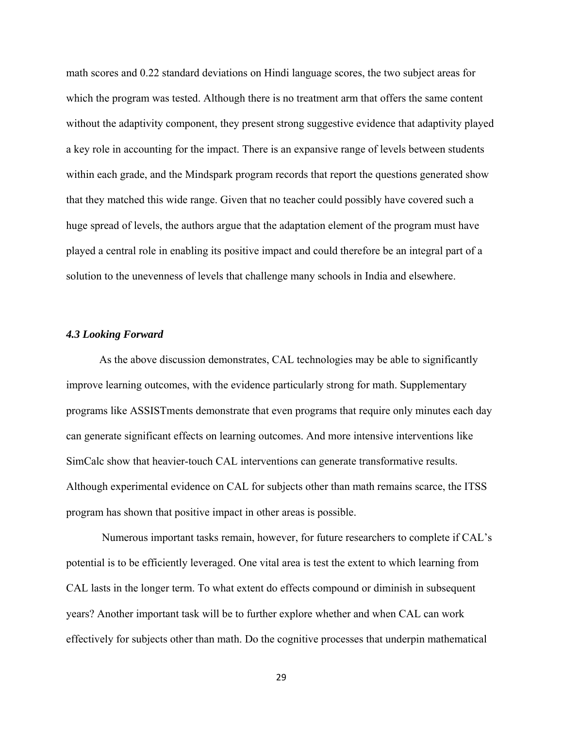math scores and 0.22 standard deviations on Hindi language scores, the two subject areas for which the program was tested. Although there is no treatment arm that offers the same content without the adaptivity component, they present strong suggestive evidence that adaptivity played a key role in accounting for the impact. There is an expansive range of levels between students within each grade, and the Mindspark program records that report the questions generated show that they matched this wide range. Given that no teacher could possibly have covered such a huge spread of levels, the authors argue that the adaptation element of the program must have played a central role in enabling its positive impact and could therefore be an integral part of a solution to the unevenness of levels that challenge many schools in India and elsewhere.

#### *4.3 Looking Forward*

As the above discussion demonstrates, CAL technologies may be able to significantly improve learning outcomes, with the evidence particularly strong for math. Supplementary programs like ASSISTments demonstrate that even programs that require only minutes each day can generate significant effects on learning outcomes. And more intensive interventions like SimCalc show that heavier-touch CAL interventions can generate transformative results. Although experimental evidence on CAL for subjects other than math remains scarce, the ITSS program has shown that positive impact in other areas is possible.

 Numerous important tasks remain, however, for future researchers to complete if CAL's potential is to be efficiently leveraged. One vital area is test the extent to which learning from CAL lasts in the longer term. To what extent do effects compound or diminish in subsequent years? Another important task will be to further explore whether and when CAL can work effectively for subjects other than math. Do the cognitive processes that underpin mathematical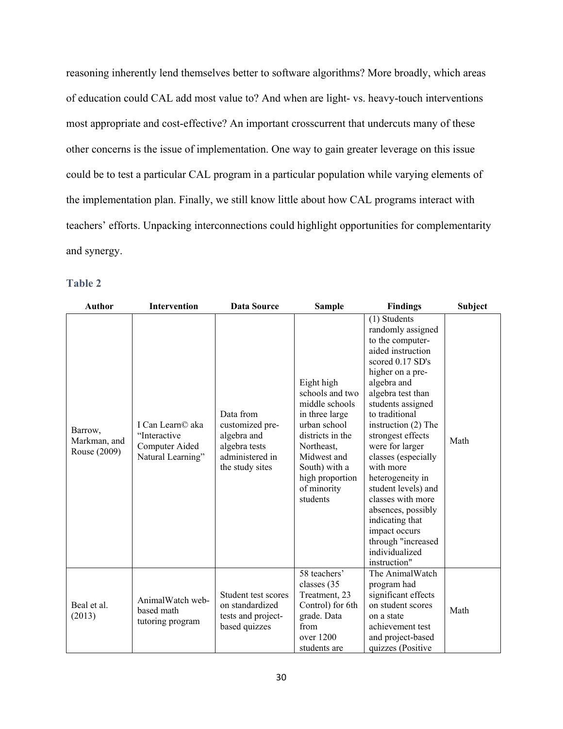reasoning inherently lend themselves better to software algorithms? More broadly, which areas of education could CAL add most value to? And when are light- vs. heavy-touch interventions most appropriate and cost-effective? An important crosscurrent that undercuts many of these other concerns is the issue of implementation. One way to gain greater leverage on this issue could be to test a particular CAL program in a particular population while varying elements of the implementation plan. Finally, we still know little about how CAL programs interact with teachers' efforts. Unpacking interconnections could highlight opportunities for complementarity and synergy.

### **Table 2**

| <b>Author</b>                           | Intervention                                                            | Data Source                                                                                        | <b>Sample</b>                                                                                                                                                                                     | <b>Findings</b>                                                                                                                                                                                                                                                                                                                                                                                                                                                                    | Subject |
|-----------------------------------------|-------------------------------------------------------------------------|----------------------------------------------------------------------------------------------------|---------------------------------------------------------------------------------------------------------------------------------------------------------------------------------------------------|------------------------------------------------------------------------------------------------------------------------------------------------------------------------------------------------------------------------------------------------------------------------------------------------------------------------------------------------------------------------------------------------------------------------------------------------------------------------------------|---------|
| Barrow,<br>Markman, and<br>Rouse (2009) | I Can Learn© aka<br>"Interactive<br>Computer Aided<br>Natural Learning" | Data from<br>customized pre-<br>algebra and<br>algebra tests<br>administered in<br>the study sites | Eight high<br>schools and two<br>middle schools<br>in three large<br>urban school<br>districts in the<br>Northeast,<br>Midwest and<br>South) with a<br>high proportion<br>of minority<br>students | (1) Students<br>randomly assigned<br>to the computer-<br>aided instruction<br>scored 0.17 SD's<br>higher on a pre-<br>algebra and<br>algebra test than<br>students assigned<br>to traditional<br>instruction (2) The<br>strongest effects<br>were for larger<br>classes (especially<br>with more<br>heterogeneity in<br>student levels) and<br>classes with more<br>absences, possibly<br>indicating that<br>impact occurs<br>through "increased<br>individualized<br>instruction" | Math    |
| Beal et al.<br>(2013)                   | AnimalWatch web-<br>based math<br>tutoring program                      | Student test scores<br>on standardized<br>tests and project-<br>based quizzes                      | 58 teachers'<br>classes (35<br>Treatment, 23<br>Control) for 6th<br>grade. Data<br>from<br>over 1200<br>students are                                                                              | The AnimalWatch<br>program had<br>significant effects<br>on student scores<br>on a state<br>achievement test<br>and project-based<br>quizzes (Positive                                                                                                                                                                                                                                                                                                                             | Math    |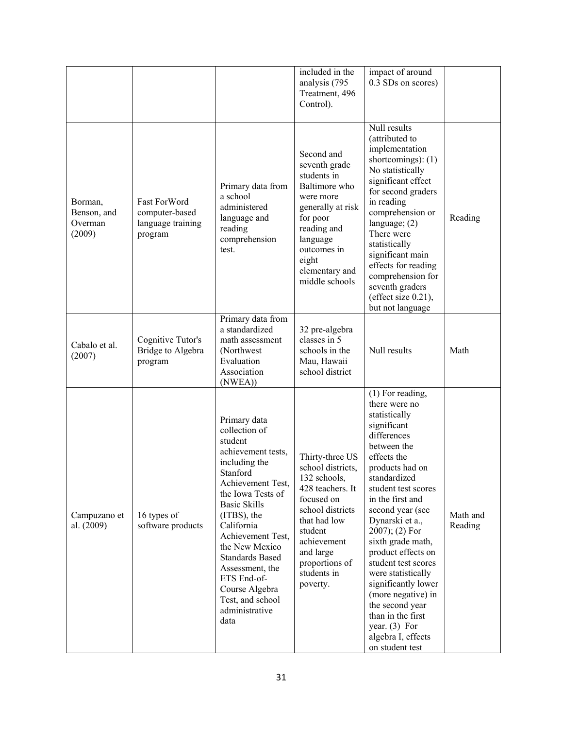|                                             |                                                                |                                                                                                                                                                                                                                                                                                                                                              | included in the<br>analysis (795<br>Treatment, 496<br>Control).                                                                                                                                                | impact of around<br>0.3 SDs on scores)                                                                                                                                                                                                                                                                                                                                                                                                                                                            |                     |
|---------------------------------------------|----------------------------------------------------------------|--------------------------------------------------------------------------------------------------------------------------------------------------------------------------------------------------------------------------------------------------------------------------------------------------------------------------------------------------------------|----------------------------------------------------------------------------------------------------------------------------------------------------------------------------------------------------------------|---------------------------------------------------------------------------------------------------------------------------------------------------------------------------------------------------------------------------------------------------------------------------------------------------------------------------------------------------------------------------------------------------------------------------------------------------------------------------------------------------|---------------------|
| Borman,<br>Benson, and<br>Overman<br>(2009) | Fast ForWord<br>computer-based<br>language training<br>program | Primary data from<br>a school<br>administered<br>language and<br>reading<br>comprehension<br>test.                                                                                                                                                                                                                                                           | Second and<br>seventh grade<br>students in<br>Baltimore who<br>were more<br>generally at risk<br>for poor<br>reading and<br>language<br>outcomes in<br>eight<br>elementary and<br>middle schools               | Null results<br>(attributed to<br>implementation<br>shortcomings): (1)<br>No statistically<br>significant effect<br>for second graders<br>in reading<br>comprehension or<br>language; $(2)$<br>There were<br>statistically<br>significant main<br>effects for reading<br>comprehension for<br>seventh graders<br>(effect size 0.21),<br>but not language                                                                                                                                          | Reading             |
| Cabalo et al.<br>(2007)                     | Cognitive Tutor's<br>Bridge to Algebra<br>program              | Primary data from<br>a standardized<br>math assessment<br>(Northwest<br>Evaluation<br>Association<br>(NWEA))                                                                                                                                                                                                                                                 | 32 pre-algebra<br>classes in 5<br>schools in the<br>Mau, Hawaii<br>school district                                                                                                                             | Null results                                                                                                                                                                                                                                                                                                                                                                                                                                                                                      | Math                |
| Campuzano et<br>al. (2009)                  | 16 types of<br>software products                               | Primary data<br>collection of<br>student<br>achievement tests,<br>including the<br>Stanford<br>Achievement Test,<br>the Iowa Tests of<br><b>Basic Skills</b><br>(ITBS), the<br>California<br>Achievement Test,<br>the New Mexico<br><b>Standards Based</b><br>Assessment, the<br>ETS End-of-<br>Course Algebra<br>Test, and school<br>administrative<br>data | Thirty-three US<br>school districts,<br>132 schools,<br>428 teachers. It<br>focused on<br>school districts<br>that had low<br>student<br>achievement<br>and large<br>proportions of<br>students in<br>poverty. | (1) For reading,<br>there were no<br>statistically<br>significant<br>differences<br>between the<br>effects the<br>products had on<br>standardized<br>student test scores<br>in the first and<br>second year (see<br>Dynarski et a.,<br>$2007$ ); (2) For<br>sixth grade math,<br>product effects on<br>student test scores<br>were statistically<br>significantly lower<br>(more negative) in<br>the second year<br>than in the first<br>year. $(3)$ For<br>algebra I, effects<br>on student test | Math and<br>Reading |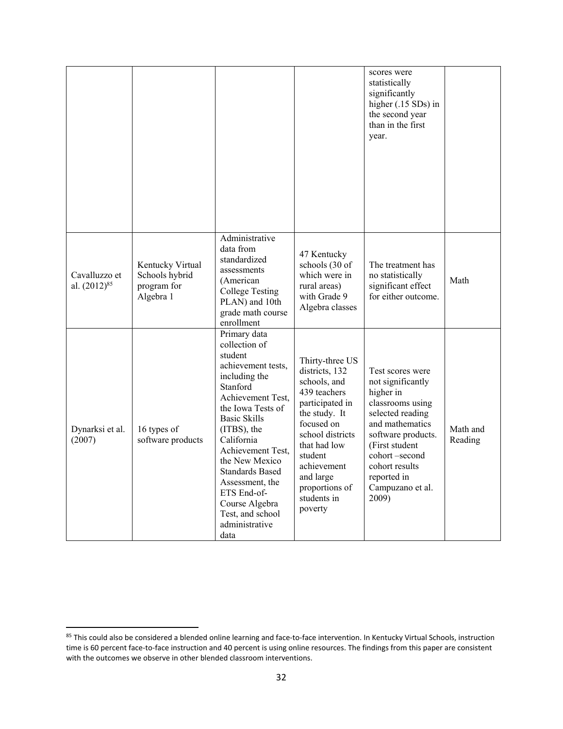|                                    |                                                                |                                                                                                                                                                                                                                                                                                                                                              |                                                                                                                                                                                                                                            | scores were<br>statistically<br>significantly<br>higher (.15 SDs) in<br>the second year<br>than in the first<br>year.                                                                                                                |                     |
|------------------------------------|----------------------------------------------------------------|--------------------------------------------------------------------------------------------------------------------------------------------------------------------------------------------------------------------------------------------------------------------------------------------------------------------------------------------------------------|--------------------------------------------------------------------------------------------------------------------------------------------------------------------------------------------------------------------------------------------|--------------------------------------------------------------------------------------------------------------------------------------------------------------------------------------------------------------------------------------|---------------------|
| Cavalluzzo et<br>al. $(2012)^{85}$ | Kentucky Virtual<br>Schools hybrid<br>program for<br>Algebra 1 | Administrative<br>data from<br>standardized<br>assessments<br>(American<br><b>College Testing</b><br>PLAN) and 10th<br>grade math course<br>enrollment                                                                                                                                                                                                       | 47 Kentucky<br>schools (30 of<br>which were in<br>rural areas)<br>with Grade 9<br>Algebra classes                                                                                                                                          | The treatment has<br>no statistically<br>significant effect<br>for either outcome.                                                                                                                                                   | Math                |
| Dynarksi et al.<br>(2007)          | 16 types of<br>software products                               | Primary data<br>collection of<br>student<br>achievement tests,<br>including the<br>Stanford<br>Achievement Test,<br>the Iowa Tests of<br><b>Basic Skills</b><br>(ITBS), the<br>California<br>Achievement Test,<br>the New Mexico<br><b>Standards Based</b><br>Assessment, the<br>ETS End-of-<br>Course Algebra<br>Test, and school<br>administrative<br>data | Thirty-three US<br>districts, 132<br>schools, and<br>439 teachers<br>participated in<br>the study. It<br>focused on<br>school districts<br>that had low<br>student<br>achievement<br>and large<br>proportions of<br>students in<br>poverty | Test scores were<br>not significantly<br>higher in<br>classrooms using<br>selected reading<br>and mathematics<br>software products.<br>(First student<br>cohort-second<br>cohort results<br>reported in<br>Campuzano et al.<br>2009) | Math and<br>Reading |

<sup>85</sup> This could also be considered a blended online learning and face-to-face intervention. In Kentucky Virtual Schools, instruction time is 60 percent face-to-face instruction and 40 percent is using online resources. The findings from this paper are consistent with the outcomes we observe in other blended classroom interventions.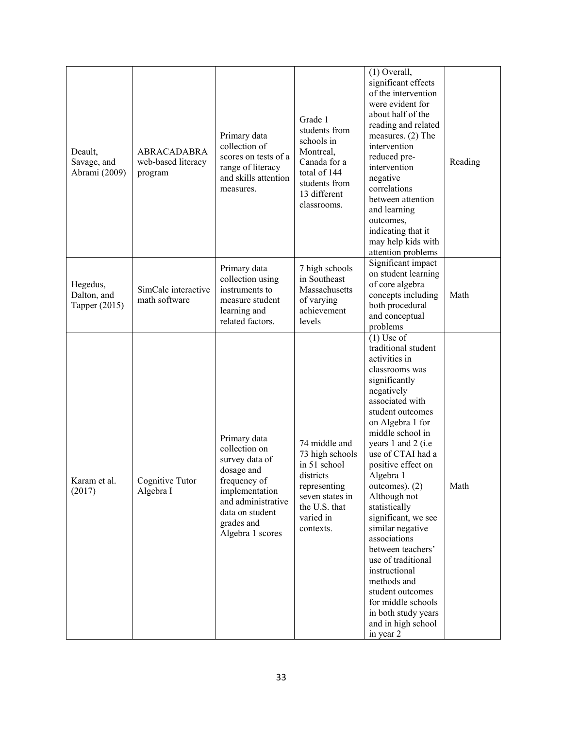| Deault,<br>Savage, and<br>Abrami (2009)  | <b>ABRACADABRA</b><br>web-based literacy<br>program | Primary data<br>collection of<br>scores on tests of a<br>range of literacy<br>and skills attention<br>measures.                                                            | Grade 1<br>students from<br>schools in<br>Montreal,<br>Canada for a<br>total of 144<br>students from<br>13 different<br>classrooms.         | $(1)$ Overall,<br>significant effects<br>of the intervention<br>were evident for<br>about half of the<br>reading and related<br>measures. $(2)$ The<br>intervention<br>reduced pre-<br>intervention<br>negative<br>correlations<br>between attention<br>and learning<br>outcomes,<br>indicating that it<br>may help kids with<br>attention problems                                                                                                                                                                                                             | Reading |
|------------------------------------------|-----------------------------------------------------|----------------------------------------------------------------------------------------------------------------------------------------------------------------------------|---------------------------------------------------------------------------------------------------------------------------------------------|-----------------------------------------------------------------------------------------------------------------------------------------------------------------------------------------------------------------------------------------------------------------------------------------------------------------------------------------------------------------------------------------------------------------------------------------------------------------------------------------------------------------------------------------------------------------|---------|
| Hegedus,<br>Dalton, and<br>Tapper (2015) | SimCalc interactive<br>math software                | Primary data<br>collection using<br>instruments to<br>measure student<br>learning and<br>related factors.                                                                  | 7 high schools<br>in Southeast<br>Massachusetts<br>of varying<br>achievement<br>levels                                                      | Significant impact<br>on student learning<br>of core algebra<br>concepts including<br>both procedural<br>and conceptual<br>problems                                                                                                                                                                                                                                                                                                                                                                                                                             | Math    |
| Karam et al.<br>(2017)                   | Cognitive Tutor<br>Algebra I                        | Primary data<br>collection on<br>survey data of<br>dosage and<br>frequency of<br>implementation<br>and administrative<br>data on student<br>grades and<br>Algebra 1 scores | 74 middle and<br>73 high schools<br>in 51 school<br>districts<br>representing<br>seven states in<br>the U.S. that<br>varied in<br>contexts. | $(1)$ Use of<br>traditional student<br>activities in<br>classrooms was<br>significantly<br>negatively<br>associated with<br>student outcomes<br>on Algebra 1 for<br>middle school in<br>years 1 and 2 (i.e<br>use of CTAI had a<br>positive effect on<br>Algebra 1<br>outcomes). (2)<br>Although not<br>statistically<br>significant, we see<br>similar negative<br>associations<br>between teachers'<br>use of traditional<br>instructional<br>methods and<br>student outcomes<br>for middle schools<br>in both study years<br>and in high school<br>in year 2 | Math    |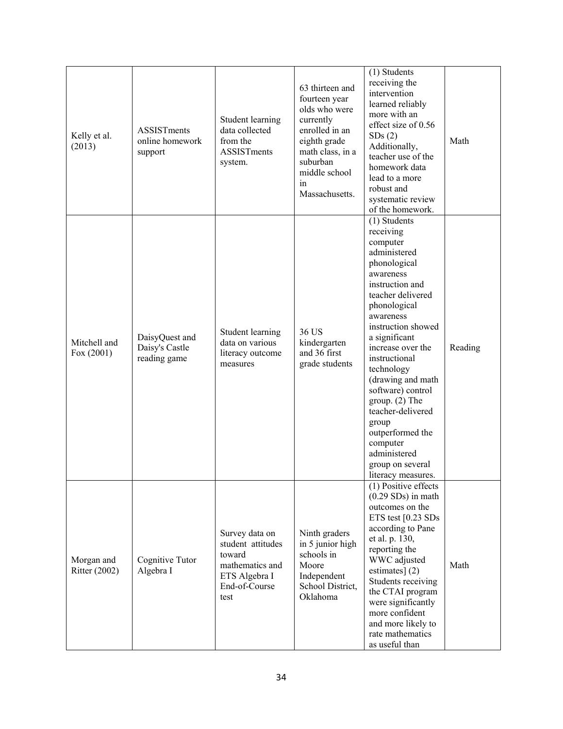| Kelly et al.<br>(2013)             | <b>ASSISTments</b><br>online homework<br>support | Student learning<br>data collected<br>from the<br>ASSISTments<br>system.                                   | 63 thirteen and<br>fourteen year<br>olds who were<br>currently<br>enrolled in an<br>eighth grade<br>math class, in a<br>suburban<br>middle school<br>in<br>Massachusetts. | (1) Students<br>receiving the<br>intervention<br>learned reliably<br>more with an<br>effect size of 0.56<br>SDs(2)<br>Additionally,<br>teacher use of the<br>homework data<br>lead to a more<br>robust and<br>systematic review<br>of the homework.                                                                                                                                                                                      | Math    |
|------------------------------------|--------------------------------------------------|------------------------------------------------------------------------------------------------------------|---------------------------------------------------------------------------------------------------------------------------------------------------------------------------|------------------------------------------------------------------------------------------------------------------------------------------------------------------------------------------------------------------------------------------------------------------------------------------------------------------------------------------------------------------------------------------------------------------------------------------|---------|
| Mitchell and<br>Fox $(2001)$       | DaisyQuest and<br>Daisy's Castle<br>reading game | Student learning<br>data on various<br>literacy outcome<br>measures                                        | 36 US<br>kindergarten<br>and 36 first<br>grade students                                                                                                                   | (1) Students<br>receiving<br>computer<br>administered<br>phonological<br>awareness<br>instruction and<br>teacher delivered<br>phonological<br>awareness<br>instruction showed<br>a significant<br>increase over the<br>instructional<br>technology<br>(drawing and math<br>software) control<br>group. $(2)$ The<br>teacher-delivered<br>group<br>outperformed the<br>computer<br>administered<br>group on several<br>literacy measures. | Reading |
| Morgan and<br><b>Ritter</b> (2002) | Cognitive Tutor<br>Algebra I                     | Survey data on<br>student attitudes<br>toward<br>mathematics and<br>ETS Algebra I<br>End-of-Course<br>test | Ninth graders<br>in 5 junior high<br>schools in<br>Moore<br>Independent<br>School District,<br>Oklahoma                                                                   | (1) Positive effects<br>$(0.29 SDs)$ in math<br>outcomes on the<br>ETS test [0.23 SDs<br>according to Pane<br>et al. p. 130,<br>reporting the<br>WWC adjusted<br>estimates] $(2)$<br>Students receiving<br>the CTAI program<br>were significantly<br>more confident<br>and more likely to<br>rate mathematics<br>as useful than                                                                                                          | Math    |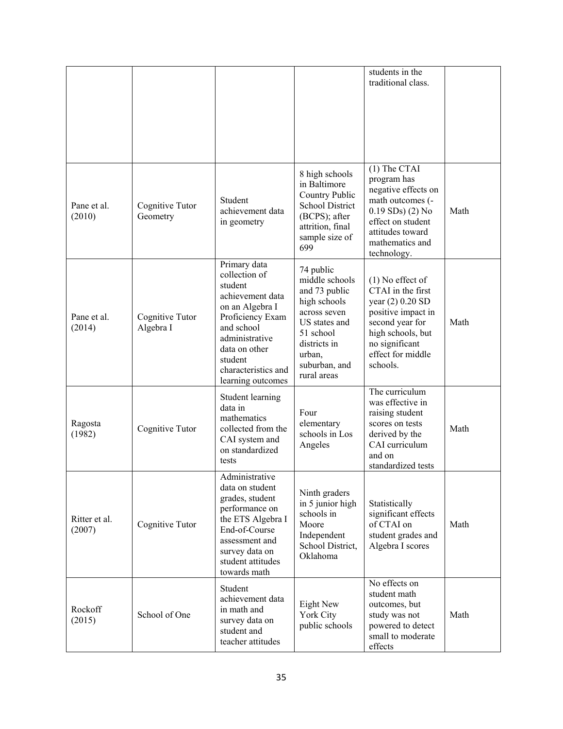|                         |                              |                                                                                                                                                                                                             |                                                                                                                                                                      | students in the<br>traditional class.                                                                                                                                        |      |
|-------------------------|------------------------------|-------------------------------------------------------------------------------------------------------------------------------------------------------------------------------------------------------------|----------------------------------------------------------------------------------------------------------------------------------------------------------------------|------------------------------------------------------------------------------------------------------------------------------------------------------------------------------|------|
| Pane et al.<br>(2010)   | Cognitive Tutor<br>Geometry  | Student<br>achievement data<br>in geometry                                                                                                                                                                  | 8 high schools<br>in Baltimore<br>Country Public<br><b>School District</b><br>(BCPS); after<br>attrition, final<br>sample size of<br>699                             | $(1)$ The CTAI<br>program has<br>negative effects on<br>math outcomes (-<br>$0.19$ SDs) $(2)$ No<br>effect on student<br>attitudes toward<br>mathematics and<br>technology.  | Math |
| Pane et al.<br>(2014)   | Cognitive Tutor<br>Algebra I | Primary data<br>collection of<br>student<br>achievement data<br>on an Algebra I<br>Proficiency Exam<br>and school<br>administrative<br>data on other<br>student<br>characteristics and<br>learning outcomes | 74 public<br>middle schools<br>and 73 public<br>high schools<br>across seven<br>US states and<br>51 school<br>districts in<br>urban,<br>suburban, and<br>rural areas | $(1)$ No effect of<br>CTAI in the first<br>year (2) 0.20 SD<br>positive impact in<br>second year for<br>high schools, but<br>no significant<br>effect for middle<br>schools. | Math |
| Ragosta<br>(1982)       | Cognitive Tutor              | Student learning<br>data in<br>mathematics<br>collected from the<br>CAI system and<br>on standardized<br>tests                                                                                              | Four<br>elementary<br>schools in Los<br>Angeles                                                                                                                      | The curriculum<br>was effective in<br>raising student<br>scores on tests<br>derived by the<br>CAI curriculum<br>and on<br>standardized tests                                 | Math |
| Ritter et al.<br>(2007) | Cognitive Tutor              | Administrative<br>data on student<br>grades, student<br>performance on<br>the ETS Algebra I<br>End-of-Course<br>assessment and<br>survey data on<br>student attitudes<br>towards math                       | Ninth graders<br>in 5 junior high<br>schools in<br>Moore<br>Independent<br>School District,<br>Oklahoma                                                              | Statistically<br>significant effects<br>of CTAI on<br>student grades and<br>Algebra I scores                                                                                 | Math |
| Rockoff<br>(2015)       | School of One                | Student<br>achievement data<br>in math and<br>survey data on<br>student and<br>teacher attitudes                                                                                                            | Eight New<br>York City<br>public schools                                                                                                                             | No effects on<br>student math<br>outcomes, but<br>study was not<br>powered to detect<br>small to moderate<br>effects                                                         | Math |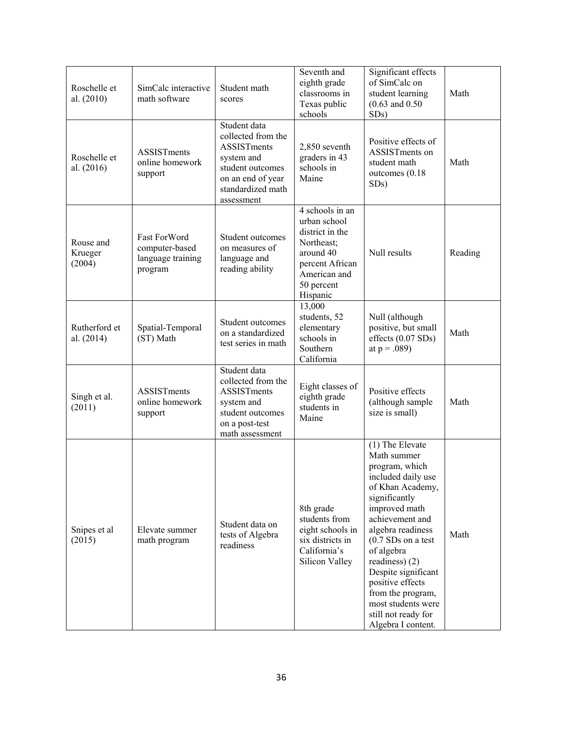| Roschelle et<br>al. (2010)     | SimCalc interactive<br>math software                           | Student math<br>scores                                                                                                                             | Seventh and<br>eighth grade<br>classrooms in<br>Texas public<br>schools                                                                    | Significant effects<br>of SimCalc on<br>student learning<br>$(0.63$ and $0.50$<br>SDs)                                                                                                                                                                                                                                                                          | Math    |
|--------------------------------|----------------------------------------------------------------|----------------------------------------------------------------------------------------------------------------------------------------------------|--------------------------------------------------------------------------------------------------------------------------------------------|-----------------------------------------------------------------------------------------------------------------------------------------------------------------------------------------------------------------------------------------------------------------------------------------------------------------------------------------------------------------|---------|
| Roschelle et<br>al. (2016)     | ASSISTments<br>online homework<br>support                      | Student data<br>collected from the<br><b>ASSISTments</b><br>system and<br>student outcomes<br>on an end of year<br>standardized math<br>assessment | 2,850 seventh<br>graders in 43<br>schools in<br>Maine                                                                                      | Positive effects of<br>ASSISTments on<br>student math<br>outcomes (0.18)<br>SDs)                                                                                                                                                                                                                                                                                | Math    |
| Rouse and<br>Krueger<br>(2004) | Fast ForWord<br>computer-based<br>language training<br>program | Student outcomes<br>on measures of<br>language and<br>reading ability                                                                              | 4 schools in an<br>urban school<br>district in the<br>Northeast;<br>around 40<br>percent African<br>American and<br>50 percent<br>Hispanic | Null results                                                                                                                                                                                                                                                                                                                                                    | Reading |
| Rutherford et<br>al. (2014)    | Spatial-Temporal<br>(ST) Math                                  | Student outcomes<br>on a standardized<br>test series in math                                                                                       | 13,000<br>students, 52<br>elementary<br>schools in<br>Southern<br>California                                                               | Null (although<br>positive, but small<br>effects (0.07 SDs)<br>at $p = .089$ )                                                                                                                                                                                                                                                                                  | Math    |
| Singh et al.<br>(2011)         | ASSISTments<br>online homework<br>support                      | Student data<br>collected from the<br><b>ASSISTments</b><br>system and<br>student outcomes<br>on a post-test<br>math assessment                    | Eight classes of<br>eighth grade<br>students in<br>Maine                                                                                   | Positive effects<br>(although sample<br>size is small)                                                                                                                                                                                                                                                                                                          | Math    |
| Snipes et al<br>(2015)         | Elevate summer<br>math program                                 | Student data on<br>tests of Algebra<br>readiness                                                                                                   | 8th grade<br>students from<br>eight schools in<br>six districts in<br>California's<br>Silicon Valley                                       | (1) The Elevate<br>Math summer<br>program, which<br>included daily use<br>of Khan Academy,<br>significantly<br>improved math<br>achievement and<br>algebra readiness<br>$(0.7 SDs$ on a test<br>of algebra<br>readiness) (2)<br>Despite significant<br>positive effects<br>from the program,<br>most students were<br>still not ready for<br>Algebra I content. | Math    |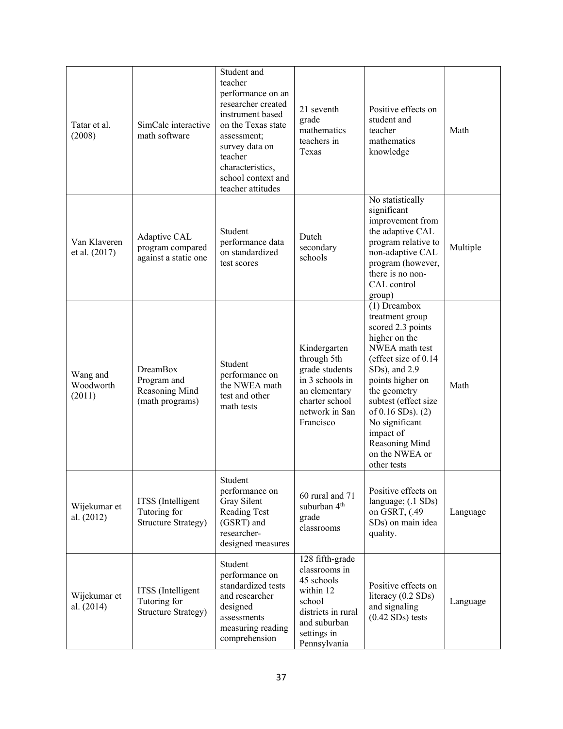| Tatar et al.<br>(2008)          | SimCalc interactive<br>math software                                | Student and<br>teacher<br>performance on an<br>researcher created<br>instrument based<br>on the Texas state<br>assessment;<br>survey data on<br>teacher<br>characteristics,<br>school context and<br>teacher attitudes | 21 seventh<br>grade<br>mathematics<br>teachers in<br>Texas                                                                                 | Positive effects on<br>student and<br>teacher<br>mathematics<br>knowledge                                                                                                                                                                                                                               | Math     |
|---------------------------------|---------------------------------------------------------------------|------------------------------------------------------------------------------------------------------------------------------------------------------------------------------------------------------------------------|--------------------------------------------------------------------------------------------------------------------------------------------|---------------------------------------------------------------------------------------------------------------------------------------------------------------------------------------------------------------------------------------------------------------------------------------------------------|----------|
| Van Klaveren<br>et al. (2017)   | Adaptive CAL<br>program compared<br>against a static one            | Student<br>performance data<br>on standardized<br>test scores                                                                                                                                                          | Dutch<br>secondary<br>schools                                                                                                              | No statistically<br>significant<br>improvement from<br>the adaptive CAL<br>program relative to<br>non-adaptive CAL<br>program (however,<br>there is no non-<br>CAL control<br>group)                                                                                                                    | Multiple |
| Wang and<br>Woodworth<br>(2011) | <b>DreamBox</b><br>Program and<br>Reasoning Mind<br>(math programs) | Student<br>performance on<br>the NWEA math<br>test and other<br>math tests                                                                                                                                             | Kindergarten<br>through 5th<br>grade students<br>in 3 schools in<br>an elementary<br>charter school<br>network in San<br>Francisco         | (1) Dreambox<br>treatment group<br>scored 2.3 points<br>higher on the<br>NWEA math test<br>(effect size of 0.14<br>SDs), and 2.9<br>points higher on<br>the geometry<br>subtest (effect size<br>of $0.16$ SDs). $(2)$<br>No significant<br>impact of<br>Reasoning Mind<br>on the NWEA or<br>other tests | Math     |
| Wijekumar et<br>al. (2012)      | ITSS (Intelligent<br>Tutoring for<br><b>Structure Strategy)</b>     | Student<br>performance on<br>Gray Silent<br>Reading Test<br>(GSRT) and<br>researcher-<br>designed measures                                                                                                             | 60 rural and 71<br>suburban 4 <sup>th</sup><br>grade<br>classrooms                                                                         | Positive effects on<br>language; (.1 SDs)<br>on GSRT, (.49<br>SDs) on main idea<br>quality.                                                                                                                                                                                                             | Language |
| Wijekumar et<br>al. (2014)      | ITSS (Intelligent<br>Tutoring for<br><b>Structure Strategy)</b>     | Student<br>performance on<br>standardized tests<br>and researcher<br>designed<br>assessments<br>measuring reading<br>comprehension                                                                                     | 128 fifth-grade<br>classrooms in<br>45 schools<br>within 12<br>school<br>districts in rural<br>and suburban<br>settings in<br>Pennsylvania | Positive effects on<br>literacy $(0.2 SDs)$<br>and signaling<br>$(0.42$ SDs) tests                                                                                                                                                                                                                      | Language |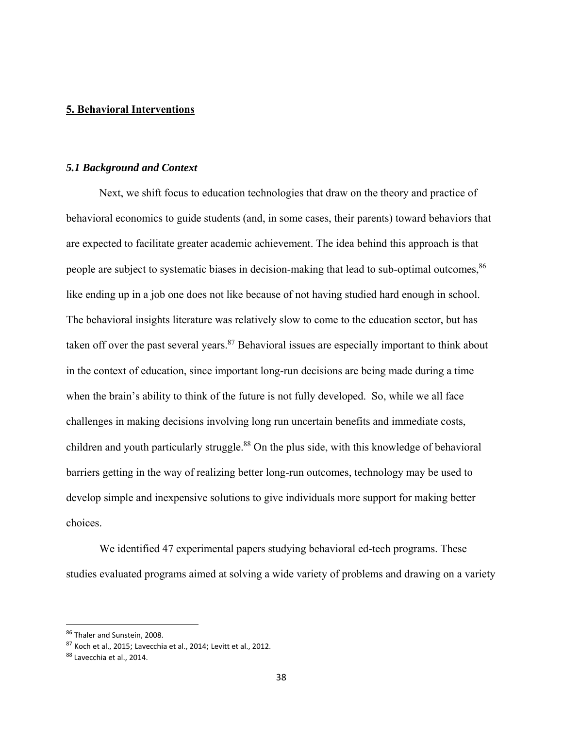### **5. Behavioral Interventions**

#### *5.1 Background and Context*

Next, we shift focus to education technologies that draw on the theory and practice of behavioral economics to guide students (and, in some cases, their parents) toward behaviors that are expected to facilitate greater academic achievement. The idea behind this approach is that people are subject to systematic biases in decision-making that lead to sub-optimal outcomes, <sup>86</sup> like ending up in a job one does not like because of not having studied hard enough in school. The behavioral insights literature was relatively slow to come to the education sector, but has taken off over the past several years.<sup>87</sup> Behavioral issues are especially important to think about in the context of education, since important long-run decisions are being made during a time when the brain's ability to think of the future is not fully developed. So, while we all face challenges in making decisions involving long run uncertain benefits and immediate costs, children and youth particularly struggle.<sup>88</sup> On the plus side, with this knowledge of behavioral barriers getting in the way of realizing better long-run outcomes, technology may be used to develop simple and inexpensive solutions to give individuals more support for making better choices.

We identified 47 experimental papers studying behavioral ed-tech programs. These studies evaluated programs aimed at solving a wide variety of problems and drawing on a variety

<sup>86</sup> Thaler and Sunstein, 2008.

<sup>87</sup> Koch et al., 2015; Lavecchia et al., 2014; Levitt et al., 2012.

<sup>88</sup> Lavecchia et al., 2014.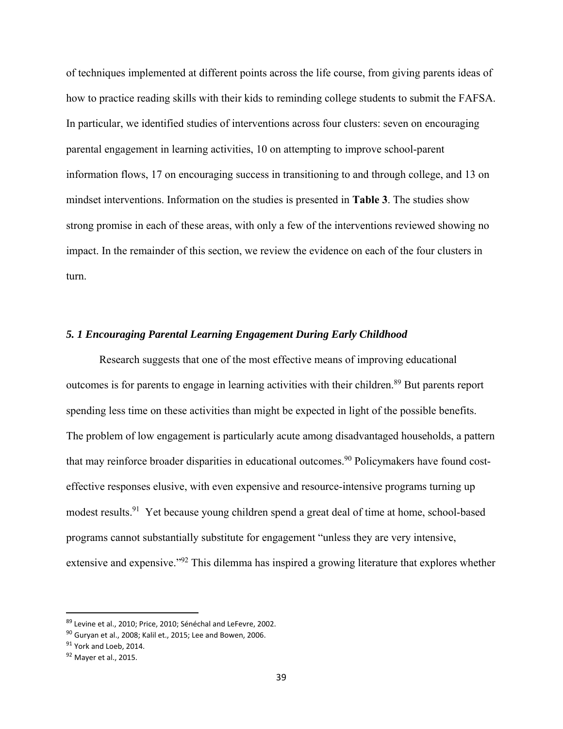of techniques implemented at different points across the life course, from giving parents ideas of how to practice reading skills with their kids to reminding college students to submit the FAFSA. In particular, we identified studies of interventions across four clusters: seven on encouraging parental engagement in learning activities, 10 on attempting to improve school-parent information flows, 17 on encouraging success in transitioning to and through college, and 13 on mindset interventions. Information on the studies is presented in **Table 3**. The studies show strong promise in each of these areas, with only a few of the interventions reviewed showing no impact. In the remainder of this section, we review the evidence on each of the four clusters in turn.

# *5. 1 Encouraging Parental Learning Engagement During Early Childhood*

Research suggests that one of the most effective means of improving educational outcomes is for parents to engage in learning activities with their children.<sup>89</sup> But parents report spending less time on these activities than might be expected in light of the possible benefits. The problem of low engagement is particularly acute among disadvantaged households, a pattern that may reinforce broader disparities in educational outcomes.<sup>90</sup> Policymakers have found costeffective responses elusive, with even expensive and resource-intensive programs turning up modest results.<sup>91</sup> Yet because young children spend a great deal of time at home, school-based programs cannot substantially substitute for engagement "unless they are very intensive, extensive and expensive."92 This dilemma has inspired a growing literature that explores whether

<sup>89</sup> Levine et al., 2010; Price, 2010; Sénéchal and LeFevre, 2002.

<sup>90</sup> Gurvan et al., 2008; Kalil et., 2015; Lee and Bowen, 2006.

<sup>&</sup>lt;sup>91</sup> York and Loeb. 2014.

<sup>92</sup> Mayer et al., 2015.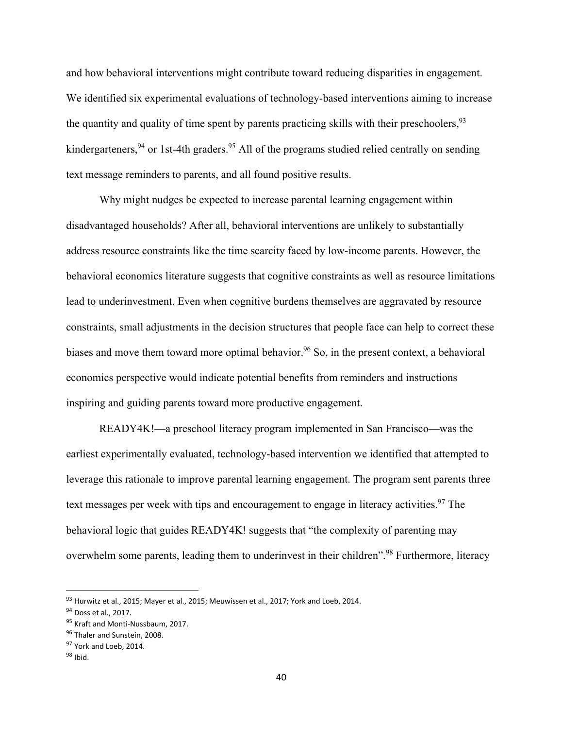and how behavioral interventions might contribute toward reducing disparities in engagement. We identified six experimental evaluations of technology-based interventions aiming to increase the quantity and quality of time spent by parents practicing skills with their preschoolers,  $93$ kindergarteners,  $94$  or 1st-4th graders.  $95$  All of the programs studied relied centrally on sending text message reminders to parents, and all found positive results.

Why might nudges be expected to increase parental learning engagement within disadvantaged households? After all, behavioral interventions are unlikely to substantially address resource constraints like the time scarcity faced by low-income parents. However, the behavioral economics literature suggests that cognitive constraints as well as resource limitations lead to underinvestment. Even when cognitive burdens themselves are aggravated by resource constraints, small adjustments in the decision structures that people face can help to correct these biases and move them toward more optimal behavior.<sup>96</sup> So, in the present context, a behavioral economics perspective would indicate potential benefits from reminders and instructions inspiring and guiding parents toward more productive engagement.

READY4K!—a preschool literacy program implemented in San Francisco—was the earliest experimentally evaluated, technology-based intervention we identified that attempted to leverage this rationale to improve parental learning engagement. The program sent parents three text messages per week with tips and encouragement to engage in literacy activities.<sup>97</sup> The behavioral logic that guides READY4K! suggests that "the complexity of parenting may overwhelm some parents, leading them to underinvest in their children".<sup>98</sup> Furthermore, literacy

<sup>93</sup> Hurwitz et al., 2015; Mayer et al., 2015; Meuwissen et al., 2017; York and Loeb, 2014.

<sup>94</sup> Doss et al., 2017.

<sup>95</sup> Kraft and Monti-Nussbaum, 2017.

<sup>&</sup>lt;sup>96</sup> Thaler and Sunstein, 2008.

<sup>97</sup> York and Loeb, 2014.

<sup>98</sup> Ibid.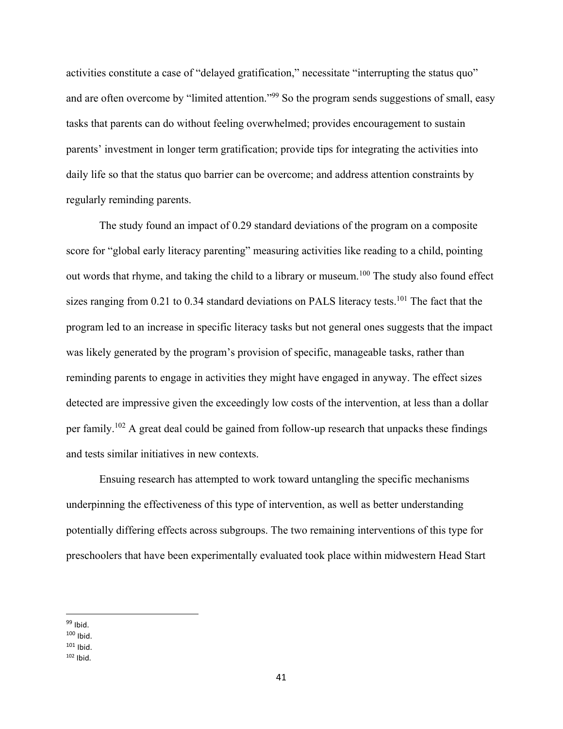activities constitute a case of "delayed gratification," necessitate "interrupting the status quo" and are often overcome by "limited attention."<sup>99</sup> So the program sends suggestions of small, easy tasks that parents can do without feeling overwhelmed; provides encouragement to sustain parents' investment in longer term gratification; provide tips for integrating the activities into daily life so that the status quo barrier can be overcome; and address attention constraints by regularly reminding parents.

The study found an impact of 0.29 standard deviations of the program on a composite score for "global early literacy parenting" measuring activities like reading to a child, pointing out words that rhyme, and taking the child to a library or museum.<sup>100</sup> The study also found effect sizes ranging from  $0.21$  to  $0.34$  standard deviations on PALS literacy tests.<sup>101</sup> The fact that the program led to an increase in specific literacy tasks but not general ones suggests that the impact was likely generated by the program's provision of specific, manageable tasks, rather than reminding parents to engage in activities they might have engaged in anyway. The effect sizes detected are impressive given the exceedingly low costs of the intervention, at less than a dollar per family.<sup>102</sup> A great deal could be gained from follow-up research that unpacks these findings and tests similar initiatives in new contexts.

Ensuing research has attempted to work toward untangling the specific mechanisms underpinning the effectiveness of this type of intervention, as well as better understanding potentially differing effects across subgroups. The two remaining interventions of this type for preschoolers that have been experimentally evaluated took place within midwestern Head Start

  $99$  Ibid.

 $100$  Ibid.

 $101$  Ibid.

 $102$  Ibid.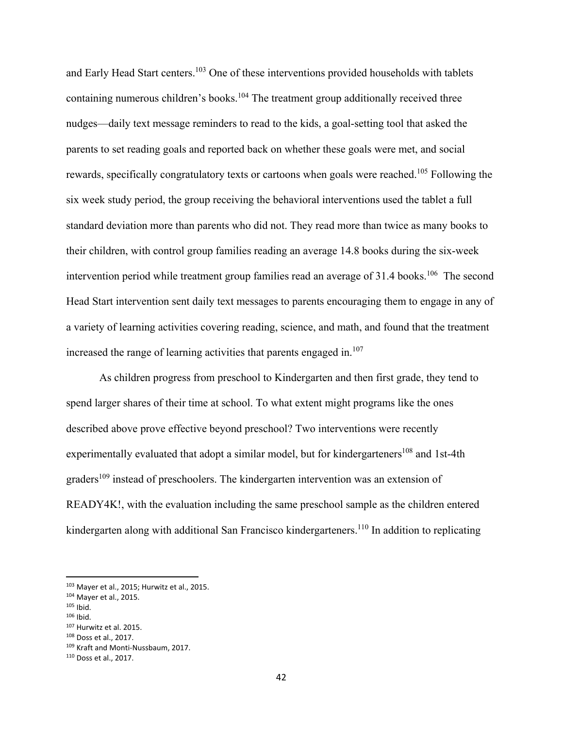and Early Head Start centers.<sup>103</sup> One of these interventions provided households with tablets containing numerous children's books.<sup>104</sup> The treatment group additionally received three nudges—daily text message reminders to read to the kids, a goal-setting tool that asked the parents to set reading goals and reported back on whether these goals were met, and social rewards, specifically congratulatory texts or cartoons when goals were reached.<sup>105</sup> Following the six week study period, the group receiving the behavioral interventions used the tablet a full standard deviation more than parents who did not. They read more than twice as many books to their children, with control group families reading an average 14.8 books during the six-week intervention period while treatment group families read an average of 31.4 books.<sup>106</sup> The second Head Start intervention sent daily text messages to parents encouraging them to engage in any of a variety of learning activities covering reading, science, and math, and found that the treatment increased the range of learning activities that parents engaged in. $107$ 

As children progress from preschool to Kindergarten and then first grade, they tend to spend larger shares of their time at school. To what extent might programs like the ones described above prove effective beyond preschool? Two interventions were recently experimentally evaluated that adopt a similar model, but for kindergarteners<sup>108</sup> and 1st-4th graders<sup>109</sup> instead of preschoolers. The kindergarten intervention was an extension of READY4K!, with the evaluation including the same preschool sample as the children entered kindergarten along with additional San Francisco kindergarteners.<sup>110</sup> In addition to replicating

 $105$  Ibid.

 103 Mayer et al., 2015; Hurwitz et al., 2015.

<sup>104</sup> Mayer et al., 2015.

 $106$  Ibid.

<sup>107</sup> Hurwitz et al. 2015.

<sup>108</sup> Doss et al., 2017.

<sup>109</sup> Kraft and Monti-Nussbaum, 2017.

<sup>110</sup> Doss et al., 2017.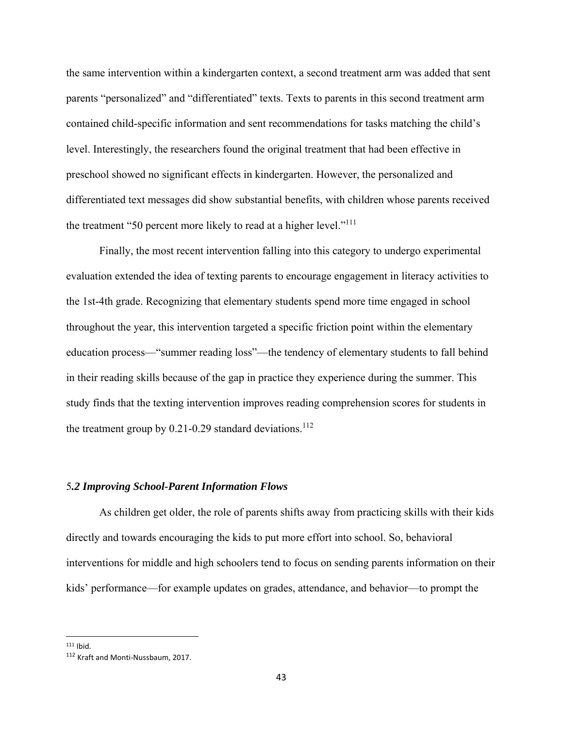the same intervention within a kindergarten context, a second treatment arm was added that sent parents "personalized" and "differentiated" texts. Texts to parents in this second treatment arm contained child-specific information and sent recommendations for tasks matching the child's level. Interestingly, the researchers found the original treatment that had been effective in preschool showed no significant effects in kindergarten. However, the personalized and differentiated text messages did show substantial benefits, with children whose parents received the treatment "50 percent more likely to read at a higher level."<sup>111</sup>

Finally, the most recent intervention falling into this category to undergo experimental evaluation extended the idea of texting parents to encourage engagement in literacy activities to the 1st-4th grade. Recognizing that elementary students spend more time engaged in school throughout the year, this intervention targeted a specific friction point within the elementary education process—"summer reading loss"—the tendency of elementary students to fall behind in their reading skills because of the gap in practice they experience during the summer. This study finds that the texting intervention improves reading comprehension scores for students in the treatment group by  $0.21$ -0.29 standard deviations.<sup>112</sup>

### 5*.2 Improving School-Parent Information Flows*

As children get older, the role of parents shifts away from practicing skills with their kids directly and towards encouraging the kids to put more effort into school. So, behavioral interventions for middle and high schoolers tend to focus on sending parents information on their kids' performance—for example updates on grades, attendance, and behavior—to prompt the

 $111$  Ibid.

<sup>112</sup> Kraft and Monti‐Nussbaum, 2017.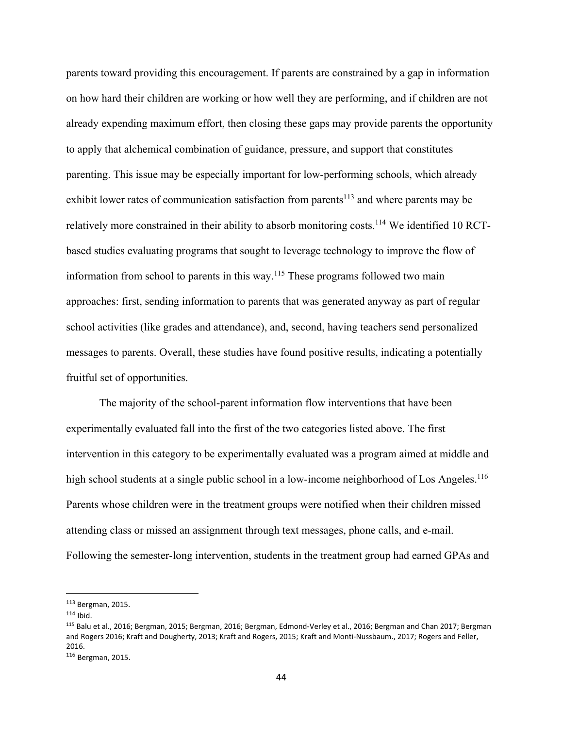parents toward providing this encouragement. If parents are constrained by a gap in information on how hard their children are working or how well they are performing, and if children are not already expending maximum effort, then closing these gaps may provide parents the opportunity to apply that alchemical combination of guidance, pressure, and support that constitutes parenting. This issue may be especially important for low-performing schools, which already exhibit lower rates of communication satisfaction from parents<sup>113</sup> and where parents may be relatively more constrained in their ability to absorb monitoring costs.<sup>114</sup> We identified 10 RCTbased studies evaluating programs that sought to leverage technology to improve the flow of information from school to parents in this way.<sup>115</sup> These programs followed two main approaches: first, sending information to parents that was generated anyway as part of regular school activities (like grades and attendance), and, second, having teachers send personalized messages to parents. Overall, these studies have found positive results, indicating a potentially fruitful set of opportunities.

The majority of the school-parent information flow interventions that have been experimentally evaluated fall into the first of the two categories listed above. The first intervention in this category to be experimentally evaluated was a program aimed at middle and high school students at a single public school in a low-income neighborhood of Los Angeles.<sup>116</sup> Parents whose children were in the treatment groups were notified when their children missed attending class or missed an assignment through text messages, phone calls, and e-mail. Following the semester-long intervention, students in the treatment group had earned GPAs and

<sup>113</sup> Bergman, 2015.

 $114$  Ibid.

<sup>115</sup> Balu et al., 2016; Bergman, 2015; Bergman, 2016; Bergman, Edmond‐Verley et al., 2016; Bergman and Chan 2017; Bergman and Rogers 2016; Kraft and Dougherty, 2013; Kraft and Rogers, 2015; Kraft and Monti-Nussbaum., 2017; Rogers and Feller, 2016.

<sup>116</sup> Bergman, 2015.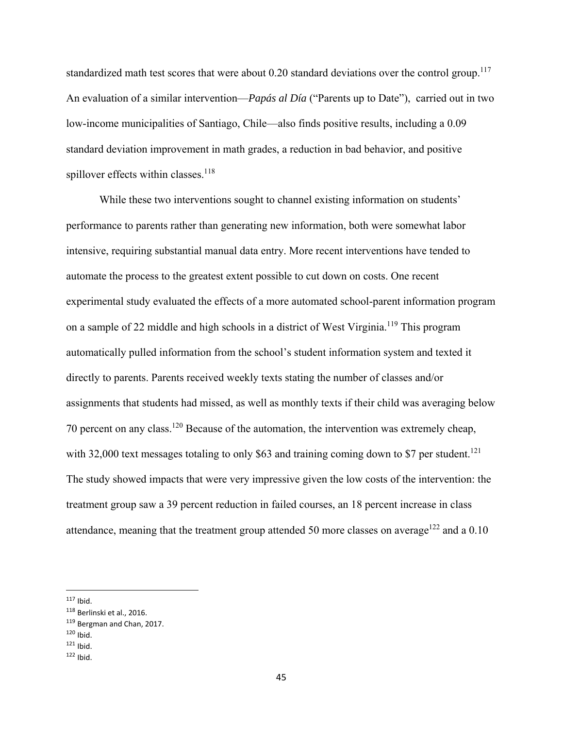standardized math test scores that were about  $0.20$  standard deviations over the control group.<sup>117</sup> An evaluation of a similar intervention—*Papás al Día* ("Parents up to Date"), carried out in two low-income municipalities of Santiago, Chile—also finds positive results, including a 0.09 standard deviation improvement in math grades, a reduction in bad behavior, and positive spillover effects within classes. $118$ 

 While these two interventions sought to channel existing information on students' performance to parents rather than generating new information, both were somewhat labor intensive, requiring substantial manual data entry. More recent interventions have tended to automate the process to the greatest extent possible to cut down on costs. One recent experimental study evaluated the effects of a more automated school-parent information program on a sample of 22 middle and high schools in a district of West Virginia.<sup>119</sup> This program automatically pulled information from the school's student information system and texted it directly to parents. Parents received weekly texts stating the number of classes and/or assignments that students had missed, as well as monthly texts if their child was averaging below 70 percent on any class.<sup>120</sup> Because of the automation, the intervention was extremely cheap, with 32,000 text messages totaling to only \$63 and training coming down to \$7 per student.<sup>121</sup> The study showed impacts that were very impressive given the low costs of the intervention: the treatment group saw a 39 percent reduction in failed courses, an 18 percent increase in class attendance, meaning that the treatment group attended 50 more classes on average<sup>122</sup> and a 0.10

 $117$  Ibid.

<sup>118</sup> Berlinski et al., 2016.

<sup>119</sup> Bergman and Chan, 2017.

 $120$  Ibid.

 $121$  Ibid.

 $122$  Ibid.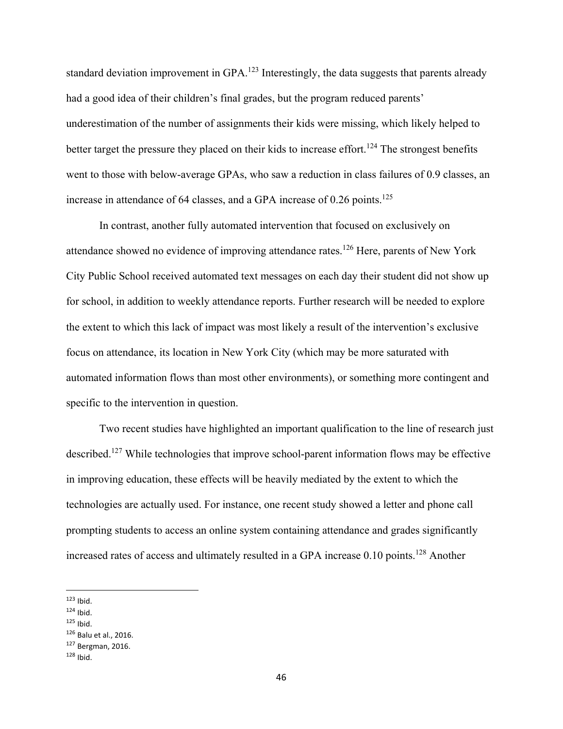standard deviation improvement in GPA.<sup>123</sup> Interestingly, the data suggests that parents already had a good idea of their children's final grades, but the program reduced parents' underestimation of the number of assignments their kids were missing, which likely helped to better target the pressure they placed on their kids to increase effort.<sup>124</sup> The strongest benefits went to those with below-average GPAs, who saw a reduction in class failures of 0.9 classes, an increase in attendance of 64 classes, and a GPA increase of  $0.26$  points.<sup>125</sup>

 In contrast, another fully automated intervention that focused on exclusively on attendance showed no evidence of improving attendance rates.<sup>126</sup> Here, parents of New York City Public School received automated text messages on each day their student did not show up for school, in addition to weekly attendance reports. Further research will be needed to explore the extent to which this lack of impact was most likely a result of the intervention's exclusive focus on attendance, its location in New York City (which may be more saturated with automated information flows than most other environments), or something more contingent and specific to the intervention in question.

 Two recent studies have highlighted an important qualification to the line of research just described.<sup>127</sup> While technologies that improve school-parent information flows may be effective in improving education, these effects will be heavily mediated by the extent to which the technologies are actually used. For instance, one recent study showed a letter and phone call prompting students to access an online system containing attendance and grades significantly increased rates of access and ultimately resulted in a GPA increase 0.10 points.<sup>128</sup> Another

 $124$  Ibid.

<sup>126</sup> Balu et al., 2016.

 $123$  Ibid.

<sup>125</sup> Ibid.

<sup>127</sup> Bergman, 2016.

 $128$  Ibid.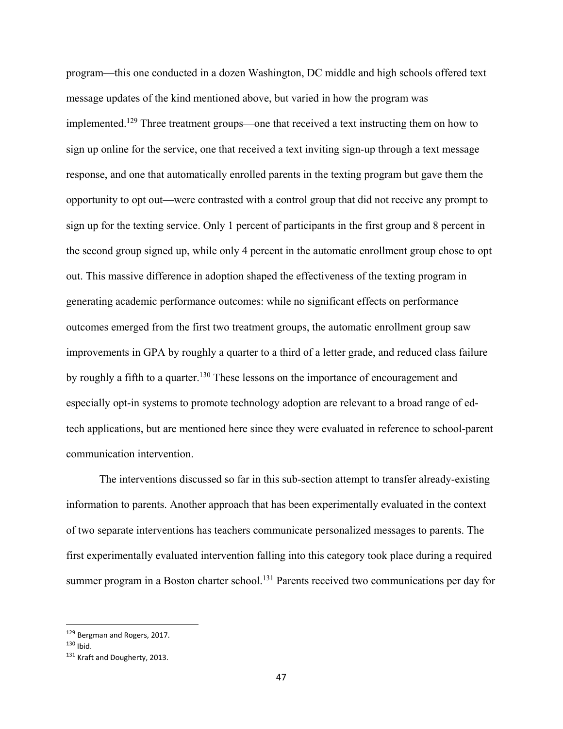program—this one conducted in a dozen Washington, DC middle and high schools offered text message updates of the kind mentioned above, but varied in how the program was implemented.129 Three treatment groups—one that received a text instructing them on how to sign up online for the service, one that received a text inviting sign-up through a text message response, and one that automatically enrolled parents in the texting program but gave them the opportunity to opt out—were contrasted with a control group that did not receive any prompt to sign up for the texting service. Only 1 percent of participants in the first group and 8 percent in the second group signed up, while only 4 percent in the automatic enrollment group chose to opt out. This massive difference in adoption shaped the effectiveness of the texting program in generating academic performance outcomes: while no significant effects on performance outcomes emerged from the first two treatment groups, the automatic enrollment group saw improvements in GPA by roughly a quarter to a third of a letter grade, and reduced class failure by roughly a fifth to a quarter.<sup>130</sup> These lessons on the importance of encouragement and especially opt-in systems to promote technology adoption are relevant to a broad range of edtech applications, but are mentioned here since they were evaluated in reference to school-parent communication intervention.

 The interventions discussed so far in this sub-section attempt to transfer already-existing information to parents. Another approach that has been experimentally evaluated in the context of two separate interventions has teachers communicate personalized messages to parents. The first experimentally evaluated intervention falling into this category took place during a required summer program in a Boston charter school.<sup>131</sup> Parents received two communications per day for

<sup>129</sup> Bergman and Rogers, 2017.

 $130$  Ihid.

<sup>131</sup> Kraft and Dougherty, 2013.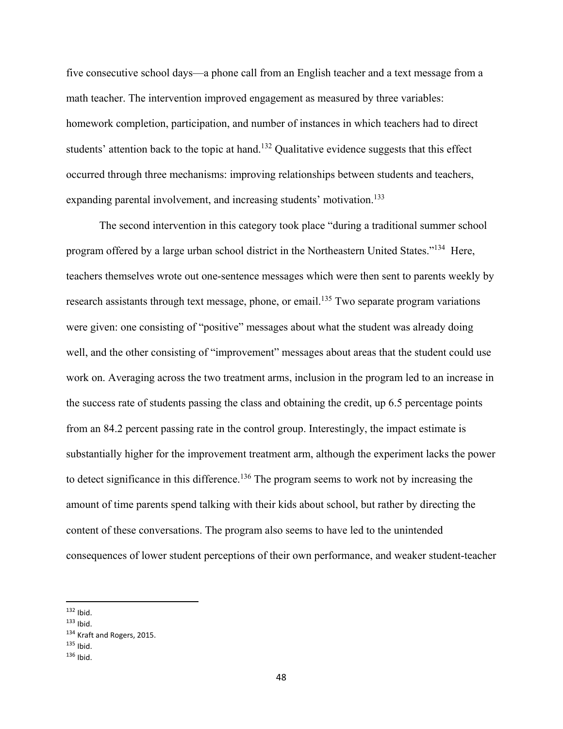five consecutive school days—a phone call from an English teacher and a text message from a math teacher. The intervention improved engagement as measured by three variables: homework completion, participation, and number of instances in which teachers had to direct students' attention back to the topic at hand.<sup>132</sup> Qualitative evidence suggests that this effect occurred through three mechanisms: improving relationships between students and teachers, expanding parental involvement, and increasing students' motivation.<sup>133</sup>

The second intervention in this category took place "during a traditional summer school program offered by a large urban school district in the Northeastern United States."134 Here, teachers themselves wrote out one-sentence messages which were then sent to parents weekly by research assistants through text message, phone, or email.<sup>135</sup> Two separate program variations were given: one consisting of "positive" messages about what the student was already doing well, and the other consisting of "improvement" messages about areas that the student could use work on. Averaging across the two treatment arms, inclusion in the program led to an increase in the success rate of students passing the class and obtaining the credit, up 6.5 percentage points from an 84.2 percent passing rate in the control group. Interestingly, the impact estimate is substantially higher for the improvement treatment arm, although the experiment lacks the power to detect significance in this difference.<sup>136</sup> The program seems to work not by increasing the amount of time parents spend talking with their kids about school, but rather by directing the content of these conversations. The program also seems to have led to the unintended consequences of lower student perceptions of their own performance, and weaker student-teacher

 $132$  Ibid.

<sup>133</sup> Ibid.

<sup>134</sup> Kraft and Rogers, 2015.

<sup>135</sup> Ibid.

 $136$  Ibid.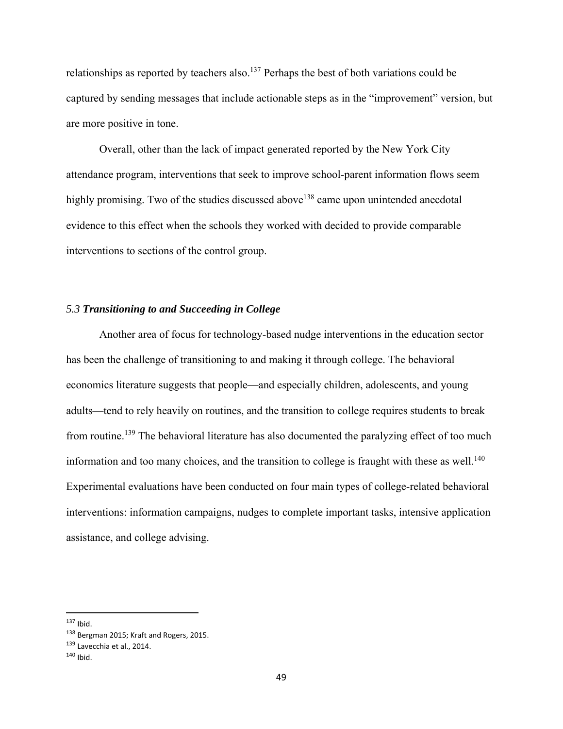relationships as reported by teachers also.<sup>137</sup> Perhaps the best of both variations could be captured by sending messages that include actionable steps as in the "improvement" version, but are more positive in tone.

Overall, other than the lack of impact generated reported by the New York City attendance program, interventions that seek to improve school-parent information flows seem highly promising. Two of the studies discussed above<sup>138</sup> came upon unintended anecdotal evidence to this effect when the schools they worked with decided to provide comparable interventions to sections of the control group.

# *5.3 Transitioning to and Succeeding in College*

Another area of focus for technology-based nudge interventions in the education sector has been the challenge of transitioning to and making it through college. The behavioral economics literature suggests that people—and especially children, adolescents, and young adults—tend to rely heavily on routines, and the transition to college requires students to break from routine.<sup>139</sup> The behavioral literature has also documented the paralyzing effect of too much information and too many choices, and the transition to college is fraught with these as well.<sup>140</sup> Experimental evaluations have been conducted on four main types of college-related behavioral interventions: information campaigns, nudges to complete important tasks, intensive application assistance, and college advising.

<sup>137</sup> Ibid.

<sup>138</sup> Bergman 2015; Kraft and Rogers, 2015.

<sup>139</sup> Lavecchia et al., 2014.

<sup>140</sup> Ibid.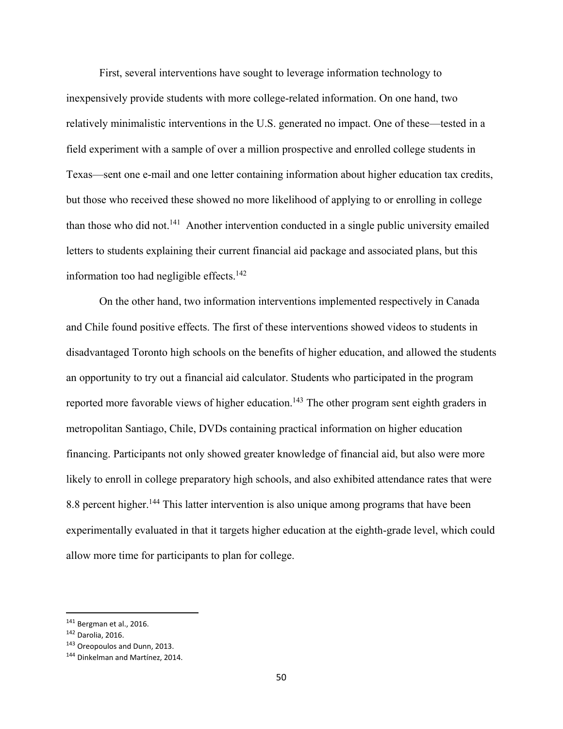First, several interventions have sought to leverage information technology to inexpensively provide students with more college-related information. On one hand, two relatively minimalistic interventions in the U.S. generated no impact. One of these—tested in a field experiment with a sample of over a million prospective and enrolled college students in Texas—sent one e-mail and one letter containing information about higher education tax credits, but those who received these showed no more likelihood of applying to or enrolling in college than those who did not.<sup>141</sup> Another intervention conducted in a single public university emailed letters to students explaining their current financial aid package and associated plans, but this information too had negligible effects. $142$ 

On the other hand, two information interventions implemented respectively in Canada and Chile found positive effects. The first of these interventions showed videos to students in disadvantaged Toronto high schools on the benefits of higher education, and allowed the students an opportunity to try out a financial aid calculator. Students who participated in the program reported more favorable views of higher education.<sup>143</sup> The other program sent eighth graders in metropolitan Santiago, Chile, DVDs containing practical information on higher education financing. Participants not only showed greater knowledge of financial aid, but also were more likely to enroll in college preparatory high schools, and also exhibited attendance rates that were 8.8 percent higher.<sup>144</sup> This latter intervention is also unique among programs that have been experimentally evaluated in that it targets higher education at the eighth-grade level, which could allow more time for participants to plan for college.

<sup>141</sup> Bergman et al., 2016.

<sup>142</sup> Darolia, 2016.

<sup>143</sup> Oreopoulos and Dunn, 2013.

<sup>144</sup> Dinkelman and Martínez, 2014.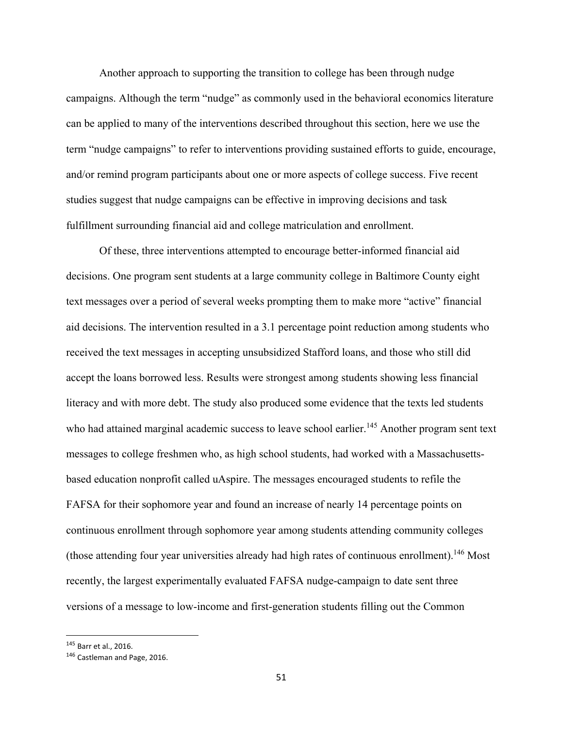Another approach to supporting the transition to college has been through nudge campaigns. Although the term "nudge" as commonly used in the behavioral economics literature can be applied to many of the interventions described throughout this section, here we use the term "nudge campaigns" to refer to interventions providing sustained efforts to guide, encourage, and/or remind program participants about one or more aspects of college success. Five recent studies suggest that nudge campaigns can be effective in improving decisions and task fulfillment surrounding financial aid and college matriculation and enrollment.

 Of these, three interventions attempted to encourage better-informed financial aid decisions. One program sent students at a large community college in Baltimore County eight text messages over a period of several weeks prompting them to make more "active" financial aid decisions. The intervention resulted in a 3.1 percentage point reduction among students who received the text messages in accepting unsubsidized Stafford loans, and those who still did accept the loans borrowed less. Results were strongest among students showing less financial literacy and with more debt. The study also produced some evidence that the texts led students who had attained marginal academic success to leave school earlier.<sup>145</sup> Another program sent text messages to college freshmen who, as high school students, had worked with a Massachusettsbased education nonprofit called uAspire. The messages encouraged students to refile the FAFSA for their sophomore year and found an increase of nearly 14 percentage points on continuous enrollment through sophomore year among students attending community colleges (those attending four year universities already had high rates of continuous enrollment).146 Most recently, the largest experimentally evaluated FAFSA nudge-campaign to date sent three versions of a message to low-income and first-generation students filling out the Common

<sup>145</sup> Barr et al., 2016.

<sup>146</sup> Castleman and Page, 2016.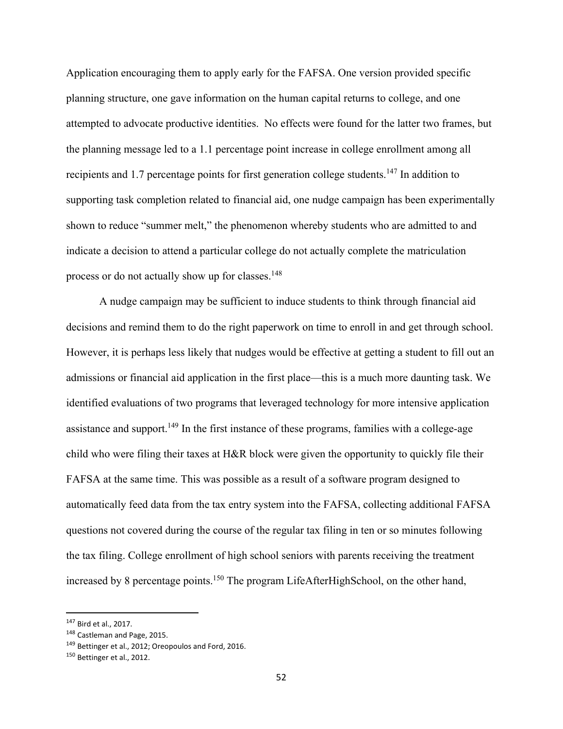Application encouraging them to apply early for the FAFSA. One version provided specific planning structure, one gave information on the human capital returns to college, and one attempted to advocate productive identities. No effects were found for the latter two frames, but the planning message led to a 1.1 percentage point increase in college enrollment among all recipients and 1.7 percentage points for first generation college students.<sup>147</sup> In addition to supporting task completion related to financial aid, one nudge campaign has been experimentally shown to reduce "summer melt," the phenomenon whereby students who are admitted to and indicate a decision to attend a particular college do not actually complete the matriculation process or do not actually show up for classes.<sup>148</sup>

 A nudge campaign may be sufficient to induce students to think through financial aid decisions and remind them to do the right paperwork on time to enroll in and get through school. However, it is perhaps less likely that nudges would be effective at getting a student to fill out an admissions or financial aid application in the first place—this is a much more daunting task. We identified evaluations of two programs that leveraged technology for more intensive application assistance and support.<sup>149</sup> In the first instance of these programs, families with a college-age child who were filing their taxes at H&R block were given the opportunity to quickly file their FAFSA at the same time. This was possible as a result of a software program designed to automatically feed data from the tax entry system into the FAFSA, collecting additional FAFSA questions not covered during the course of the regular tax filing in ten or so minutes following the tax filing. College enrollment of high school seniors with parents receiving the treatment increased by 8 percentage points.<sup>150</sup> The program LifeAfterHighSchool, on the other hand,

<sup>147</sup> Bird et al., 2017.

<sup>148</sup> Castleman and Page, 2015.

<sup>&</sup>lt;sup>149</sup> Bettinger et al., 2012; Oreopoulos and Ford, 2016.

<sup>150</sup> Bettinger et al., 2012.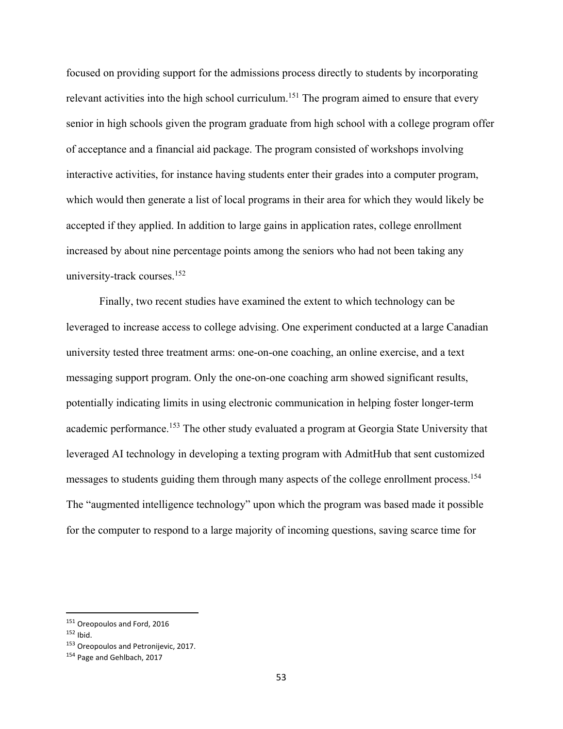focused on providing support for the admissions process directly to students by incorporating relevant activities into the high school curriculum.<sup>151</sup> The program aimed to ensure that every senior in high schools given the program graduate from high school with a college program offer of acceptance and a financial aid package. The program consisted of workshops involving interactive activities, for instance having students enter their grades into a computer program, which would then generate a list of local programs in their area for which they would likely be accepted if they applied. In addition to large gains in application rates, college enrollment increased by about nine percentage points among the seniors who had not been taking any university-track courses.152

 Finally, two recent studies have examined the extent to which technology can be leveraged to increase access to college advising. One experiment conducted at a large Canadian university tested three treatment arms: one-on-one coaching, an online exercise, and a text messaging support program. Only the one-on-one coaching arm showed significant results, potentially indicating limits in using electronic communication in helping foster longer-term academic performance.<sup>153</sup> The other study evaluated a program at Georgia State University that leveraged AI technology in developing a texting program with AdmitHub that sent customized messages to students guiding them through many aspects of the college enrollment process.<sup>154</sup> The "augmented intelligence technology" upon which the program was based made it possible for the computer to respond to a large majority of incoming questions, saving scarce time for

<sup>151</sup> Oreopoulos and Ford, 2016

 $152$  Ibid.

<sup>&</sup>lt;sup>153</sup> Oreopoulos and Petronijevic, 2017.

<sup>154</sup> Page and Gehlbach, 2017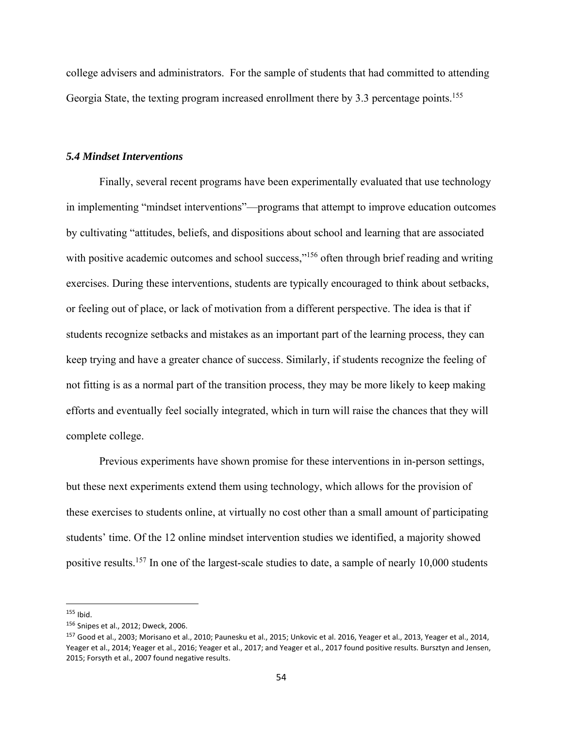college advisers and administrators. For the sample of students that had committed to attending Georgia State, the texting program increased enrollment there by 3.3 percentage points.<sup>155</sup>

### *5.4 Mindset Interventions*

 Finally, several recent programs have been experimentally evaluated that use technology in implementing "mindset interventions"—programs that attempt to improve education outcomes by cultivating "attitudes, beliefs, and dispositions about school and learning that are associated with positive academic outcomes and school success,"<sup>156</sup> often through brief reading and writing exercises. During these interventions, students are typically encouraged to think about setbacks, or feeling out of place, or lack of motivation from a different perspective. The idea is that if students recognize setbacks and mistakes as an important part of the learning process, they can keep trying and have a greater chance of success. Similarly, if students recognize the feeling of not fitting is as a normal part of the transition process, they may be more likely to keep making efforts and eventually feel socially integrated, which in turn will raise the chances that they will complete college.

Previous experiments have shown promise for these interventions in in-person settings, but these next experiments extend them using technology, which allows for the provision of these exercises to students online, at virtually no cost other than a small amount of participating students' time. Of the 12 online mindset intervention studies we identified, a majority showed positive results.<sup>157</sup> In one of the largest-scale studies to date, a sample of nearly 10,000 students

<sup>155</sup> Ibid.

<sup>156</sup> Snipes et al., 2012; Dweck, 2006.

<sup>157</sup> Good et al., 2003; Morisano et al., 2010; Paunesku et al., 2015; Unkovic et al. 2016, Yeager et al., 2013, Yeager et al., 2014, Yeager et al., 2014; Yeager et al., 2016; Yeager et al., 2017; and Yeager et al., 2017 found positive results. Bursztyn and Jensen, 2015; Forsyth et al., 2007 found negative results.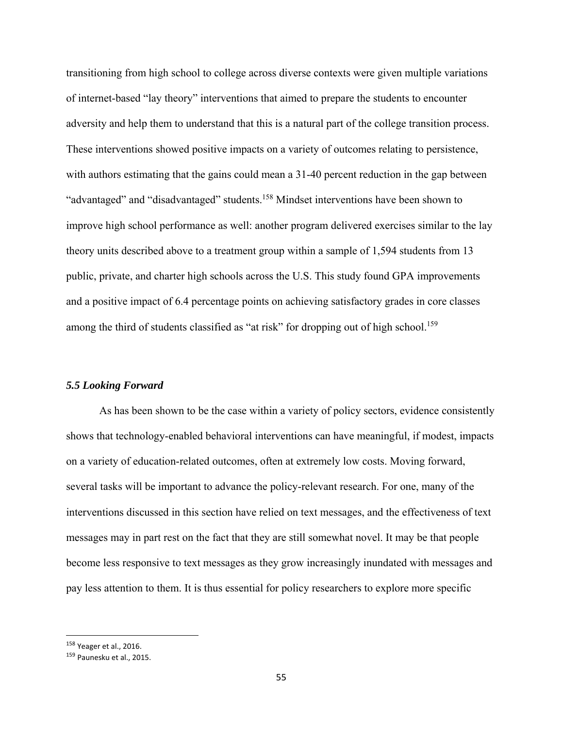transitioning from high school to college across diverse contexts were given multiple variations of internet-based "lay theory" interventions that aimed to prepare the students to encounter adversity and help them to understand that this is a natural part of the college transition process. These interventions showed positive impacts on a variety of outcomes relating to persistence, with authors estimating that the gains could mean a 31-40 percent reduction in the gap between "advantaged" and "disadvantaged" students.158 Mindset interventions have been shown to improve high school performance as well: another program delivered exercises similar to the lay theory units described above to a treatment group within a sample of 1,594 students from 13 public, private, and charter high schools across the U.S. This study found GPA improvements and a positive impact of 6.4 percentage points on achieving satisfactory grades in core classes among the third of students classified as "at risk" for dropping out of high school.<sup>159</sup>

### *5.5 Looking Forward*

 As has been shown to be the case within a variety of policy sectors, evidence consistently shows that technology-enabled behavioral interventions can have meaningful, if modest, impacts on a variety of education-related outcomes, often at extremely low costs. Moving forward, several tasks will be important to advance the policy-relevant research. For one, many of the interventions discussed in this section have relied on text messages, and the effectiveness of text messages may in part rest on the fact that they are still somewhat novel. It may be that people become less responsive to text messages as they grow increasingly inundated with messages and pay less attention to them. It is thus essential for policy researchers to explore more specific

<sup>158</sup> Yeager et al., 2016.

<sup>159</sup> Paunesku et al., 2015.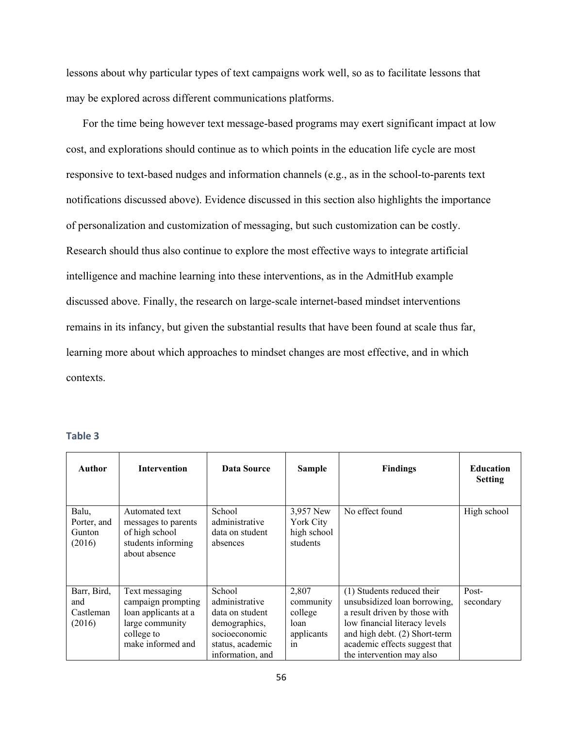lessons about why particular types of text campaigns work well, so as to facilitate lessons that may be explored across different communications platforms.

For the time being however text message-based programs may exert significant impact at low cost, and explorations should continue as to which points in the education life cycle are most responsive to text-based nudges and information channels (e.g., as in the school-to-parents text notifications discussed above). Evidence discussed in this section also highlights the importance of personalization and customization of messaging, but such customization can be costly. Research should thus also continue to explore the most effective ways to integrate artificial intelligence and machine learning into these interventions, as in the AdmitHub example discussed above. Finally, the research on large-scale internet-based mindset interventions remains in its infancy, but given the substantial results that have been found at scale thus far, learning more about which approaches to mindset changes are most effective, and in which contexts.

| Author                                    | <b>Intervention</b>                                                                                                | Data Source                                                                                                           | <b>Sample</b>                                             | <b>Findings</b>                                                                                                                                                                                                             | <b>Education</b><br><b>Setting</b> |
|-------------------------------------------|--------------------------------------------------------------------------------------------------------------------|-----------------------------------------------------------------------------------------------------------------------|-----------------------------------------------------------|-----------------------------------------------------------------------------------------------------------------------------------------------------------------------------------------------------------------------------|------------------------------------|
| Balu,<br>Porter, and<br>Gunton<br>(2016)  | Automated text<br>messages to parents<br>of high school<br>students informing<br>about absence                     | School<br>administrative<br>data on student<br>absences                                                               | 3,957 New<br>York City<br>high school<br>students         | No effect found                                                                                                                                                                                                             | High school                        |
| Barr, Bird,<br>and<br>Castleman<br>(2016) | Text messaging<br>campaign prompting<br>loan applicants at a<br>large community<br>college to<br>make informed and | School<br>administrative<br>data on student<br>demographics,<br>socioeconomic<br>status, academic<br>information, and | 2,807<br>community<br>college<br>loan<br>applicants<br>in | (1) Students reduced their<br>unsubsidized loan borrowing,<br>a result driven by those with<br>low financial literacy levels<br>and high debt. (2) Short-term<br>academic effects suggest that<br>the intervention may also | Post-<br>secondary                 |

| . .<br>۰. | ۰.<br>v<br>w<br>× |
|-----------|-------------------|
|-----------|-------------------|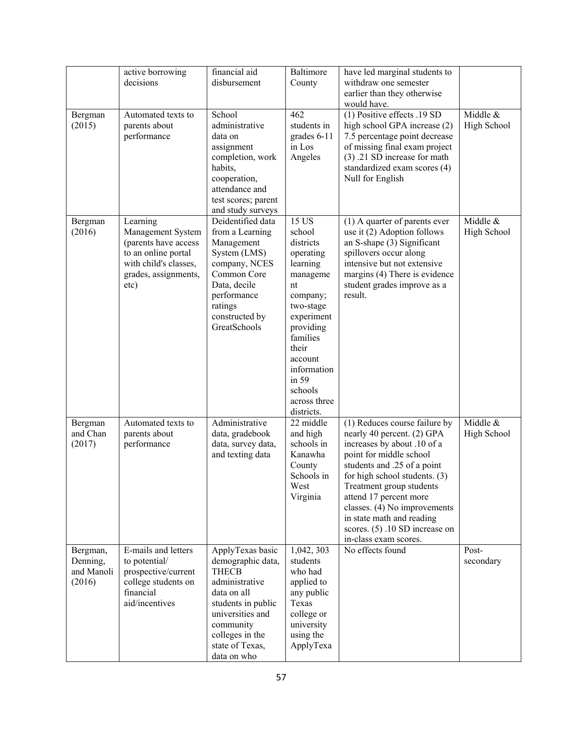|                                              | active borrowing<br>decisions                                                                                                         | financial aid<br>disbursement                                                                                                                                                                      | Baltimore<br>County                                                                                                                                                                                                          | have led marginal students to<br>withdraw one semester<br>earlier than they otherwise<br>would have.                                                                                                                                                                                                                                                                   |                         |
|----------------------------------------------|---------------------------------------------------------------------------------------------------------------------------------------|----------------------------------------------------------------------------------------------------------------------------------------------------------------------------------------------------|------------------------------------------------------------------------------------------------------------------------------------------------------------------------------------------------------------------------------|------------------------------------------------------------------------------------------------------------------------------------------------------------------------------------------------------------------------------------------------------------------------------------------------------------------------------------------------------------------------|-------------------------|
| Bergman<br>(2015)                            | Automated texts to<br>parents about<br>performance                                                                                    | School<br>administrative<br>data on<br>assignment<br>completion, work<br>habits,<br>cooperation,<br>attendance and<br>test scores; parent<br>and study surveys                                     | 462<br>students in<br>grades $6-11$<br>in Los<br>Angeles                                                                                                                                                                     | (1) Positive effects $.19$ SD<br>high school GPA increase (2)<br>7.5 percentage point decrease<br>of missing final exam project<br>(3) .21 SD increase for math<br>standardized exam scores (4)<br>Null for English                                                                                                                                                    | Middle &<br>High School |
| Bergman<br>(2016)                            | Learning<br>Management System<br>(parents have access<br>to an online portal<br>with child's classes,<br>grades, assignments,<br>etc) | Deidentified data<br>from a Learning<br>Management<br>System (LMS)<br>company, NCES<br>Common Core<br>Data, decile<br>performance<br>ratings<br>constructed by<br>GreatSchools                     | 15 US<br>school<br>districts<br>operating<br>learning<br>manageme<br>nt<br>company;<br>two-stage<br>experiment<br>providing<br>families<br>their<br>account<br>information<br>in 59<br>schools<br>across three<br>districts. | (1) A quarter of parents ever<br>use it $(2)$ Adoption follows<br>an S-shape (3) Significant<br>spillovers occur along<br>intensive but not extensive<br>margins (4) There is evidence<br>student grades improve as a<br>result.                                                                                                                                       | Middle &<br>High School |
| Bergman<br>and Chan<br>(2017)                | Automated texts to<br>parents about<br>performance                                                                                    | Administrative<br>data, gradebook<br>data, survey data,<br>and texting data                                                                                                                        | 22 middle<br>and high<br>schools in<br>Kanawha<br>County<br>Schools in<br>West<br>Virginia                                                                                                                                   | (1) Reduces course failure by<br>nearly 40 percent. (2) GPA<br>increases by about .10 of a<br>point for middle school<br>students and .25 of a point<br>for high school students. (3)<br>Treatment group students<br>attend 17 percent more<br>classes. (4) No improvements<br>in state math and reading<br>scores. $(5)$ . 10 SD increase on<br>in-class exam scores. | Middle &<br>High School |
| Bergman,<br>Denning,<br>and Manoli<br>(2016) | E-mails and letters<br>to potential/<br>prospective/current<br>college students on<br>financial<br>aid/incentives                     | ApplyTexas basic<br>demographic data,<br><b>THECB</b><br>administrative<br>data on all<br>students in public<br>universities and<br>community<br>colleges in the<br>state of Texas,<br>data on who | 1,042, 303<br>students<br>who had<br>applied to<br>any public<br>Texas<br>college or<br>university<br>using the<br>ApplyTexa                                                                                                 | No effects found                                                                                                                                                                                                                                                                                                                                                       | Post-<br>secondary      |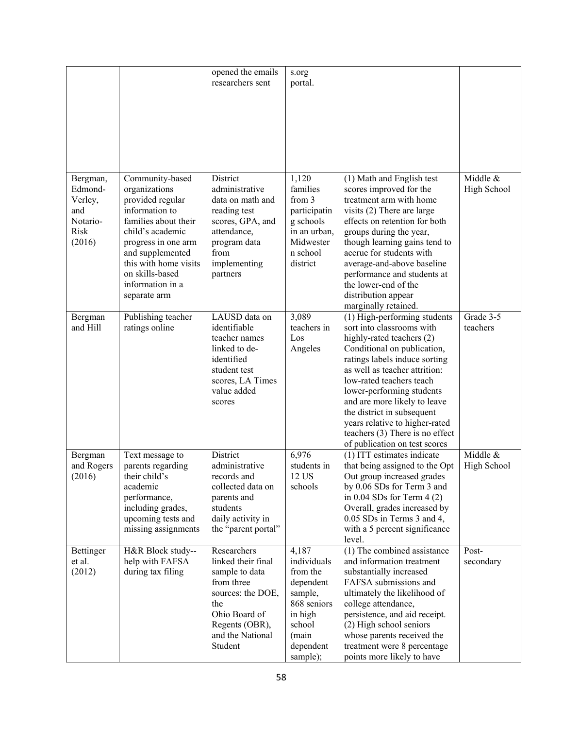|                                                                     |                                                                                                                                                                                                                                               | opened the emails<br>researchers sent                                                                                                                           | s.org<br>portal.                                                                                                               |                                                                                                                                                                                                                                                                                                                                                                                                                        |                         |
|---------------------------------------------------------------------|-----------------------------------------------------------------------------------------------------------------------------------------------------------------------------------------------------------------------------------------------|-----------------------------------------------------------------------------------------------------------------------------------------------------------------|--------------------------------------------------------------------------------------------------------------------------------|------------------------------------------------------------------------------------------------------------------------------------------------------------------------------------------------------------------------------------------------------------------------------------------------------------------------------------------------------------------------------------------------------------------------|-------------------------|
| Bergman,<br>Edmond-<br>Verley,<br>and<br>Notario-<br>Risk<br>(2016) | Community-based<br>organizations<br>provided regular<br>information to<br>families about their<br>child's academic<br>progress in one arm<br>and supplemented<br>this with home visits<br>on skills-based<br>information in a<br>separate arm | District<br>administrative<br>data on math and<br>reading test<br>scores, GPA, and<br>attendance,<br>program data<br>from<br>implementing<br>partners           | 1,120<br>families<br>from 3<br>participatin<br>g schools<br>in an urban,<br>Midwester<br>n school<br>district                  | (1) Math and English test<br>scores improved for the<br>treatment arm with home<br>visits (2) There are large<br>effects on retention for both<br>groups during the year,<br>though learning gains tend to<br>accrue for students with<br>average-and-above baseline<br>performance and students at<br>the lower-end of the<br>distribution appear<br>marginally retained.                                             | Middle &<br>High School |
| Bergman<br>and Hill                                                 | Publishing teacher<br>ratings online                                                                                                                                                                                                          | LAUSD data on<br>identifiable<br>teacher names<br>linked to de-<br>identified<br>student test<br>scores, LA Times<br>value added<br>scores                      | 3,089<br>teachers in<br>Los<br>Angeles                                                                                         | (1) High-performing students<br>sort into classrooms with<br>highly-rated teachers (2)<br>Conditional on publication,<br>ratings labels induce sorting<br>as well as teacher attrition:<br>low-rated teachers teach<br>lower-performing students<br>and are more likely to leave<br>the district in subsequent<br>years relative to higher-rated<br>teachers $(3)$ There is no effect<br>of publication on test scores | Grade 3-5<br>teachers   |
| Bergman<br>and Rogers<br>(2016)                                     | Text message to<br>parents regarding<br>their child's<br>academic<br>performance,<br>including grades,<br>upcoming tests and<br>missing assignments                                                                                           | District<br>administrative<br>records and<br>collected data on<br>parents and<br>students<br>daily activity in<br>the "parent portal"                           | 6,976<br>students in<br>12 US<br>schools                                                                                       | (1) ITT estimates indicate<br>that being assigned to the Opt<br>Out group increased grades<br>by 0.06 SDs for Term 3 and<br>in $0.04$ SDs for Term $4(2)$<br>Overall, grades increased by<br>0.05 SDs in Terms 3 and 4,<br>with a 5 percent significance<br>level.                                                                                                                                                     | Middle &<br>High School |
| Bettinger<br>et al.<br>(2012)                                       | H&R Block study--<br>help with FAFSA<br>during tax filing                                                                                                                                                                                     | Researchers<br>linked their final<br>sample to data<br>from three<br>sources: the DOE,<br>the<br>Ohio Board of<br>Regents (OBR),<br>and the National<br>Student | 4,187<br>individuals<br>from the<br>dependent<br>sample,<br>868 seniors<br>in high<br>school<br>(main<br>dependent<br>sample); | (1) The combined assistance<br>and information treatment<br>substantially increased<br>FAFSA submissions and<br>ultimately the likelihood of<br>college attendance,<br>persistence, and aid receipt.<br>(2) High school seniors<br>whose parents received the<br>treatment were 8 percentage<br>points more likely to have                                                                                             | Post-<br>secondary      |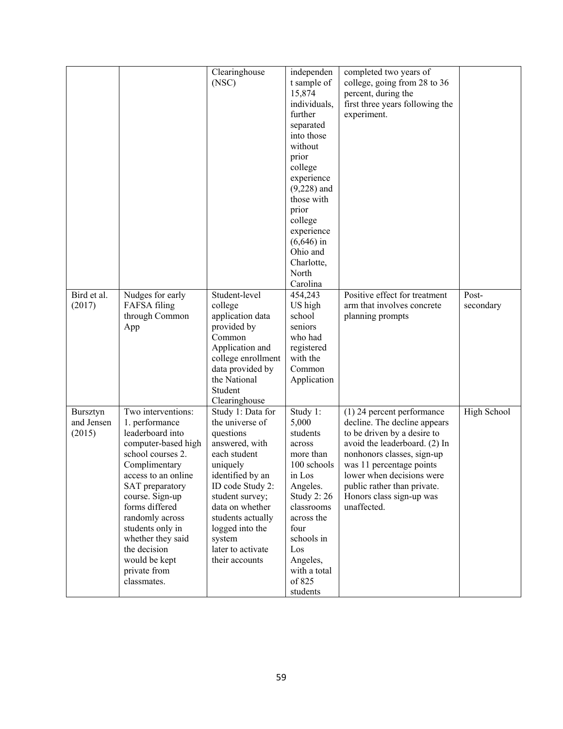|             |                     | Clearinghouse      | independen        | completed two years of          |             |
|-------------|---------------------|--------------------|-------------------|---------------------------------|-------------|
|             |                     | (NSC)              | t sample of       | college, going from 28 to 36    |             |
|             |                     |                    | 15,874            | percent, during the             |             |
|             |                     |                    | individuals,      | first three years following the |             |
|             |                     |                    | further           |                                 |             |
|             |                     |                    |                   | experiment.                     |             |
|             |                     |                    | separated         |                                 |             |
|             |                     |                    | into those        |                                 |             |
|             |                     |                    | without           |                                 |             |
|             |                     |                    | prior             |                                 |             |
|             |                     |                    | college           |                                 |             |
|             |                     |                    | experience        |                                 |             |
|             |                     |                    | $(9,228)$ and     |                                 |             |
|             |                     |                    | those with        |                                 |             |
|             |                     |                    | prior             |                                 |             |
|             |                     |                    | college           |                                 |             |
|             |                     |                    | experience        |                                 |             |
|             |                     |                    | $(6,646)$ in      |                                 |             |
|             |                     |                    | Ohio and          |                                 |             |
|             |                     |                    | Charlotte,        |                                 |             |
|             |                     |                    | North             |                                 |             |
|             |                     |                    |                   |                                 |             |
|             |                     |                    | Carolina          |                                 |             |
| Bird et al. | Nudges for early    | Student-level      | 454,243           | Positive effect for treatment   | Post-       |
| (2017)      | FAFSA filing        | college            | US high           | arm that involves concrete      | secondary   |
|             | through Common      | application data   | school            | planning prompts                |             |
|             | App                 | provided by        | seniors           |                                 |             |
|             |                     | Common             | who had           |                                 |             |
|             |                     | Application and    | registered        |                                 |             |
|             |                     | college enrollment | with the          |                                 |             |
|             |                     | data provided by   | Common            |                                 |             |
|             |                     | the National       | Application       |                                 |             |
|             |                     | Student            |                   |                                 |             |
|             |                     | Clearinghouse      |                   |                                 |             |
| Bursztyn    | Two interventions:  | Study 1: Data for  | Study 1:          | (1) 24 percent performance      | High School |
| and Jensen  | 1. performance      | the universe of    | 5,000             | decline. The decline appears    |             |
| (2015)      | leaderboard into    | questions          | students          | to be driven by a desire to     |             |
|             | computer-based high | answered, with     | across            | avoid the leaderboard. (2) In   |             |
|             | school courses 2.   | each student       | more than         | nonhonors classes, sign-up      |             |
|             | Complimentary       | uniquely           | 100 schools       | was 11 percentage points        |             |
|             | access to an online | identified by an   | in Los            | lower when decisions were       |             |
|             | SAT preparatory     | ID code Study 2:   | Angeles.          | public rather than private.     |             |
|             | course. Sign-up     | student survey;    | <b>Study 2:26</b> | Honors class sign-up was        |             |
|             | forms differed      | data on whether    | classrooms        | unaffected.                     |             |
|             | randomly across     | students actually  | across the        |                                 |             |
|             | students only in    | logged into the    | four              |                                 |             |
|             | whether they said   | system             | schools in        |                                 |             |
|             | the decision        | later to activate  | Los               |                                 |             |
|             | would be kept       | their accounts     | Angeles,          |                                 |             |
|             | private from        |                    | with a total      |                                 |             |
|             | classmates.         |                    | of 825            |                                 |             |
|             |                     |                    |                   |                                 |             |
|             |                     |                    | students          |                                 |             |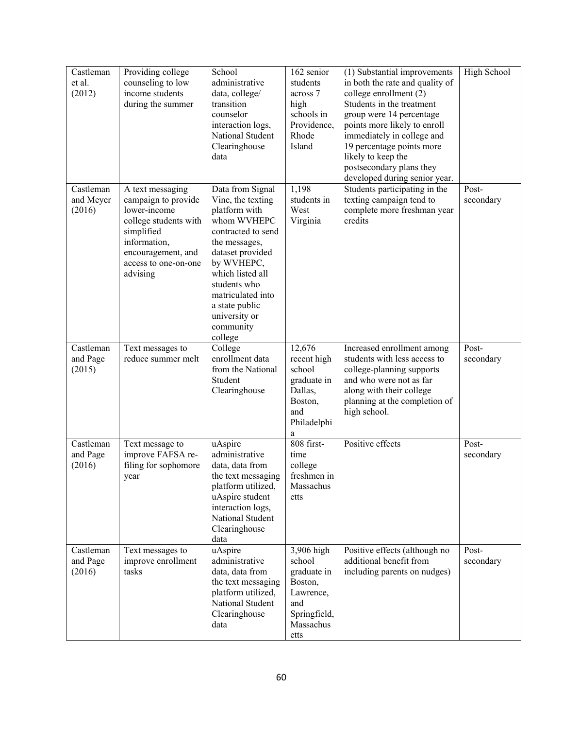| Castleman<br>et al.<br>(2012)    | Providing college<br>counseling to low<br>income students<br>during the summer                                                                                           | School<br>administrative<br>data, college/<br>transition<br>counselor<br>interaction logs,<br>National Student<br>Clearinghouse<br>data                                                                                                                            | 162 senior<br>students<br>across 7<br>high<br>schools in<br>Providence,<br>Rhode<br>Island              | (1) Substantial improvements<br>in both the rate and quality of<br>college enrollment (2)<br>Students in the treatment<br>group were 14 percentage<br>points more likely to enroll<br>immediately in college and<br>19 percentage points more<br>likely to keep the<br>postsecondary plans they<br>developed during senior year. | High School        |
|----------------------------------|--------------------------------------------------------------------------------------------------------------------------------------------------------------------------|--------------------------------------------------------------------------------------------------------------------------------------------------------------------------------------------------------------------------------------------------------------------|---------------------------------------------------------------------------------------------------------|----------------------------------------------------------------------------------------------------------------------------------------------------------------------------------------------------------------------------------------------------------------------------------------------------------------------------------|--------------------|
| Castleman<br>and Meyer<br>(2016) | A text messaging<br>campaign to provide<br>lower-income<br>college students with<br>simplified<br>information,<br>encouragement, and<br>access to one-on-one<br>advising | Data from Signal<br>Vine, the texting<br>platform with<br>whom WVHEPC<br>contracted to send<br>the messages,<br>dataset provided<br>by WVHEPC,<br>which listed all<br>students who<br>matriculated into<br>a state public<br>university or<br>community<br>college | 1,198<br>students in<br>West<br>Virginia                                                                | Students participating in the<br>texting campaign tend to<br>complete more freshman year<br>credits                                                                                                                                                                                                                              | Post-<br>secondary |
| Castleman<br>and Page<br>(2015)  | Text messages to<br>reduce summer melt                                                                                                                                   | College<br>enrollment data<br>from the National<br>Student<br>Clearinghouse                                                                                                                                                                                        | 12,676<br>recent high<br>school<br>graduate in<br>Dallas,<br>Boston,<br>and<br>Philadelphi<br>a         | Increased enrollment among<br>students with less access to<br>college-planning supports<br>and who were not as far<br>along with their college<br>planning at the completion of<br>high school.                                                                                                                                  | Post-<br>secondary |
| Castleman<br>and Page<br>(2016)  | Text message to<br>improve FAFSA re-<br>filing for sophomore<br>year                                                                                                     | uAspire<br>administrative<br>data, data from<br>the text messaging<br>platform utilized,<br>uAspire student<br>interaction logs,<br>National Student<br>Clearinghouse<br>data                                                                                      | 808 first-<br>time<br>college<br>freshmen in<br>Massachus<br>etts                                       | Positive effects                                                                                                                                                                                                                                                                                                                 | Post-<br>secondary |
| Castleman<br>and Page<br>(2016)  | Text messages to<br>improve enrollment<br>tasks                                                                                                                          | uAspire<br>administrative<br>data, data from<br>the text messaging<br>platform utilized,<br>National Student<br>Clearinghouse<br>data                                                                                                                              | 3,906 high<br>school<br>graduate in<br>Boston,<br>Lawrence,<br>and<br>Springfield,<br>Massachus<br>etts | Positive effects (although no<br>additional benefit from<br>including parents on nudges)                                                                                                                                                                                                                                         | Post-<br>secondary |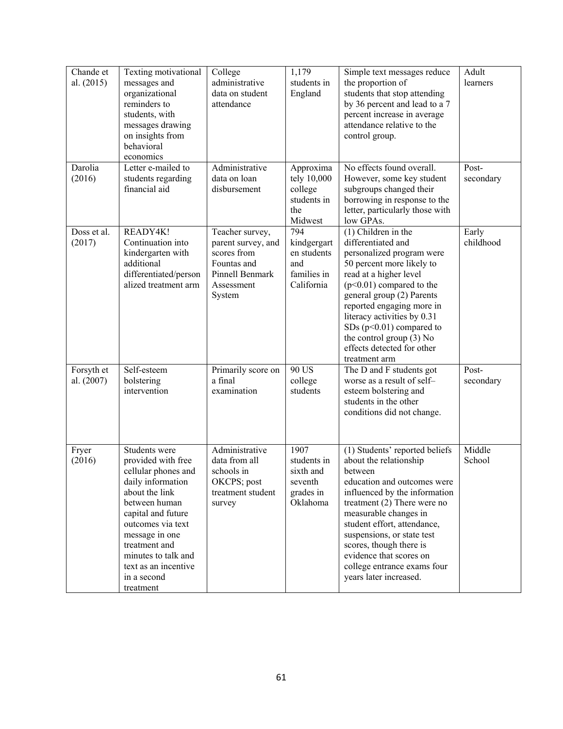| Chande et<br>al. $(2015)$ | Texting motivational<br>messages and<br>organizational<br>reminders to<br>students, with<br>messages drawing<br>on insights from<br>behavioral<br>economics                                                                                                                 | College<br>administrative<br>data on student<br>attendance                                                     | 1,179<br>students in<br>England                                       | Simple text messages reduce<br>the proportion of<br>students that stop attending<br>by 36 percent and lead to a 7<br>percent increase in average<br>attendance relative to the<br>control group.                                                                                                                                                                          | Adult<br>learners  |
|---------------------------|-----------------------------------------------------------------------------------------------------------------------------------------------------------------------------------------------------------------------------------------------------------------------------|----------------------------------------------------------------------------------------------------------------|-----------------------------------------------------------------------|---------------------------------------------------------------------------------------------------------------------------------------------------------------------------------------------------------------------------------------------------------------------------------------------------------------------------------------------------------------------------|--------------------|
| Darolia<br>(2016)         | Letter e-mailed to<br>students regarding<br>financial aid                                                                                                                                                                                                                   | Administrative<br>data on loan<br>disbursement                                                                 | Approxima<br>tely 10,000<br>college<br>students in<br>the<br>Midwest  | No effects found overall.<br>However, some key student<br>subgroups changed their<br>borrowing in response to the<br>letter, particularly those with<br>low GPAs.                                                                                                                                                                                                         | Post-<br>secondary |
| Doss et al.<br>(2017)     | READY4K!<br>Continuation into<br>kindergarten with<br>additional<br>differentiated/person<br>alized treatment arm                                                                                                                                                           | Teacher survey,<br>parent survey, and<br>scores from<br>Fountas and<br>Pinnell Benmark<br>Assessment<br>System | 794<br>kindgergart<br>en students<br>and<br>families in<br>California | $(1)$ Children in the<br>differentiated and<br>personalized program were<br>50 percent more likely to<br>read at a higher level<br>$(p<0.01)$ compared to the<br>general group (2) Parents<br>reported engaging more in<br>literacy activities by 0.31<br>SDs $(p<0.01)$ compared to<br>the control group $(3)$ No<br>effects detected for other<br>treatment arm         | Early<br>childhood |
| Forsyth et<br>al. (2007)  | Self-esteem<br>bolstering<br>intervention                                                                                                                                                                                                                                   | Primarily score on<br>a final<br>examination                                                                   | 90 US<br>college<br>students                                          | The D and F students got<br>worse as a result of self-<br>esteem bolstering and<br>students in the other<br>conditions did not change.                                                                                                                                                                                                                                    | Post-<br>secondary |
| Fryer<br>(2016)           | Students were<br>provided with free<br>cellular phones and<br>daily information<br>about the link<br>between human<br>capital and future<br>outcomes via text<br>message in one<br>treatment and<br>minutes to talk and<br>text as an incentive<br>in a second<br>treatment | Administrative<br>data from all<br>schools in<br>OKCPS; post<br>treatment student<br>survey                    | 1907<br>students in<br>sixth and<br>seventh<br>grades in<br>Oklahoma  | (1) Students' reported beliefs<br>about the relationship<br>between<br>education and outcomes were<br>influenced by the information<br>treatment $(2)$ There were no<br>measurable changes in<br>student effort, attendance,<br>suspensions, or state test<br>scores, though there is<br>evidence that scores on<br>college entrance exams four<br>years later increased. | Middle<br>School   |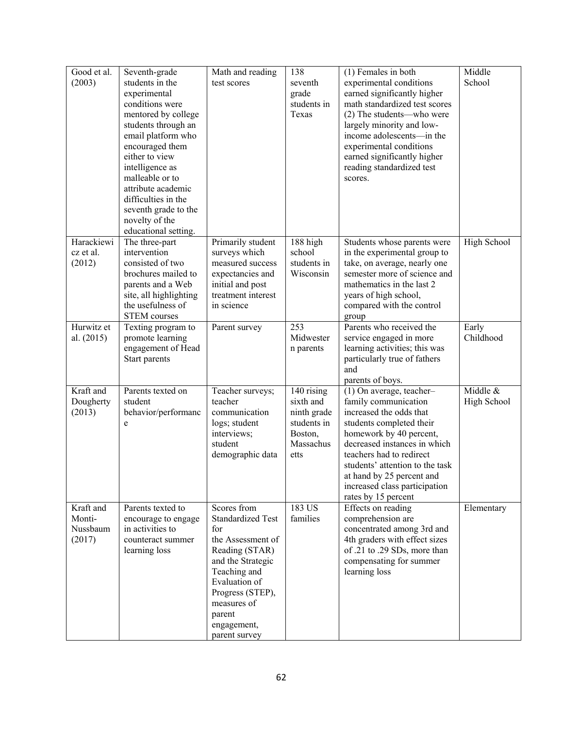| Good et al. | Seventh-grade                      | Math and reading         | 138         | (1) Females in both             | Middle      |
|-------------|------------------------------------|--------------------------|-------------|---------------------------------|-------------|
| (2003)      | students in the                    | test scores              | seventh     | experimental conditions         | School      |
|             | experimental                       |                          | grade       | earned significantly higher     |             |
|             | conditions were                    |                          | students in | math standardized test scores   |             |
|             | mentored by college                |                          | Texas       | (2) The students—who were       |             |
|             | students through an                |                          |             | largely minority and low-       |             |
|             | email platform who                 |                          |             | income adolescents-in the       |             |
|             |                                    |                          |             | experimental conditions         |             |
|             | encouraged them<br>either to view  |                          |             |                                 |             |
|             |                                    |                          |             | earned significantly higher     |             |
|             | intelligence as<br>malleable or to |                          |             | reading standardized test       |             |
|             |                                    |                          |             | scores.                         |             |
|             | attribute academic                 |                          |             |                                 |             |
|             | difficulties in the                |                          |             |                                 |             |
|             | seventh grade to the               |                          |             |                                 |             |
|             | novelty of the                     |                          |             |                                 |             |
|             | educational setting.               |                          |             |                                 |             |
| Harackiewi  | The three-part                     | Primarily student        | 188 high    | Students whose parents were     | High School |
| cz et al.   | intervention                       | surveys which            | school      | in the experimental group to    |             |
| (2012)      | consisted of two                   | measured success         | students in | take, on average, nearly one    |             |
|             | brochures mailed to                | expectancies and         | Wisconsin   | semester more of science and    |             |
|             | parents and a Web                  | initial and post         |             | mathematics in the last 2       |             |
|             | site, all highlighting             | treatment interest       |             | years of high school,           |             |
|             | the usefulness of                  | in science               |             | compared with the control       |             |
|             | <b>STEM</b> courses                |                          |             | group                           |             |
| Hurwitz et  | Texting program to                 | Parent survey            | 253         | Parents who received the        | Early       |
| al. (2015)  | promote learning                   |                          | Midwester   | service engaged in more         | Childhood   |
|             | engagement of Head                 |                          | n parents   | learning activities; this was   |             |
|             | Start parents                      |                          |             | particularly true of fathers    |             |
|             |                                    |                          |             | and                             |             |
|             |                                    |                          |             | parents of boys.                |             |
| Kraft and   | Parents texted on                  | Teacher surveys;         | 140 rising  | (1) On average, teacher-        | Middle &    |
| Dougherty   | student                            | teacher                  | sixth and   | family communication            | High School |
| (2013)      | behavior/performanc                | communication            | ninth grade | increased the odds that         |             |
|             | e                                  | logs; student            | students in | students completed their        |             |
|             |                                    | interviews;              | Boston,     | homework by 40 percent,         |             |
|             |                                    | student                  | Massachus   | decreased instances in which    |             |
|             |                                    | demographic data         | etts        | teachers had to redirect        |             |
|             |                                    |                          |             | students' attention to the task |             |
|             |                                    |                          |             | at hand by 25 percent and       |             |
|             |                                    |                          |             | increased class participation   |             |
|             |                                    |                          |             | rates by 15 percent             |             |
| Kraft and   | Parents texted to                  | Scores from              | 183 US      | Effects on reading              | Elementary  |
| Monti-      | encourage to engage                | <b>Standardized Test</b> | families    | comprehension are               |             |
| Nussbaum    | in activities to                   | for                      |             | concentrated among 3rd and      |             |
| (2017)      | counteract summer                  | the Assessment of        |             | 4th graders with effect sizes   |             |
|             | learning loss                      | Reading (STAR)           |             | of .21 to .29 SDs, more than    |             |
|             |                                    | and the Strategic        |             | compensating for summer         |             |
|             |                                    | Teaching and             |             | learning loss                   |             |
|             |                                    | Evaluation of            |             |                                 |             |
|             |                                    | Progress (STEP),         |             |                                 |             |
|             |                                    | measures of              |             |                                 |             |
|             |                                    | parent                   |             |                                 |             |
|             |                                    | engagement,              |             |                                 |             |
|             |                                    | parent survey            |             |                                 |             |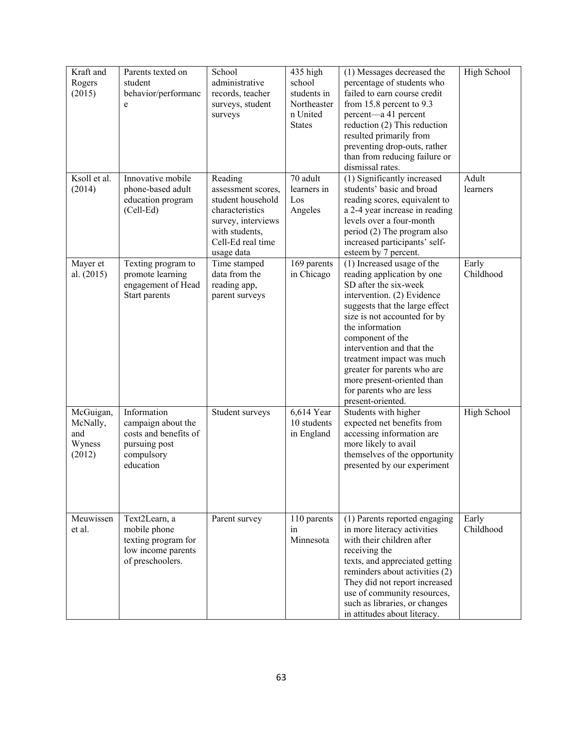| Kraft and<br>Rogers<br>(2015)                    | Parents texted on<br>student<br>behavior/performanc<br>e                                               | School<br>administrative<br>records, teacher<br>surveys, student<br>surveys                                                                      | 435 high<br>school<br>students in<br>Northeaster<br>n United<br><b>States</b> | (1) Messages decreased the<br>percentage of students who<br>failed to earn course credit<br>from 15.8 percent to 9.3<br>percent—a 41 percent<br>reduction (2) This reduction<br>resulted primarily from<br>preventing drop-outs, rather<br>than from reducing failure or<br>dismissal rates.                                                                                                     | High School              |
|--------------------------------------------------|--------------------------------------------------------------------------------------------------------|--------------------------------------------------------------------------------------------------------------------------------------------------|-------------------------------------------------------------------------------|--------------------------------------------------------------------------------------------------------------------------------------------------------------------------------------------------------------------------------------------------------------------------------------------------------------------------------------------------------------------------------------------------|--------------------------|
| Ksoll et al.<br>(2014)                           | Innovative mobile<br>phone-based adult<br>education program<br>(Cell-Ed)                               | Reading<br>assessment scores,<br>student household<br>characteristics<br>survey, interviews<br>with students,<br>Cell-Ed real time<br>usage data | 70 adult<br>learners in<br>Los<br>Angeles                                     | $\overline{(1)}$ Significantly increased<br>students' basic and broad<br>reading scores, equivalent to<br>a 2-4 year increase in reading<br>levels over a four-month<br>period (2) The program also<br>increased participants' self-<br>esteem by 7 percent.                                                                                                                                     | Adult<br><i>learners</i> |
| Mayer et<br>al. $(2015)$                         | Texting program to<br>promote learning<br>engagement of Head<br>Start parents                          | Time stamped<br>data from the<br>reading app,<br>parent surveys                                                                                  | 169 parents<br>in Chicago                                                     | (1) Increased usage of the<br>reading application by one<br>SD after the six-week<br>intervention. (2) Evidence<br>suggests that the large effect<br>size is not accounted for by<br>the information<br>component of the<br>intervention and that the<br>treatment impact was much<br>greater for parents who are<br>more present-oriented than<br>for parents who are less<br>present-oriented. | Early<br>Childhood       |
| McGuigan,<br>McNally,<br>and<br>Wyness<br>(2012) | Information<br>campaign about the<br>costs and benefits of<br>pursuing post<br>compulsory<br>education | Student surveys                                                                                                                                  | 6,614 Year<br>10 students<br>in England                                       | Students with higher<br>expected net benefits from<br>accessing information are<br>more likely to avail<br>themselves of the opportunity<br>presented by our experiment                                                                                                                                                                                                                          | High School              |
| Meuwissen<br>et al.                              | Text2Learn, a<br>mobile phone<br>texting program for<br>low income parents<br>of preschoolers.         | Parent survey                                                                                                                                    | 110 parents<br>in<br>Minnesota                                                | (1) Parents reported engaging<br>in more literacy activities<br>with their children after<br>receiving the<br>texts, and appreciated getting<br>reminders about activities (2)<br>They did not report increased<br>use of community resources,<br>such as libraries, or changes<br>in attitudes about literacy.                                                                                  | Early<br>Childhood       |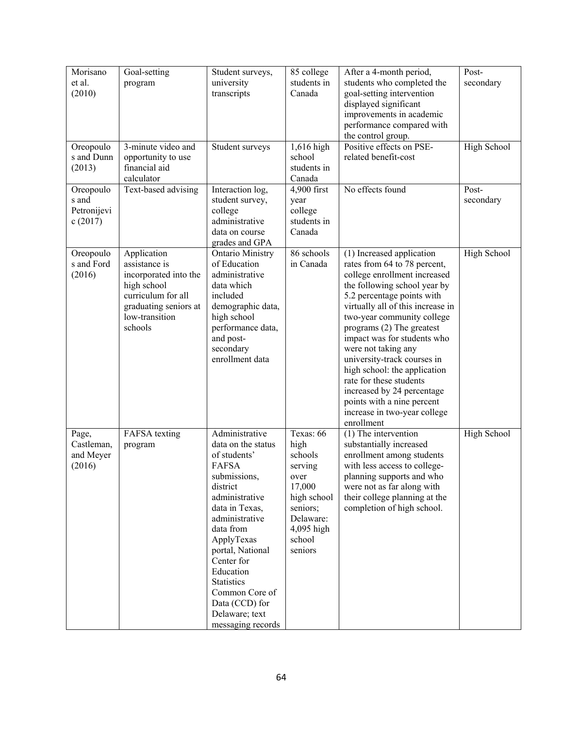| Morisano<br>et al.<br>(2010)                 | Goal-setting<br>program                                                                                                                          | Student surveys,<br>university<br>transcripts                                                                                                                                                                                                                                                                                    | 85 college<br>students in<br>Canada                                                                                                  | After a 4-month period,<br>students who completed the<br>goal-setting intervention                                                                                                                                                                                                                                                                                                                                                                                                                                  | Post-<br>secondary |
|----------------------------------------------|--------------------------------------------------------------------------------------------------------------------------------------------------|----------------------------------------------------------------------------------------------------------------------------------------------------------------------------------------------------------------------------------------------------------------------------------------------------------------------------------|--------------------------------------------------------------------------------------------------------------------------------------|---------------------------------------------------------------------------------------------------------------------------------------------------------------------------------------------------------------------------------------------------------------------------------------------------------------------------------------------------------------------------------------------------------------------------------------------------------------------------------------------------------------------|--------------------|
|                                              |                                                                                                                                                  |                                                                                                                                                                                                                                                                                                                                  |                                                                                                                                      | displayed significant<br>improvements in academic<br>performance compared with<br>the control group.                                                                                                                                                                                                                                                                                                                                                                                                                |                    |
| Oreopoulo<br>s and Dunn<br>(2013)            | 3-minute video and<br>opportunity to use<br>financial aid<br>calculator                                                                          | Student surveys                                                                                                                                                                                                                                                                                                                  | 1,616 high<br>school<br>students in<br>Canada                                                                                        | Positive effects on PSE-<br>related benefit-cost                                                                                                                                                                                                                                                                                                                                                                                                                                                                    | High School        |
| Oreopoulo<br>s and<br>Petronijevi<br>c(2017) | Text-based advising                                                                                                                              | Interaction log,<br>student survey,<br>college<br>administrative<br>data on course<br>grades and GPA                                                                                                                                                                                                                             | 4,900 first<br>year<br>college<br>students in<br>Canada                                                                              | No effects found                                                                                                                                                                                                                                                                                                                                                                                                                                                                                                    | Post-<br>secondary |
| Oreopoulo<br>s and Ford<br>(2016)            | Application<br>assistance is<br>incorporated into the<br>high school<br>curriculum for all<br>graduating seniors at<br>low-transition<br>schools | <b>Ontario Ministry</b><br>of Education<br>administrative<br>data which<br>included<br>demographic data,<br>high school<br>performance data,<br>and post-<br>secondary<br>enrollment data                                                                                                                                        | 86 schools<br>in Canada                                                                                                              | (1) Increased application<br>rates from 64 to 78 percent,<br>college enrollment increased<br>the following school year by<br>5.2 percentage points with<br>virtually all of this increase in<br>two-year community college<br>programs $(2)$ The greatest<br>impact was for students who<br>were not taking any<br>university-track courses in<br>high school: the application<br>rate for these students<br>increased by 24 percentage<br>points with a nine percent<br>increase in two-year college<br>enrollment | High School        |
| Page,<br>Castleman,<br>and Meyer<br>(2016)   | FAFSA texting<br>program                                                                                                                         | Administrative<br>data on the status<br>of students'<br><b>FAFSA</b><br>submissions,<br>district<br>administrative<br>data in Texas,<br>administrative<br>data from<br>ApplyTexas<br>portal, National<br>Center for<br>Education<br><b>Statistics</b><br>Common Core of<br>Data (CCD) for<br>Delaware; text<br>messaging records | Texas: 66<br>high<br>schools<br>serving<br>over<br>17,000<br>high school<br>seniors;<br>Delaware:<br>4,095 high<br>school<br>seniors | (1) The intervention<br>substantially increased<br>enrollment among students<br>with less access to college-<br>planning supports and who<br>were not as far along with<br>their college planning at the<br>completion of high school.                                                                                                                                                                                                                                                                              | High School        |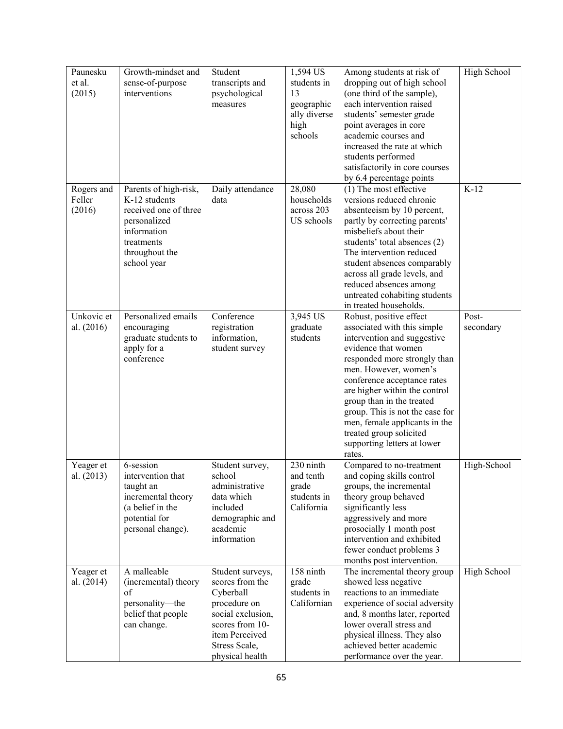| Paunesku   | Growth-mindset and    | Student           | 1,594 US     | Among students at risk of                              | High School |
|------------|-----------------------|-------------------|--------------|--------------------------------------------------------|-------------|
| et al.     | sense-of-purpose      | transcripts and   | students in  | dropping out of high school                            |             |
| (2015)     | interventions         | psychological     | 13           | (one third of the sample),                             |             |
|            |                       | measures          | geographic   | each intervention raised                               |             |
|            |                       |                   | ally diverse | students' semester grade                               |             |
|            |                       |                   | high         | point averages in core                                 |             |
|            |                       |                   | schools      | academic courses and                                   |             |
|            |                       |                   |              | increased the rate at which                            |             |
|            |                       |                   |              | students performed                                     |             |
|            |                       |                   |              | satisfactorily in core courses                         |             |
|            |                       |                   |              | by 6.4 percentage points                               |             |
| Rogers and | Parents of high-risk, | Daily attendance  | 28,080       | (1) The most effective                                 | $K-12$      |
| Feller     | K-12 students         | data              | households   | versions reduced chronic                               |             |
| (2016)     | received one of three |                   | across 203   | absenteeism by 10 percent,                             |             |
|            | personalized          |                   | US schools   | partly by correcting parents'                          |             |
|            | information           |                   |              | misbeliefs about their                                 |             |
|            | treatments            |                   |              | students' total absences (2)                           |             |
|            | throughout the        |                   |              | The intervention reduced                               |             |
|            | school year           |                   |              | student absences comparably                            |             |
|            |                       |                   |              |                                                        |             |
|            |                       |                   |              | across all grade levels, and<br>reduced absences among |             |
|            |                       |                   |              | untreated cohabiting students                          |             |
|            |                       |                   |              |                                                        |             |
|            |                       |                   |              | in treated households.                                 |             |
| Unkovic et | Personalized emails   | Conference        | 3,945 US     | Robust, positive effect                                | Post-       |
| al. (2016) | encouraging           | registration      | graduate     | associated with this simple                            | secondary   |
|            | graduate students to  | information,      | students     | intervention and suggestive                            |             |
|            | apply for a           | student survey    |              | evidence that women                                    |             |
|            | conference            |                   |              | responded more strongly than                           |             |
|            |                       |                   |              | men. However, women's                                  |             |
|            |                       |                   |              | conference acceptance rates                            |             |
|            |                       |                   |              | are higher within the control                          |             |
|            |                       |                   |              | group than in the treated                              |             |
|            |                       |                   |              | group. This is not the case for                        |             |
|            |                       |                   |              | men, female applicants in the                          |             |
|            |                       |                   |              | treated group solicited                                |             |
|            |                       |                   |              | supporting letters at lower                            |             |
|            |                       |                   |              | rates.                                                 |             |
| Yeager et  | 6-session             | Student survey,   | 230 ninth    | Compared to no-treatment                               | High-School |
| al. (2013) | intervention that     | school            | and tenth    | and coping skills control                              |             |
|            | taught an             | administrative    | grade        | groups, the incremental                                |             |
|            | incremental theory    | data which        | students in  | theory group behaved                                   |             |
|            | (a belief in the      | included          | California   | significantly less                                     |             |
|            | potential for         | demographic and   |              | aggressively and more                                  |             |
|            | personal change).     | academic          |              | prosocially 1 month post                               |             |
|            |                       | information       |              | intervention and exhibited                             |             |
|            |                       |                   |              | fewer conduct problems 3                               |             |
|            |                       |                   |              | months post intervention.                              |             |
| Yeager et  | A malleable           | Student surveys,  | 158 ninth    | The incremental theory group                           | High School |
| al. (2014) | (incremental) theory  | scores from the   | grade        | showed less negative                                   |             |
|            | of                    | Cyberball         | students in  | reactions to an immediate                              |             |
|            | personality-the       | procedure on      | Californian  | experience of social adversity                         |             |
|            | belief that people    | social exclusion, |              | and, 8 months later, reported                          |             |
|            | can change.           | scores from 10-   |              | lower overall stress and                               |             |
|            |                       | item Perceived    |              | physical illness. They also                            |             |
|            |                       | Stress Scale,     |              | achieved better academic                               |             |
|            |                       | physical health   |              | performance over the year.                             |             |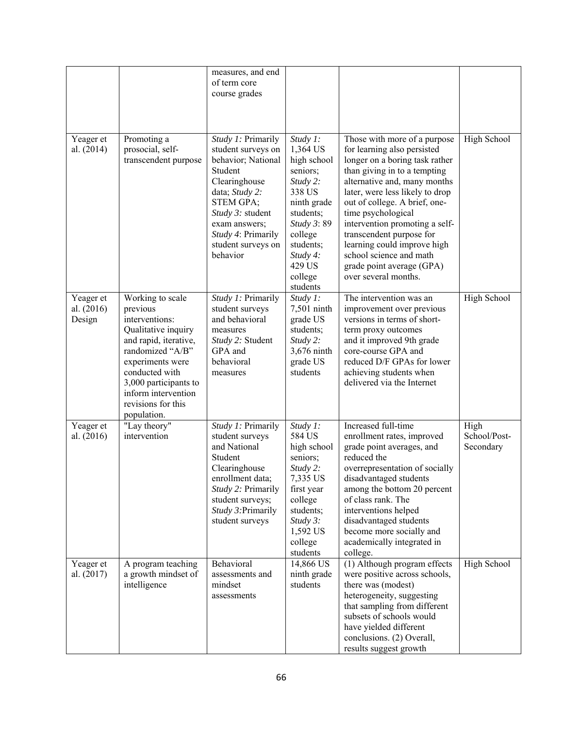|                                   |                                                                                                                                                                                                                                               | measures, and end<br>of term core<br>course grades                                                                                                                                                                            |                                                                                                                                                                                      |                                                                                                                                                                                                                                                                                                                                                                                                                                      |                                   |
|-----------------------------------|-----------------------------------------------------------------------------------------------------------------------------------------------------------------------------------------------------------------------------------------------|-------------------------------------------------------------------------------------------------------------------------------------------------------------------------------------------------------------------------------|--------------------------------------------------------------------------------------------------------------------------------------------------------------------------------------|--------------------------------------------------------------------------------------------------------------------------------------------------------------------------------------------------------------------------------------------------------------------------------------------------------------------------------------------------------------------------------------------------------------------------------------|-----------------------------------|
| Yeager et<br>al. (2014)           | Promoting a<br>prosocial, self-<br>transcendent purpose                                                                                                                                                                                       | Study 1: Primarily<br>student surveys on<br>behavior; National<br>Student<br>Clearinghouse<br>data; Study 2:<br><b>STEM GPA;</b><br>Study 3: student<br>exam answers;<br>Study 4: Primarily<br>student surveys on<br>behavior | Study 1:<br>1,364 US<br>high school<br>seniors;<br>Study 2:<br>338 US<br>ninth grade<br>students;<br>Study 3:89<br>college<br>students;<br>Study 4:<br>429 US<br>college<br>students | Those with more of a purpose<br>for learning also persisted<br>longer on a boring task rather<br>than giving in to a tempting<br>alternative and, many months<br>later, were less likely to drop<br>out of college. A brief, one-<br>time psychological<br>intervention promoting a self-<br>transcendent purpose for<br>learning could improve high<br>school science and math<br>grade point average (GPA)<br>over several months. | High School                       |
| Yeager et<br>al. (2016)<br>Design | Working to scale<br>previous<br>interventions:<br>Qualitative inquiry<br>and rapid, iterative,<br>randomized "A/B"<br>experiments were<br>conducted with<br>3,000 participants to<br>inform intervention<br>revisions for this<br>population. | Study 1: Primarily<br>student surveys<br>and behavioral<br>measures<br>Study 2: Student<br>GPA and<br>behavioral<br>measures                                                                                                  | Study 1:<br>7,501 ninth<br>grade US<br>students;<br>Study 2:<br>3,676 ninth<br>grade US<br>students                                                                                  | The intervention was an<br>improvement over previous<br>versions in terms of short-<br>term proxy outcomes<br>and it improved 9th grade<br>core-course GPA and<br>reduced D/F GPAs for lower<br>achieving students when<br>delivered via the Internet                                                                                                                                                                                | High School                       |
| Yeager et<br>al. (2016)           | "Lay theory"<br>intervention                                                                                                                                                                                                                  | Study 1: Primarily<br>student surveys<br>and National<br>Student<br>Clearinghouse<br>enrollment data;<br>Study 2: Primarily<br>student surveys;<br>Study 3: Primarily<br>student surveys                                      | Study 1:<br>584 US<br>high school<br>seniors;<br>Study 2:<br>7,335 US<br>first year<br>college<br>students;<br>Study 3:<br>1,592 US<br>college<br>students                           | Increased full-time<br>enrollment rates, improved<br>grade point averages, and<br>reduced the<br>overrepresentation of socially<br>disadvantaged students<br>among the bottom 20 percent<br>of class rank. The<br>interventions helped<br>disadvantaged students<br>become more socially and<br>academically integrated in<br>college.                                                                                               | High<br>School/Post-<br>Secondary |
| Yeager et<br>al. $(2017)$         | A program teaching<br>a growth mindset of<br>intelligence                                                                                                                                                                                     | Behavioral<br>assessments and<br>mindset<br>assessments                                                                                                                                                                       | 14,866 US<br>ninth grade<br>students                                                                                                                                                 | (1) Although program effects<br>were positive across schools,<br>there was (modest)<br>heterogeneity, suggesting<br>that sampling from different<br>subsets of schools would<br>have yielded different<br>conclusions. (2) Overall,<br>results suggest growth                                                                                                                                                                        | High School                       |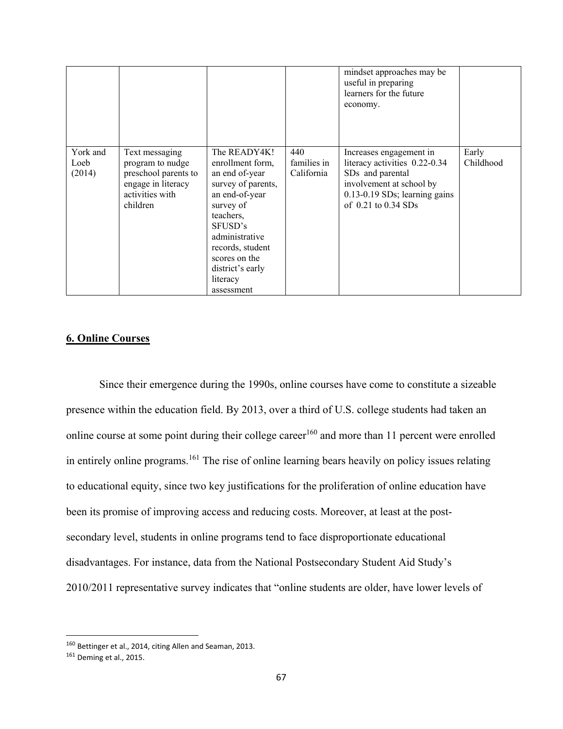|                            |                                                                                                                 |                                                                                                                                                                                                                                      |                                  | mindset approaches may be<br>useful in preparing<br>learners for the future<br>economy.                                                                                          |                    |
|----------------------------|-----------------------------------------------------------------------------------------------------------------|--------------------------------------------------------------------------------------------------------------------------------------------------------------------------------------------------------------------------------------|----------------------------------|----------------------------------------------------------------------------------------------------------------------------------------------------------------------------------|--------------------|
| York and<br>Loeb<br>(2014) | Text messaging<br>program to nudge<br>preschool parents to<br>engage in literacy<br>activities with<br>children | The READY4K!<br>enrollment form,<br>an end of-year<br>survey of parents,<br>an end-of-year<br>survey of<br>teachers,<br>SFUSD's<br>administrative<br>records, student<br>scores on the<br>district's early<br>literacy<br>assessment | 440<br>families in<br>California | Increases engagement in<br>literacy activities 0.22-0.34<br>SD <sub>s</sub> and parental<br>involvement at school by<br>0.13-0.19 SDs; learning gains<br>of $0.21$ to $0.34$ SDs | Early<br>Childhood |

# **6. Online Courses**

Since their emergence during the 1990s, online courses have come to constitute a sizeable presence within the education field. By 2013, over a third of U.S. college students had taken an online course at some point during their college career<sup>160</sup> and more than 11 percent were enrolled in entirely online programs.<sup>161</sup> The rise of online learning bears heavily on policy issues relating to educational equity, since two key justifications for the proliferation of online education have been its promise of improving access and reducing costs. Moreover, at least at the postsecondary level, students in online programs tend to face disproportionate educational disadvantages. For instance, data from the National Postsecondary Student Aid Study's 2010/2011 representative survey indicates that "online students are older, have lower levels of

<sup>160</sup> Bettinger et al., 2014, citing Allen and Seaman, 2013.

<sup>161</sup> Deming et al., 2015.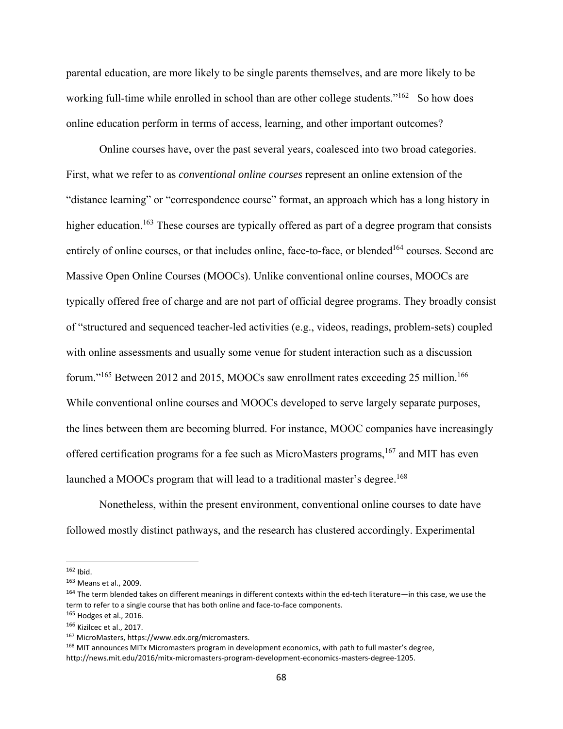parental education, are more likely to be single parents themselves, and are more likely to be working full-time while enrolled in school than are other college students."<sup>162</sup> So how does online education perform in terms of access, learning, and other important outcomes?

Online courses have, over the past several years, coalesced into two broad categories. First, what we refer to as *conventional online courses* represent an online extension of the "distance learning" or "correspondence course" format, an approach which has a long history in higher education.<sup>163</sup> These courses are typically offered as part of a degree program that consists entirely of online courses, or that includes online, face-to-face, or blended<sup>164</sup> courses. Second are Massive Open Online Courses (MOOCs). Unlike conventional online courses, MOOCs are typically offered free of charge and are not part of official degree programs. They broadly consist of "structured and sequenced teacher-led activities (e.g., videos, readings, problem-sets) coupled with online assessments and usually some venue for student interaction such as a discussion forum."<sup>165</sup> Between 2012 and 2015, MOOCs saw enrollment rates exceeding 25 million.<sup>166</sup> While conventional online courses and MOOCs developed to serve largely separate purposes, the lines between them are becoming blurred. For instance, MOOC companies have increasingly offered certification programs for a fee such as MicroMasters programs,  $167$  and MIT has even launched a MOOCs program that will lead to a traditional master's degree.<sup>168</sup>

Nonetheless, within the present environment, conventional online courses to date have followed mostly distinct pathways, and the research has clustered accordingly. Experimental

<sup>162</sup> Ibid.

<sup>163</sup> Means et al., 2009.

<sup>164</sup> The term blended takes on different meanings in different contexts within the ed-tech literature—in this case, we use the term to refer to a single course that has both online and face-to-face components.

 $165$  Hodges et al., 2016.

<sup>166</sup> Kizilcec et al., 2017.

<sup>167</sup> MicroMasters, https://www.edx.org/micromasters.

<sup>168</sup> MIT announces MITx Micromasters program in development economics, with path to full master's degree, http://news.mit.edu/2016/mitx‐micromasters‐program‐development‐economics‐masters‐degree‐1205.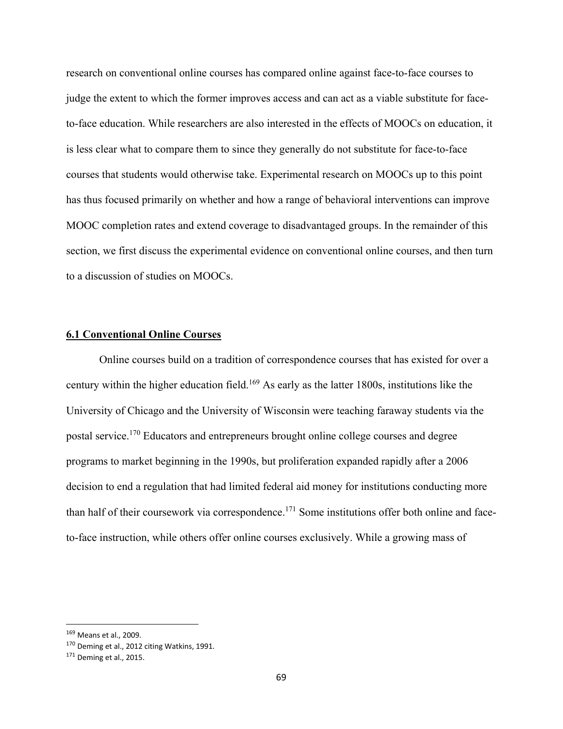research on conventional online courses has compared online against face-to-face courses to judge the extent to which the former improves access and can act as a viable substitute for faceto-face education. While researchers are also interested in the effects of MOOCs on education, it is less clear what to compare them to since they generally do not substitute for face-to-face courses that students would otherwise take. Experimental research on MOOCs up to this point has thus focused primarily on whether and how a range of behavioral interventions can improve MOOC completion rates and extend coverage to disadvantaged groups. In the remainder of this section, we first discuss the experimental evidence on conventional online courses, and then turn to a discussion of studies on MOOCs.

### **6.1 Conventional Online Courses**

Online courses build on a tradition of correspondence courses that has existed for over a century within the higher education field.169 As early as the latter 1800s, institutions like the University of Chicago and the University of Wisconsin were teaching faraway students via the postal service.170 Educators and entrepreneurs brought online college courses and degree programs to market beginning in the 1990s, but proliferation expanded rapidly after a 2006 decision to end a regulation that had limited federal aid money for institutions conducting more than half of their coursework via correspondence.<sup>171</sup> Some institutions offer both online and faceto-face instruction, while others offer online courses exclusively. While a growing mass of

<sup>169</sup> Means et al., 2009.

<sup>170</sup> Deming et al., 2012 citing Watkins, 1991.

<sup>171</sup> Deming et al., 2015.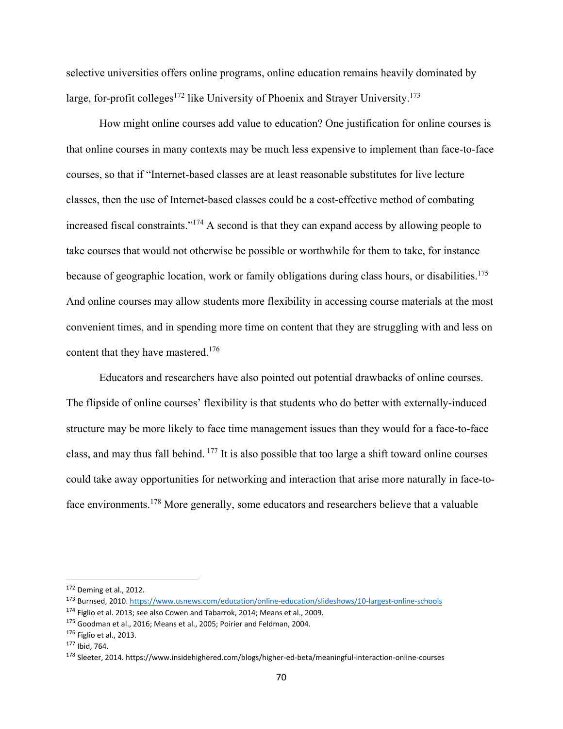selective universities offers online programs, online education remains heavily dominated by large, for-profit colleges<sup>172</sup> like University of Phoenix and Strayer University.<sup>173</sup>

How might online courses add value to education? One justification for online courses is that online courses in many contexts may be much less expensive to implement than face-to-face courses, so that if "Internet-based classes are at least reasonable substitutes for live lecture classes, then the use of Internet-based classes could be a cost-effective method of combating increased fiscal constraints."174 A second is that they can expand access by allowing people to take courses that would not otherwise be possible or worthwhile for them to take, for instance because of geographic location, work or family obligations during class hours, or disabilities.<sup>175</sup> And online courses may allow students more flexibility in accessing course materials at the most convenient times, and in spending more time on content that they are struggling with and less on content that they have mastered.<sup>176</sup>

Educators and researchers have also pointed out potential drawbacks of online courses. The flipside of online courses' flexibility is that students who do better with externally-induced structure may be more likely to face time management issues than they would for a face-to-face class, and may thus fall behind. 177 It is also possible that too large a shift toward online courses could take away opportunities for networking and interaction that arise more naturally in face-toface environments.178 More generally, some educators and researchers believe that a valuable

<sup>172</sup> Deming et al., 2012.

<sup>173</sup> Burnsed, 2010. https://www.usnews.com/education/online-education/slideshows/10-largest-online-schools

<sup>174</sup> Figlio et al. 2013; see also Cowen and Tabarrok, 2014; Means et al., 2009.

<sup>175</sup> Goodman et al., 2016; Means et al., 2005; Poirier and Feldman, 2004.

<sup>176</sup> Figlio et al., 2013.

<sup>177</sup> Ibid, 764.

<sup>178</sup> Sleeter, 2014. https://www.insidehighered.com/blogs/higher-ed-beta/meaningful-interaction-online-courses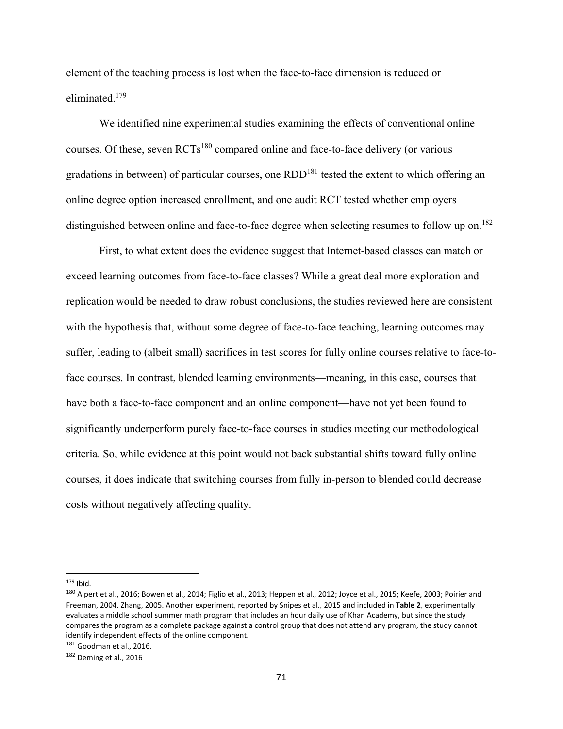element of the teaching process is lost when the face-to-face dimension is reduced or eliminated.179

We identified nine experimental studies examining the effects of conventional online courses. Of these, seven RCTs<sup>180</sup> compared online and face-to-face delivery (or various gradations in between) of particular courses, one  $RDD<sup>181</sup>$  tested the extent to which offering an online degree option increased enrollment, and one audit RCT tested whether employers distinguished between online and face-to-face degree when selecting resumes to follow up on.<sup>182</sup>

First, to what extent does the evidence suggest that Internet-based classes can match or exceed learning outcomes from face-to-face classes? While a great deal more exploration and replication would be needed to draw robust conclusions, the studies reviewed here are consistent with the hypothesis that, without some degree of face-to-face teaching, learning outcomes may suffer, leading to (albeit small) sacrifices in test scores for fully online courses relative to face-toface courses. In contrast, blended learning environments—meaning, in this case, courses that have both a face-to-face component and an online component—have not yet been found to significantly underperform purely face-to-face courses in studies meeting our methodological criteria. So, while evidence at this point would not back substantial shifts toward fully online courses, it does indicate that switching courses from fully in-person to blended could decrease costs without negatively affecting quality.

 $179$  Ibid.

<sup>&</sup>lt;sup>180</sup> Alpert et al., 2016; Bowen et al., 2014; Figlio et al., 2013; Heppen et al., 2012; Joyce et al., 2015; Keefe, 2003; Poirier and Freeman, 2004. Zhang, 2005. Another experiment, reported by Snipes et al., 2015 and included in **Table 2**, experimentally evaluates a middle school summer math program that includes an hour daily use of Khan Academy, but since the study compares the program as a complete package against a control group that does not attend any program, the study cannot identify independent effects of the online component.

<sup>181</sup> Goodman et al., 2016.

<sup>182</sup> Deming et al., 2016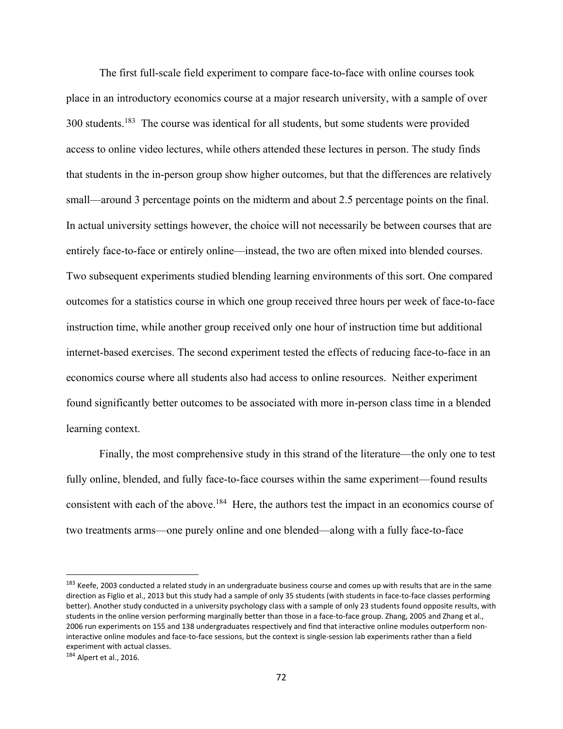The first full-scale field experiment to compare face-to-face with online courses took place in an introductory economics course at a major research university, with a sample of over 300 students.<sup>183</sup> The course was identical for all students, but some students were provided access to online video lectures, while others attended these lectures in person. The study finds that students in the in-person group show higher outcomes, but that the differences are relatively small—around 3 percentage points on the midterm and about 2.5 percentage points on the final. In actual university settings however, the choice will not necessarily be between courses that are entirely face-to-face or entirely online—instead, the two are often mixed into blended courses. Two subsequent experiments studied blending learning environments of this sort. One compared outcomes for a statistics course in which one group received three hours per week of face-to-face instruction time, while another group received only one hour of instruction time but additional internet-based exercises. The second experiment tested the effects of reducing face-to-face in an economics course where all students also had access to online resources. Neither experiment found significantly better outcomes to be associated with more in-person class time in a blended learning context.

Finally, the most comprehensive study in this strand of the literature—the only one to test fully online, blended, and fully face-to-face courses within the same experiment—found results consistent with each of the above.<sup>184</sup> Here, the authors test the impact in an economics course of two treatments arms—one purely online and one blended—along with a fully face-to-face

<sup>&</sup>lt;sup>183</sup> Keefe, 2003 conducted a related study in an undergraduate business course and comes up with results that are in the same direction as Figlio et al., 2013 but this study had a sample of only 35 students (with students in face‐to‐face classes performing better). Another study conducted in a university psychology class with a sample of only 23 students found opposite results, with students in the online version performing marginally better than those in a face-to-face group. Zhang, 2005 and Zhang et al., 2006 run experiments on 155 and 138 undergraduates respectively and find that interactive online modules outperform non‐ interactive online modules and face‐to‐face sessions, but the context is single‐session lab experiments rather than a field experiment with actual classes.

<sup>184</sup> Alpert et al., 2016.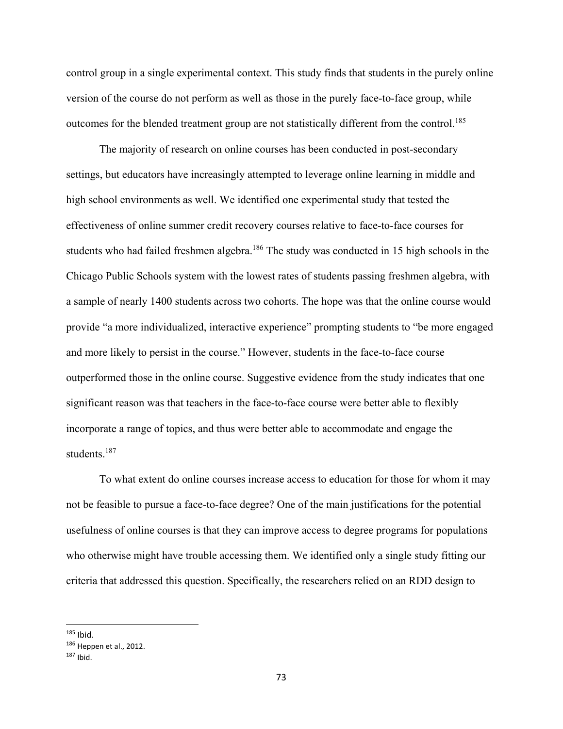control group in a single experimental context. This study finds that students in the purely online version of the course do not perform as well as those in the purely face-to-face group, while outcomes for the blended treatment group are not statistically different from the control.<sup>185</sup>

The majority of research on online courses has been conducted in post-secondary settings, but educators have increasingly attempted to leverage online learning in middle and high school environments as well. We identified one experimental study that tested the effectiveness of online summer credit recovery courses relative to face-to-face courses for students who had failed freshmen algebra.<sup>186</sup> The study was conducted in 15 high schools in the Chicago Public Schools system with the lowest rates of students passing freshmen algebra, with a sample of nearly 1400 students across two cohorts. The hope was that the online course would provide "a more individualized, interactive experience" prompting students to "be more engaged and more likely to persist in the course." However, students in the face-to-face course outperformed those in the online course. Suggestive evidence from the study indicates that one significant reason was that teachers in the face-to-face course were better able to flexibly incorporate a range of topics, and thus were better able to accommodate and engage the students.<sup>187</sup>

To what extent do online courses increase access to education for those for whom it may not be feasible to pursue a face-to-face degree? One of the main justifications for the potential usefulness of online courses is that they can improve access to degree programs for populations who otherwise might have trouble accessing them. We identified only a single study fitting our criteria that addressed this question. Specifically, the researchers relied on an RDD design to

 $185$  Ibid.

<sup>186</sup> Heppen et al., 2012.

 $187$  Ibid.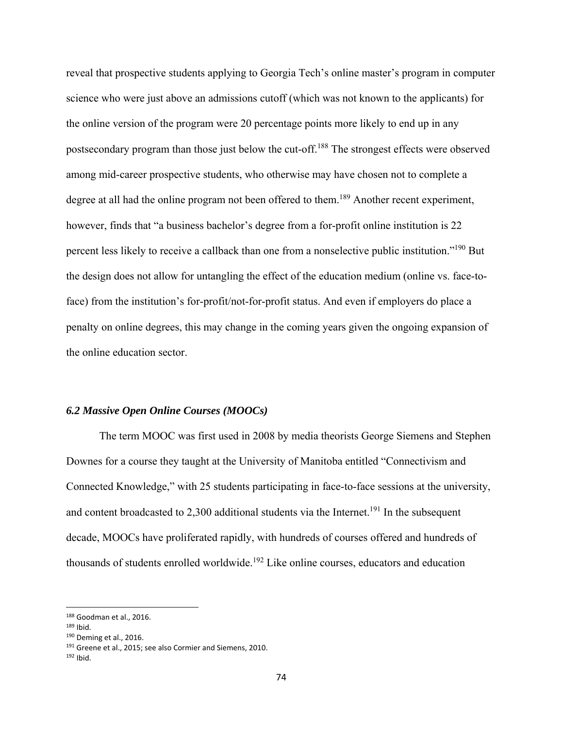reveal that prospective students applying to Georgia Tech's online master's program in computer science who were just above an admissions cutoff (which was not known to the applicants) for the online version of the program were 20 percentage points more likely to end up in any postsecondary program than those just below the cut-off.188 The strongest effects were observed among mid-career prospective students, who otherwise may have chosen not to complete a degree at all had the online program not been offered to them.<sup>189</sup> Another recent experiment, however, finds that "a business bachelor's degree from a for-profit online institution is 22 percent less likely to receive a callback than one from a nonselective public institution."190 But the design does not allow for untangling the effect of the education medium (online vs. face-toface) from the institution's for-profit/not-for-profit status. And even if employers do place a penalty on online degrees, this may change in the coming years given the ongoing expansion of the online education sector.

#### *6.2 Massive Open Online Courses (MOOCs)*

The term MOOC was first used in 2008 by media theorists George Siemens and Stephen Downes for a course they taught at the University of Manitoba entitled "Connectivism and Connected Knowledge," with 25 students participating in face-to-face sessions at the university, and content broadcasted to 2,300 additional students via the Internet.<sup>191</sup> In the subsequent decade, MOOCs have proliferated rapidly, with hundreds of courses offered and hundreds of thousands of students enrolled worldwide.<sup>192</sup> Like online courses, educators and education

<sup>188</sup> Goodman et al., 2016.

 $189$  Ibid.

<sup>190</sup> Deming et al., 2016.

<sup>&</sup>lt;sup>191</sup> Greene et al., 2015; see also Cormier and Siemens, 2010.

 $192$  Ibid.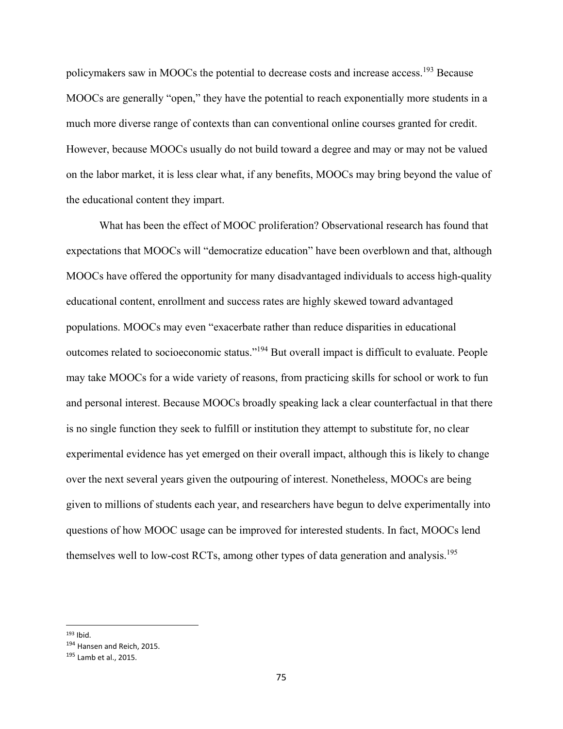policymakers saw in MOOCs the potential to decrease costs and increase access.193 Because MOOCs are generally "open," they have the potential to reach exponentially more students in a much more diverse range of contexts than can conventional online courses granted for credit. However, because MOOCs usually do not build toward a degree and may or may not be valued on the labor market, it is less clear what, if any benefits, MOOCs may bring beyond the value of the educational content they impart.

What has been the effect of MOOC proliferation? Observational research has found that expectations that MOOCs will "democratize education" have been overblown and that, although MOOCs have offered the opportunity for many disadvantaged individuals to access high-quality educational content, enrollment and success rates are highly skewed toward advantaged populations. MOOCs may even "exacerbate rather than reduce disparities in educational outcomes related to socioeconomic status."194 But overall impact is difficult to evaluate. People may take MOOCs for a wide variety of reasons, from practicing skills for school or work to fun and personal interest. Because MOOCs broadly speaking lack a clear counterfactual in that there is no single function they seek to fulfill or institution they attempt to substitute for, no clear experimental evidence has yet emerged on their overall impact, although this is likely to change over the next several years given the outpouring of interest. Nonetheless, MOOCs are being given to millions of students each year, and researchers have begun to delve experimentally into questions of how MOOC usage can be improved for interested students. In fact, MOOCs lend themselves well to low-cost RCTs, among other types of data generation and analysis.<sup>195</sup>

 $193$  Ibid.

<sup>194</sup> Hansen and Reich, 2015.

<sup>195</sup> Lamb et al., 2015.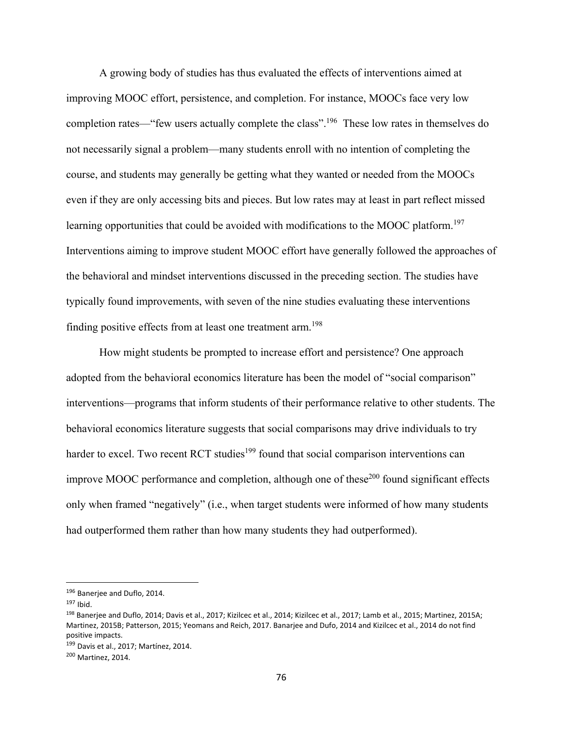A growing body of studies has thus evaluated the effects of interventions aimed at improving MOOC effort, persistence, and completion. For instance, MOOCs face very low completion rates—"few users actually complete the class".<sup>196</sup> These low rates in themselves do not necessarily signal a problem—many students enroll with no intention of completing the course, and students may generally be getting what they wanted or needed from the MOOCs even if they are only accessing bits and pieces. But low rates may at least in part reflect missed learning opportunities that could be avoided with modifications to the MOOC platform.<sup>197</sup> Interventions aiming to improve student MOOC effort have generally followed the approaches of the behavioral and mindset interventions discussed in the preceding section. The studies have typically found improvements, with seven of the nine studies evaluating these interventions finding positive effects from at least one treatment arm.<sup>198</sup>

How might students be prompted to increase effort and persistence? One approach adopted from the behavioral economics literature has been the model of "social comparison" interventions—programs that inform students of their performance relative to other students. The behavioral economics literature suggests that social comparisons may drive individuals to try harder to excel. Two recent RCT studies<sup>199</sup> found that social comparison interventions can improve MOOC performance and completion, although one of these<sup>200</sup> found significant effects only when framed "negatively" (i.e., when target students were informed of how many students had outperformed them rather than how many students they had outperformed).

<sup>196</sup> Banerjee and Duflo, 2014.

 $197$  Ibid.

<sup>198</sup> Banerjee and Duflo, 2014; Davis et al., 2017; Kizilcec et al., 2014; Kizilcec et al., 2017; Lamb et al., 2015; Martinez, 2015A; Martinez, 2015B; Patterson, 2015; Yeomans and Reich, 2017. Banarjee and Dufo, 2014 and Kizilcec et al., 2014 do not find positive impacts.

<sup>199</sup> Davis et al., 2017; Martínez, 2014.

<sup>200</sup> Martinez, 2014.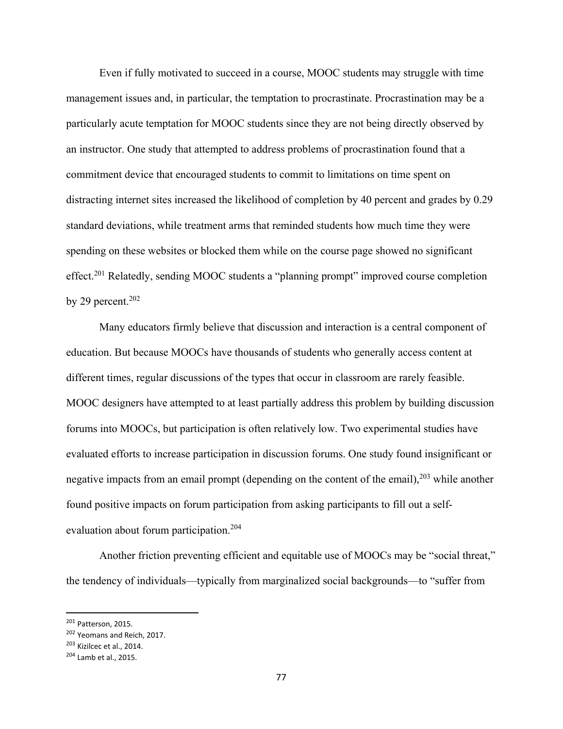Even if fully motivated to succeed in a course, MOOC students may struggle with time management issues and, in particular, the temptation to procrastinate. Procrastination may be a particularly acute temptation for MOOC students since they are not being directly observed by an instructor. One study that attempted to address problems of procrastination found that a commitment device that encouraged students to commit to limitations on time spent on distracting internet sites increased the likelihood of completion by 40 percent and grades by 0.29 standard deviations, while treatment arms that reminded students how much time they were spending on these websites or blocked them while on the course page showed no significant effect.<sup>201</sup> Relatedly, sending MOOC students a "planning prompt" improved course completion by 29 percent. $202$ 

Many educators firmly believe that discussion and interaction is a central component of education. But because MOOCs have thousands of students who generally access content at different times, regular discussions of the types that occur in classroom are rarely feasible. MOOC designers have attempted to at least partially address this problem by building discussion forums into MOOCs, but participation is often relatively low. Two experimental studies have evaluated efforts to increase participation in discussion forums. One study found insignificant or negative impacts from an email prompt (depending on the content of the email),  $203$  while another found positive impacts on forum participation from asking participants to fill out a selfevaluation about forum participation.<sup>204</sup>

 Another friction preventing efficient and equitable use of MOOCs may be "social threat," the tendency of individuals—typically from marginalized social backgrounds—to "suffer from

<sup>201</sup> Patterson, 2015.

<sup>202</sup> Yeomans and Reich, 2017.

<sup>&</sup>lt;sup>203</sup> Kizilcec et al., 2014.

<sup>204</sup> Lamb et al., 2015.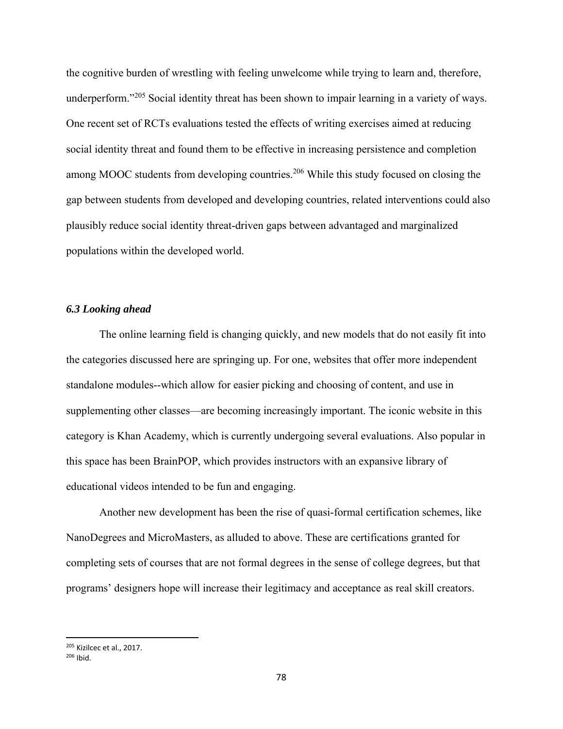the cognitive burden of wrestling with feeling unwelcome while trying to learn and, therefore, underperform."<sup>205</sup> Social identity threat has been shown to impair learning in a variety of ways. One recent set of RCTs evaluations tested the effects of writing exercises aimed at reducing social identity threat and found them to be effective in increasing persistence and completion among MOOC students from developing countries.<sup>206</sup> While this study focused on closing the gap between students from developed and developing countries, related interventions could also plausibly reduce social identity threat-driven gaps between advantaged and marginalized populations within the developed world.

## *6.3 Looking ahead*

The online learning field is changing quickly, and new models that do not easily fit into the categories discussed here are springing up. For one, websites that offer more independent standalone modules--which allow for easier picking and choosing of content, and use in supplementing other classes—are becoming increasingly important. The iconic website in this category is Khan Academy, which is currently undergoing several evaluations. Also popular in this space has been BrainPOP, which provides instructors with an expansive library of educational videos intended to be fun and engaging.

Another new development has been the rise of quasi-formal certification schemes, like NanoDegrees and MicroMasters, as alluded to above. These are certifications granted for completing sets of courses that are not formal degrees in the sense of college degrees, but that programs' designers hope will increase their legitimacy and acceptance as real skill creators.

<sup>205</sup> Kizilcec et al., 2017.

 $206$  Ibid.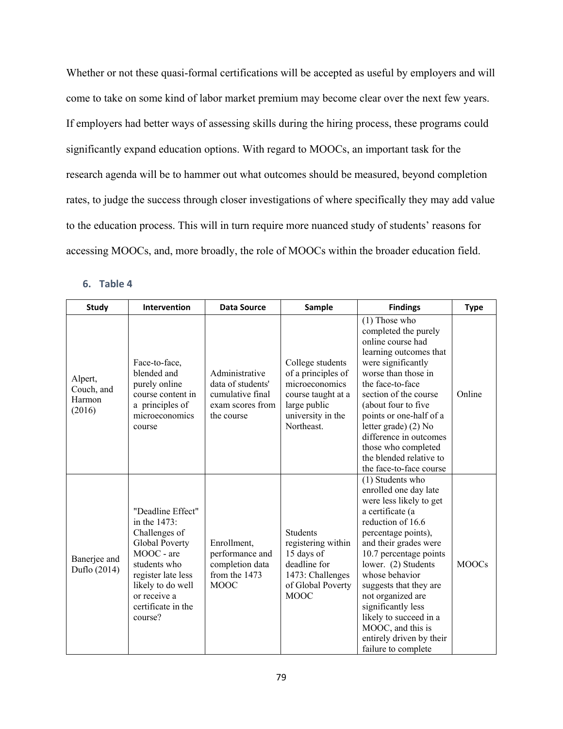Whether or not these quasi-formal certifications will be accepted as useful by employers and will come to take on some kind of labor market premium may become clear over the next few years. If employers had better ways of assessing skills during the hiring process, these programs could significantly expand education options. With regard to MOOCs, an important task for the research agenda will be to hammer out what outcomes should be measured, beyond completion rates, to judge the success through closer investigations of where specifically they may add value to the education process. This will in turn require more nuanced study of students' reasons for accessing MOOCs, and, more broadly, the role of MOOCs within the broader education field.

# **6. Table 4**

| <b>Study</b>                              | Intervention                                                                                                                                                                                   | <b>Data Source</b>                                                                        | Sample                                                                                                                            | <b>Findings</b>                                                                                                                                                                                                                                                                                                                                                                                         | <b>Type</b>  |
|-------------------------------------------|------------------------------------------------------------------------------------------------------------------------------------------------------------------------------------------------|-------------------------------------------------------------------------------------------|-----------------------------------------------------------------------------------------------------------------------------------|---------------------------------------------------------------------------------------------------------------------------------------------------------------------------------------------------------------------------------------------------------------------------------------------------------------------------------------------------------------------------------------------------------|--------------|
| Alpert,<br>Couch, and<br>Harmon<br>(2016) | Face-to-face,<br>blended and<br>purely online<br>course content in<br>a principles of<br>microeconomics<br>course                                                                              | Administrative<br>data of students'<br>cumulative final<br>exam scores from<br>the course | College students<br>of a principles of<br>microeconomics<br>course taught at a<br>large public<br>university in the<br>Northeast. | $(1)$ Those who<br>completed the purely<br>online course had<br>learning outcomes that<br>were significantly<br>worse than those in<br>the face-to-face<br>section of the course<br>(about four to five<br>points or one-half of a<br>letter grade) (2) No<br>difference in outcomes<br>those who completed<br>the blended relative to<br>the face-to-face course                                       | Online       |
| Banerjee and<br>Duflo (2014)              | "Deadline Effect"<br>in the 1473:<br>Challenges of<br>Global Poverty<br>MOOC - are<br>students who<br>register late less<br>likely to do well<br>or receive a<br>certificate in the<br>course? | Enrollment,<br>performance and<br>completion data<br>from the 1473<br><b>MOOC</b>         | <b>Students</b><br>registering within<br>15 days of<br>deadline for<br>1473: Challenges<br>of Global Poverty<br><b>MOOC</b>       | (1) Students who<br>enrolled one day late<br>were less likely to get<br>a certificate (a<br>reduction of 16.6<br>percentage points),<br>and their grades were<br>10.7 percentage points<br>lower. (2) Students<br>whose behavior<br>suggests that they are<br>not organized are<br>significantly less<br>likely to succeed in a<br>MOOC, and this is<br>entirely driven by their<br>failure to complete | <b>MOOCs</b> |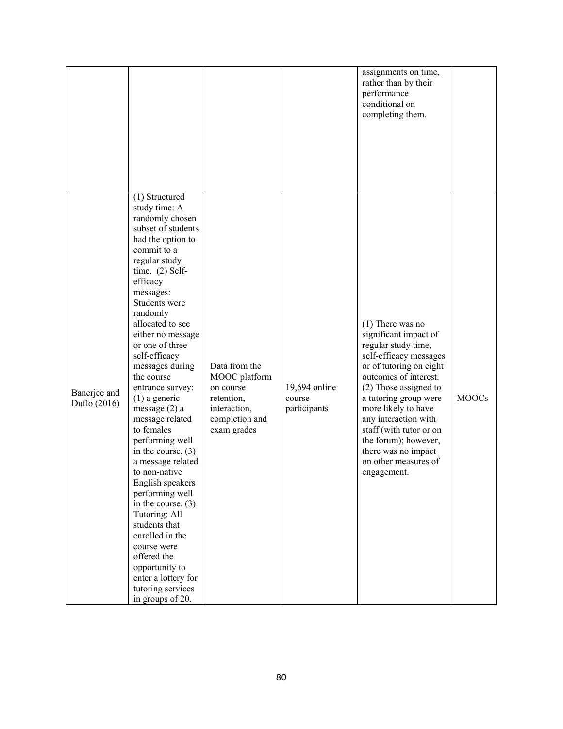|                              |                                                                                                                                                                                                                                                                                                                                                                                                                                                                                                                                                                                                                                                                                                                                        |                                                                                                            |                                         | assignments on time,<br>rather than by their<br>performance<br>conditional on<br>completing them.                                                                                                                                                                                                                                                                  |              |
|------------------------------|----------------------------------------------------------------------------------------------------------------------------------------------------------------------------------------------------------------------------------------------------------------------------------------------------------------------------------------------------------------------------------------------------------------------------------------------------------------------------------------------------------------------------------------------------------------------------------------------------------------------------------------------------------------------------------------------------------------------------------------|------------------------------------------------------------------------------------------------------------|-----------------------------------------|--------------------------------------------------------------------------------------------------------------------------------------------------------------------------------------------------------------------------------------------------------------------------------------------------------------------------------------------------------------------|--------------|
| Banerjee and<br>Duflo (2016) | (1) Structured<br>study time: A<br>randomly chosen<br>subset of students<br>had the option to<br>commit to a<br>regular study<br>time. $(2)$ Self-<br>efficacy<br>messages:<br>Students were<br>randomly<br>allocated to see<br>either no message<br>or one of three<br>self-efficacy<br>messages during<br>the course<br>entrance survey:<br>$(1)$ a generic<br>message $(2)$ a<br>message related<br>to females<br>performing well<br>in the course, $(3)$<br>a message related<br>to non-native<br>English speakers<br>performing well<br>in the course. $(3)$<br>Tutoring: All<br>students that<br>enrolled in the<br>course were<br>offered the<br>opportunity to<br>enter a lottery for<br>tutoring services<br>in groups of 20. | Data from the<br>MOOC platform<br>on course<br>retention,<br>interaction,<br>completion and<br>exam grades | 19,694 online<br>course<br>participants | $(1)$ There was no<br>significant impact of<br>regular study time,<br>self-efficacy messages<br>or of tutoring on eight<br>outcomes of interest.<br>(2) Those assigned to<br>a tutoring group were<br>more likely to have<br>any interaction with<br>staff (with tutor or on<br>the forum); however,<br>there was no impact<br>on other measures of<br>engagement. | <b>MOOCs</b> |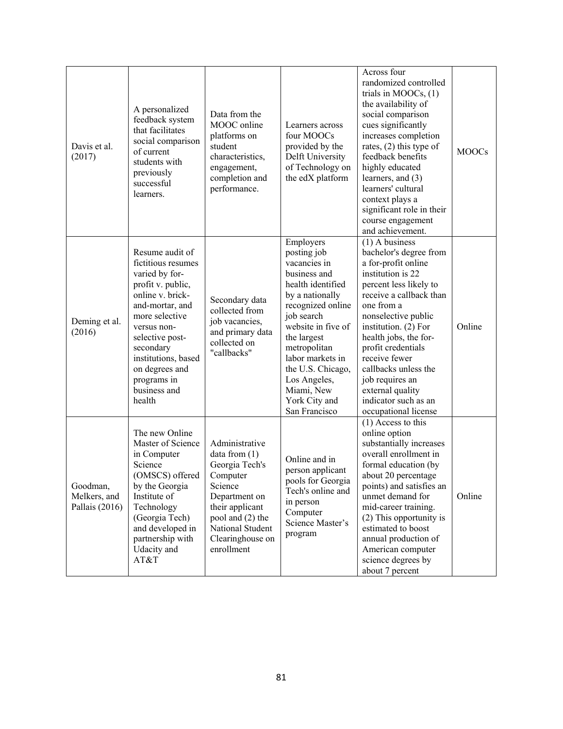| Davis et al.<br>(2017)                     | A personalized<br>feedback system<br>that facilitates<br>social comparison<br>of current<br>students with<br>previously<br>successful<br>learners.                                                                                                                     | Data from the<br>MOOC online<br>platforms on<br>student<br>characteristics,<br>engagement,<br>completion and<br>performance.                                                             | Learners across<br>four MOOCs<br>provided by the<br>Delft University<br>of Technology on<br>the edX platform                                                                                                                                                                                      | Across four<br>randomized controlled<br>trials in $MOOCs$ , $(1)$<br>the availability of<br>social comparison<br>cues significantly<br>increases completion<br>rates, $(2)$ this type of<br>feedback benefits<br>highly educated<br>learners, and (3)<br>learners' cultural<br>context plays a<br>significant role in their                                                                                                                                | <b>MOOCs</b> |
|--------------------------------------------|------------------------------------------------------------------------------------------------------------------------------------------------------------------------------------------------------------------------------------------------------------------------|------------------------------------------------------------------------------------------------------------------------------------------------------------------------------------------|---------------------------------------------------------------------------------------------------------------------------------------------------------------------------------------------------------------------------------------------------------------------------------------------------|------------------------------------------------------------------------------------------------------------------------------------------------------------------------------------------------------------------------------------------------------------------------------------------------------------------------------------------------------------------------------------------------------------------------------------------------------------|--------------|
| Deming et al.<br>(2016)                    | Resume audit of<br>fictitious resumes<br>varied by for-<br>profit v. public,<br>online v. brick-<br>and-mortar, and<br>more selective<br>versus non-<br>selective post-<br>secondary<br>institutions, based<br>on degrees and<br>programs in<br>business and<br>health | Secondary data<br>collected from<br>job vacancies,<br>and primary data<br>collected on<br>"callbacks"                                                                                    | Employers<br>posting job<br>vacancies in<br>business and<br>health identified<br>by a nationally<br>recognized online<br>job search<br>website in five of<br>the largest<br>metropolitan<br>labor markets in<br>the U.S. Chicago,<br>Los Angeles,<br>Miami, New<br>York City and<br>San Francisco | course engagement<br>and achievement.<br>$(1)$ A business<br>bachelor's degree from<br>a for-profit online<br>institution is 22<br>percent less likely to<br>receive a callback than<br>one from a<br>nonselective public<br>institution. $(2)$ For<br>health jobs, the for-<br>profit credentials<br>receive fewer<br>callbacks unless the<br>job requires an<br>external quality<br>indicator such as an<br>occupational license<br>$(1)$ Access to this | Online       |
| Goodman,<br>Melkers, and<br>Pallais (2016) | The new Online<br>Master of Science<br>in Computer<br>Science<br>(OMSCS) offered<br>by the Georgia<br>Institute of<br>Technology<br>(Georgia Tech)<br>and developed in<br>partnership with<br>Udacity and<br>AT&T                                                      | Administrative<br>data from $(1)$<br>Georgia Tech's<br>Computer<br>Science<br>Department on<br>their applicant<br>pool and (2) the<br>National Student<br>Clearinghouse on<br>enrollment | Online and in<br>person applicant<br>pools for Georgia<br>Tech's online and<br>in person<br>Computer<br>Science Master's<br>program                                                                                                                                                               | online option<br>substantially increases<br>overall enrollment in<br>formal education (by<br>about 20 percentage<br>points) and satisfies an<br>unmet demand for<br>mid-career training.<br>(2) This opportunity is<br>estimated to boost<br>annual production of<br>American computer<br>science degrees by<br>about 7 percent                                                                                                                            | Online       |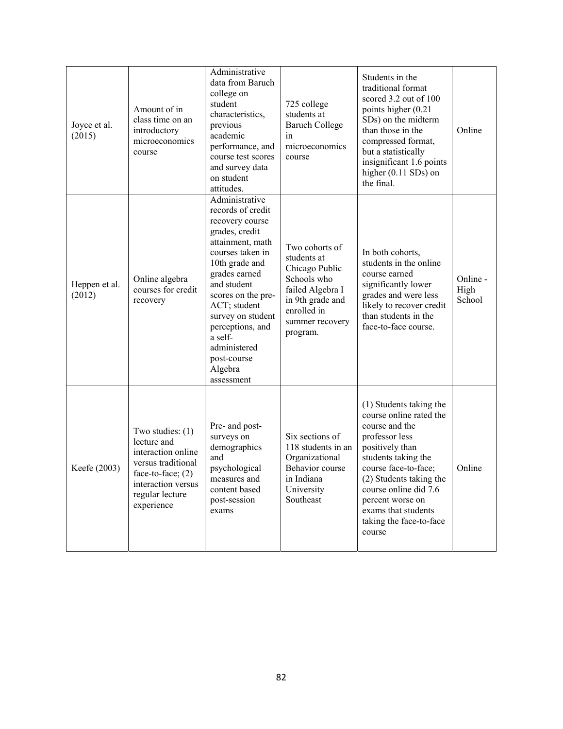| Joyce et al.<br>(2015)  | Amount of in<br>class time on an<br>introductory<br>microeconomics<br>course                                                                                | Administrative<br>data from Baruch<br>college on<br>student<br>characteristics,<br>previous<br>academic<br>performance, and<br>course test scores<br>and survey data<br>on student<br>attitudes.                                                                                                                     | 725 college<br>students at<br><b>Baruch College</b><br>in<br>microeconomics<br>course                                                                | Students in the<br>traditional format<br>scored 3.2 out of 100<br>points higher (0.21<br>SDs) on the midterm<br>than those in the<br>compressed format,<br>but a statistically<br>insignificant 1.6 points<br>higher $(0.11$ SDs) on<br>the final.                                           | Online                     |
|-------------------------|-------------------------------------------------------------------------------------------------------------------------------------------------------------|----------------------------------------------------------------------------------------------------------------------------------------------------------------------------------------------------------------------------------------------------------------------------------------------------------------------|------------------------------------------------------------------------------------------------------------------------------------------------------|----------------------------------------------------------------------------------------------------------------------------------------------------------------------------------------------------------------------------------------------------------------------------------------------|----------------------------|
| Heppen et al.<br>(2012) | Online algebra<br>courses for credit<br>recovery                                                                                                            | Administrative<br>records of credit<br>recovery course<br>grades, credit<br>attainment, math<br>courses taken in<br>10th grade and<br>grades earned<br>and student<br>scores on the pre-<br>ACT; student<br>survey on student<br>perceptions, and<br>a self-<br>administered<br>post-course<br>Algebra<br>assessment | Two cohorts of<br>students at<br>Chicago Public<br>Schools who<br>failed Algebra I<br>in 9th grade and<br>enrolled in<br>summer recovery<br>program. | In both cohorts,<br>students in the online<br>course earned<br>significantly lower<br>grades and were less<br>likely to recover credit<br>than students in the<br>face-to-face course.                                                                                                       | Online -<br>High<br>School |
| Keefe (2003)            | Two studies: $(1)$<br>lecture and<br>interaction online<br>versus traditional<br>face-to-face; $(2)$<br>interaction versus<br>regular lecture<br>experience | Pre- and post-<br>surveys on<br>demographics<br>and<br>psychological<br>measures and<br>content based<br>post-session<br>exams                                                                                                                                                                                       | Six sections of<br>118 students in an<br>Organizational<br>Behavior course<br>in Indiana<br>University<br>Southeast                                  | (1) Students taking the<br>course online rated the<br>course and the<br>professor less<br>positively than<br>students taking the<br>course face-to-face;<br>(2) Students taking the<br>course online did 7.6<br>percent worse on<br>exams that students<br>taking the face-to-face<br>course | Online                     |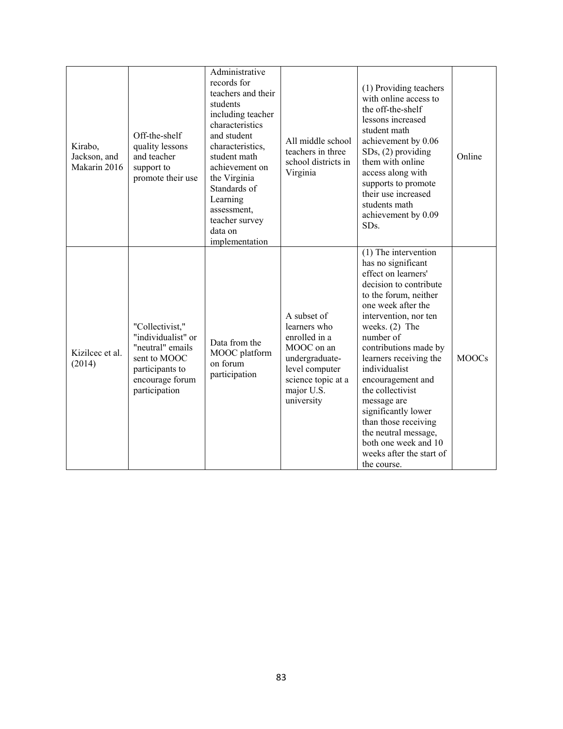| Kirabo,<br>Jackson, and<br>Makarin 2016 | Off-the-shelf<br>quality lessons<br>and teacher<br>support to<br>promote their use                                               | Administrative<br>records for<br>teachers and their<br>students<br>including teacher<br>characteristics<br>and student<br>characteristics,<br>student math<br>achievement on<br>the Virginia<br>Standards of<br>Learning<br>assessment,<br>teacher survey<br>data on<br>implementation | All middle school<br>teachers in three<br>school districts in<br>Virginia                                                                        | (1) Providing teachers<br>with online access to<br>the off-the-shelf<br>lessons increased<br>student math<br>achievement by 0.06<br>$SDs$ , $(2)$ providing<br>them with online<br>access along with<br>supports to promote<br>their use increased<br>students math<br>achievement by 0.09<br>SD <sub>s</sub> .                                                                                                                                                            | Online       |
|-----------------------------------------|----------------------------------------------------------------------------------------------------------------------------------|----------------------------------------------------------------------------------------------------------------------------------------------------------------------------------------------------------------------------------------------------------------------------------------|--------------------------------------------------------------------------------------------------------------------------------------------------|----------------------------------------------------------------------------------------------------------------------------------------------------------------------------------------------------------------------------------------------------------------------------------------------------------------------------------------------------------------------------------------------------------------------------------------------------------------------------|--------------|
| Kizilcec et al.<br>(2014)               | "Collectivist,"<br>"individualist" or<br>"neutral" emails<br>sent to MOOC<br>participants to<br>encourage forum<br>participation | Data from the<br>MOOC platform<br>on forum<br>participation                                                                                                                                                                                                                            | A subset of<br>learners who<br>enrolled in a<br>MOOC on an<br>undergraduate-<br>level computer<br>science topic at a<br>major U.S.<br>university | (1) The intervention<br>has no significant<br>effect on learners'<br>decision to contribute<br>to the forum, neither<br>one week after the<br>intervention, nor ten<br>weeks. $(2)$ The<br>number of<br>contributions made by<br>learners receiving the<br>individualist<br>encouragement and<br>the collectivist<br>message are<br>significantly lower<br>than those receiving<br>the neutral message,<br>both one week and 10<br>weeks after the start of<br>the course. | <b>MOOCs</b> |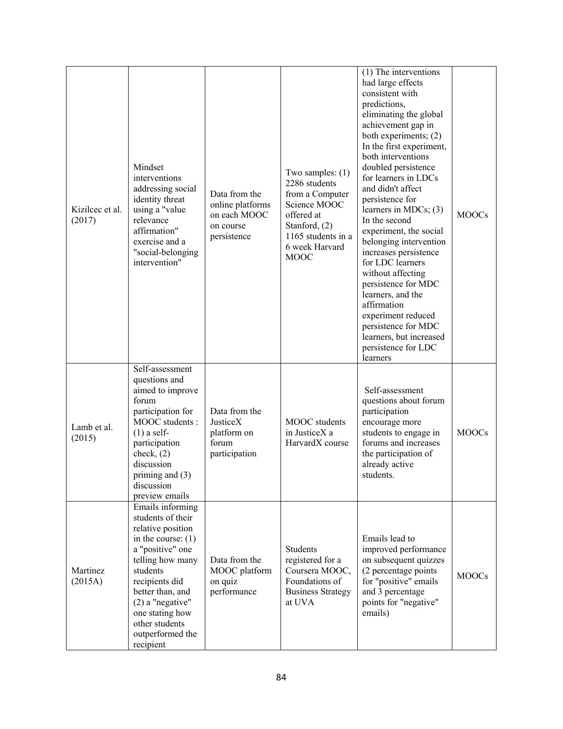| Kizilcec et al.<br>(2017) | Mindset<br>interventions<br>addressing social<br>identity threat<br>using a "value<br>relevance<br>affirmation"<br>exercise and a<br>"social-belonging<br>intervention"                                                                                                  | Data from the<br>online platforms<br>on each MOOC<br>on course<br>persistence | Two samples: $(1)$<br>2286 students<br>from a Computer<br>Science MOOC<br>offered at<br>Stanford, (2)<br>1165 students in a<br>6 week Harvard<br><b>MOOC</b> | (1) The interventions<br>had large effects<br>consistent with<br>predictions,<br>eliminating the global<br>achievement gap in<br>both experiments; (2)<br>In the first experiment,<br>both interventions<br>doubled persistence<br>for learners in LDCs<br>and didn't affect<br>persistence for<br>learners in MDCs; $(3)$<br>In the second<br>experiment, the social<br>belonging intervention<br>increases persistence<br>for LDC learners<br>without affecting<br>persistence for MDC<br>learners, and the<br>affirmation<br>experiment reduced<br>persistence for MDC<br>learners, but increased<br>persistence for LDC<br>learners | <b>MOOCs</b> |
|---------------------------|--------------------------------------------------------------------------------------------------------------------------------------------------------------------------------------------------------------------------------------------------------------------------|-------------------------------------------------------------------------------|--------------------------------------------------------------------------------------------------------------------------------------------------------------|-----------------------------------------------------------------------------------------------------------------------------------------------------------------------------------------------------------------------------------------------------------------------------------------------------------------------------------------------------------------------------------------------------------------------------------------------------------------------------------------------------------------------------------------------------------------------------------------------------------------------------------------|--------------|
| Lamb et al.<br>(2015)     | Self-assessment<br>questions and<br>aimed to improve<br>forum<br>participation for<br>MOOC students :<br>$(1)$ a self-<br>participation<br>check, $(2)$<br>discussion<br>priming and $(3)$<br>discussion<br>preview emails                                               | Data from the<br>JusticeX<br>platform on<br>forum<br>participation            | MOOC students<br>in JusticeX a<br>HarvardX course                                                                                                            | Self-assessment<br>questions about forum<br>participation<br>encourage more<br>students to engage in<br>forums and increases<br>the participation of<br>already active<br>students.                                                                                                                                                                                                                                                                                                                                                                                                                                                     | <b>MOOCs</b> |
| Martinez<br>(2015A)       | Emails informing<br>students of their<br>relative position<br>in the course: $(1)$<br>a "positive" one<br>telling how many<br>students<br>recipients did<br>better than, and<br>$(2)$ a "negative"<br>one stating how<br>other students<br>outperformed the<br>recipient | Data from the<br>MOOC platform<br>on quiz<br>performance                      | Students<br>registered for a<br>Coursera MOOC,<br>Foundations of<br><b>Business Strategy</b><br>at UVA                                                       | Emails lead to<br>improved performance<br>on subsequent quizzes<br>(2 percentage points<br>for "positive" emails<br>and 3 percentage<br>points for "negative"<br>emails)                                                                                                                                                                                                                                                                                                                                                                                                                                                                | <b>MOOCs</b> |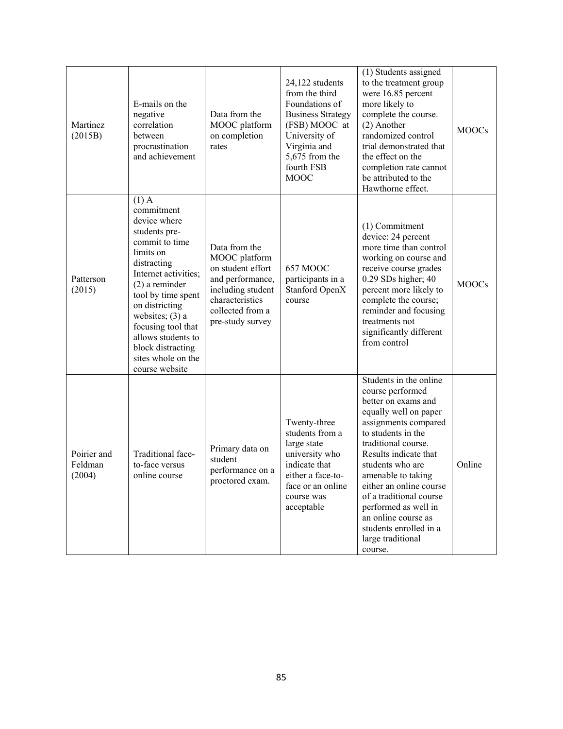| Martinez<br>(2015B)              | E-mails on the<br>negative<br>correlation<br>between<br>procrastination<br>and achievement                                                                                                                                                                                                                             | Data from the<br>MOOC platform<br>on completion<br>rates                                                                                                | 24,122 students<br>from the third<br>Foundations of<br><b>Business Strategy</b><br>(FSB) MOOC at<br>University of<br>Virginia and<br>5,675 from the<br>fourth FSB<br><b>MOOC</b> | (1) Students assigned<br>to the treatment group<br>were 16.85 percent<br>more likely to<br>complete the course.<br>(2) Another<br>randomized control<br>trial demonstrated that<br>the effect on the<br>completion rate cannot<br>be attributed to the<br>Hawthorne effect.                                                                                                                       | <b>MOOCs</b> |
|----------------------------------|------------------------------------------------------------------------------------------------------------------------------------------------------------------------------------------------------------------------------------------------------------------------------------------------------------------------|---------------------------------------------------------------------------------------------------------------------------------------------------------|----------------------------------------------------------------------------------------------------------------------------------------------------------------------------------|---------------------------------------------------------------------------------------------------------------------------------------------------------------------------------------------------------------------------------------------------------------------------------------------------------------------------------------------------------------------------------------------------|--------------|
| Patterson<br>(2015)              | $(1)$ A<br>commitment<br>device where<br>students pre-<br>commit to time<br>limits on<br>distracting<br>Internet activities;<br>$(2)$ a reminder<br>tool by time spent<br>on districting<br>websites; $(3)$ a<br>focusing tool that<br>allows students to<br>block distracting<br>sites whole on the<br>course website | Data from the<br>MOOC platform<br>on student effort<br>and performance,<br>including student<br>characteristics<br>collected from a<br>pre-study survey | <b>657 MOOC</b><br>participants in a<br>Stanford OpenX<br>course                                                                                                                 | (1) Commitment<br>device: 24 percent<br>more time than control<br>working on course and<br>receive course grades<br>0.29 SDs higher; 40<br>percent more likely to<br>complete the course;<br>reminder and focusing<br>treatments not<br>significantly different<br>from control                                                                                                                   | <b>MOOCs</b> |
| Poirier and<br>Feldman<br>(2004) | Traditional face-<br>to-face versus<br>online course                                                                                                                                                                                                                                                                   | Primary data on<br>student<br>performance on a<br>proctored exam.                                                                                       | Twenty-three<br>students from a<br>large state<br>university who<br>indicate that<br>either a face-to-<br>face or an online<br>course was<br>acceptable                          | Students in the online<br>course performed<br>better on exams and<br>equally well on paper<br>assignments compared<br>to students in the<br>traditional course.<br>Results indicate that<br>students who are<br>amenable to taking<br>either an online course<br>of a traditional course<br>performed as well in<br>an online course as<br>students enrolled in a<br>large traditional<br>course. | Online       |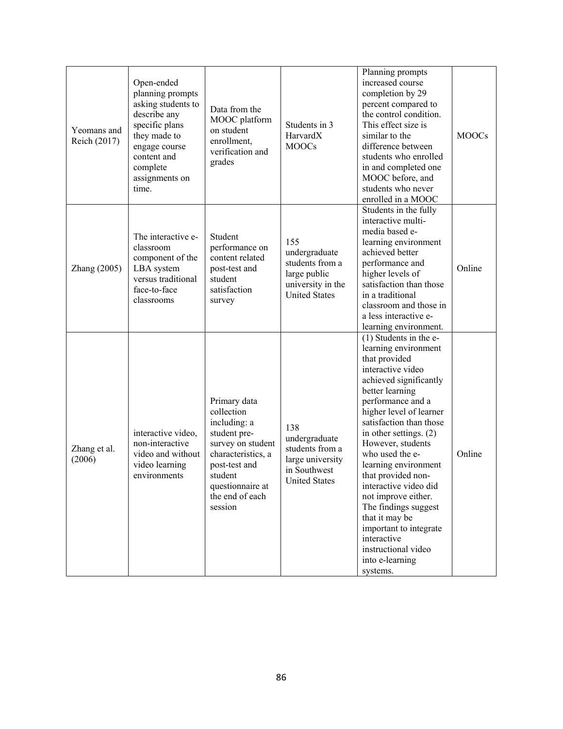| Yeomans and<br>Reich (2017) | Open-ended<br>planning prompts<br>asking students to<br>describe any<br>specific plans<br>they made to<br>engage course<br>content and<br>complete<br>assignments on<br>time. | Data from the<br>MOOC platform<br>on student<br>enrollment,<br>verification and<br>grades                                                                                           | Students in 3<br>HarvardX<br><b>MOOCs</b>                                                            | Planning prompts<br>increased course<br>completion by 29<br>percent compared to<br>the control condition.<br>This effect size is<br>similar to the<br>difference between<br>students who enrolled<br>in and completed one<br>MOOC before, and<br>students who never<br>enrolled in a MOOC                                                                                                                                                                                                                                 | <b>MOOCs</b> |
|-----------------------------|-------------------------------------------------------------------------------------------------------------------------------------------------------------------------------|-------------------------------------------------------------------------------------------------------------------------------------------------------------------------------------|------------------------------------------------------------------------------------------------------|---------------------------------------------------------------------------------------------------------------------------------------------------------------------------------------------------------------------------------------------------------------------------------------------------------------------------------------------------------------------------------------------------------------------------------------------------------------------------------------------------------------------------|--------------|
| Zhang (2005)                | The interactive e-<br>classroom<br>component of the<br>LBA system<br>versus traditional<br>face-to-face<br>classrooms                                                         | Student<br>performance on<br>content related<br>post-test and<br>student<br>satisfaction<br>survey                                                                                  | 155<br>undergraduate<br>students from a<br>large public<br>university in the<br><b>United States</b> | Students in the fully<br>interactive multi-<br>media based e-<br>learning environment<br>achieved better<br>performance and<br>higher levels of<br>satisfaction than those<br>in a traditional<br>classroom and those in<br>a less interactive e-<br>learning environment.                                                                                                                                                                                                                                                | Online       |
| Zhang et al.<br>(2006)      | interactive video,<br>non-interactive<br>video and without<br>video learning<br>environments                                                                                  | Primary data<br>collection<br>including: a<br>student pre-<br>survey on student<br>characteristics, a<br>post-test and<br>student<br>questionnaire at<br>the end of each<br>session | 138<br>undergraduate<br>students from a<br>large university<br>in Southwest<br><b>United States</b>  | $(1)$ Students in the e-<br>learning environment<br>that provided<br>interactive video<br>achieved significantly<br>better learning<br>performance and a<br>higher level of learner<br>satisfaction than those<br>in other settings. $(2)$<br>However, students<br>who used the e-<br>learning environment<br>that provided non-<br>interactive video did<br>not improve either.<br>The findings suggest<br>that it may be<br>important to integrate<br>interactive<br>instructional video<br>into e-learning<br>systems. | Online       |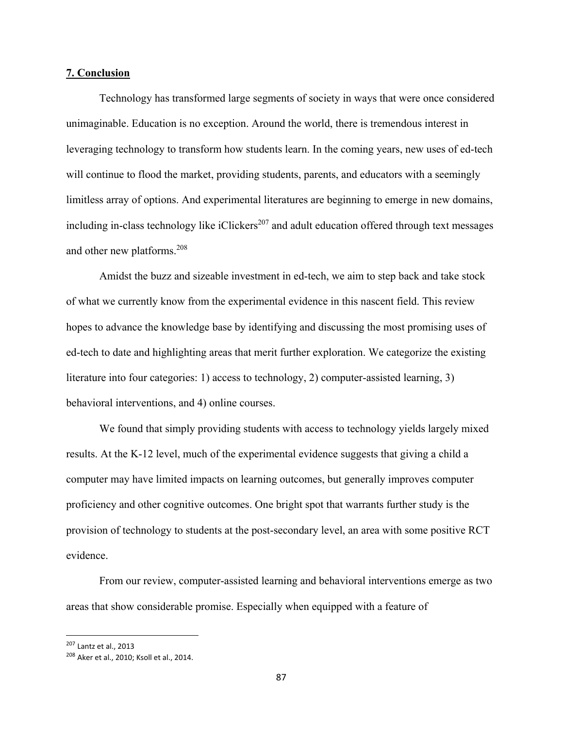## **7. Conclusion**

Technology has transformed large segments of society in ways that were once considered unimaginable. Education is no exception. Around the world, there is tremendous interest in leveraging technology to transform how students learn. In the coming years, new uses of ed-tech will continue to flood the market, providing students, parents, and educators with a seemingly limitless array of options. And experimental literatures are beginning to emerge in new domains, including in-class technology like iClickers<sup>207</sup> and adult education offered through text messages and other new platforms.<sup>208</sup>

Amidst the buzz and sizeable investment in ed-tech, we aim to step back and take stock of what we currently know from the experimental evidence in this nascent field. This review hopes to advance the knowledge base by identifying and discussing the most promising uses of ed-tech to date and highlighting areas that merit further exploration. We categorize the existing literature into four categories: 1) access to technology, 2) computer-assisted learning, 3) behavioral interventions, and 4) online courses.

We found that simply providing students with access to technology yields largely mixed results. At the K-12 level, much of the experimental evidence suggests that giving a child a computer may have limited impacts on learning outcomes, but generally improves computer proficiency and other cognitive outcomes. One bright spot that warrants further study is the provision of technology to students at the post-secondary level, an area with some positive RCT evidence.

From our review, computer-assisted learning and behavioral interventions emerge as two areas that show considerable promise. Especially when equipped with a feature of

<sup>207</sup> Lantz et al., 2013

<sup>208</sup> Aker et al., 2010; Ksoll et al., 2014.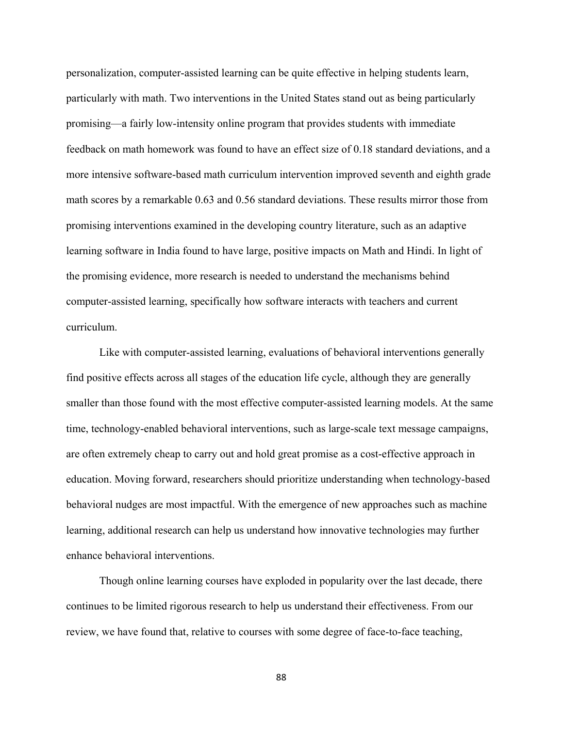personalization, computer-assisted learning can be quite effective in helping students learn, particularly with math. Two interventions in the United States stand out as being particularly promising—a fairly low-intensity online program that provides students with immediate feedback on math homework was found to have an effect size of 0.18 standard deviations, and a more intensive software-based math curriculum intervention improved seventh and eighth grade math scores by a remarkable 0.63 and 0.56 standard deviations. These results mirror those from promising interventions examined in the developing country literature, such as an adaptive learning software in India found to have large, positive impacts on Math and Hindi. In light of the promising evidence, more research is needed to understand the mechanisms behind computer-assisted learning, specifically how software interacts with teachers and current curriculum.

Like with computer-assisted learning, evaluations of behavioral interventions generally find positive effects across all stages of the education life cycle, although they are generally smaller than those found with the most effective computer-assisted learning models. At the same time, technology-enabled behavioral interventions, such as large-scale text message campaigns, are often extremely cheap to carry out and hold great promise as a cost-effective approach in education. Moving forward, researchers should prioritize understanding when technology-based behavioral nudges are most impactful. With the emergence of new approaches such as machine learning, additional research can help us understand how innovative technologies may further enhance behavioral interventions.

Though online learning courses have exploded in popularity over the last decade, there continues to be limited rigorous research to help us understand their effectiveness. From our review, we have found that, relative to courses with some degree of face-to-face teaching,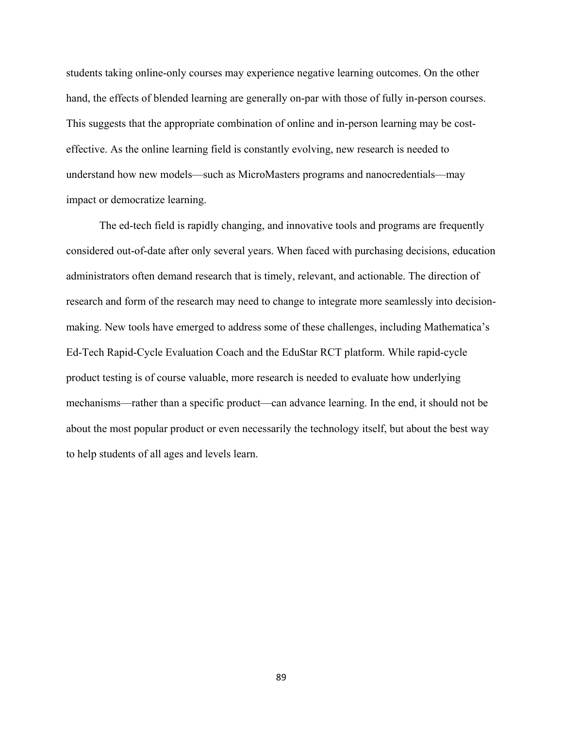students taking online-only courses may experience negative learning outcomes. On the other hand, the effects of blended learning are generally on-par with those of fully in-person courses. This suggests that the appropriate combination of online and in-person learning may be costeffective. As the online learning field is constantly evolving, new research is needed to understand how new models—such as MicroMasters programs and nanocredentials—may impact or democratize learning.

The ed-tech field is rapidly changing, and innovative tools and programs are frequently considered out-of-date after only several years. When faced with purchasing decisions, education administrators often demand research that is timely, relevant, and actionable. The direction of research and form of the research may need to change to integrate more seamlessly into decisionmaking. New tools have emerged to address some of these challenges, including Mathematica's Ed-Tech Rapid-Cycle Evaluation Coach and the EduStar RCT platform. While rapid-cycle product testing is of course valuable, more research is needed to evaluate how underlying mechanisms—rather than a specific product—can advance learning. In the end, it should not be about the most popular product or even necessarily the technology itself, but about the best way to help students of all ages and levels learn.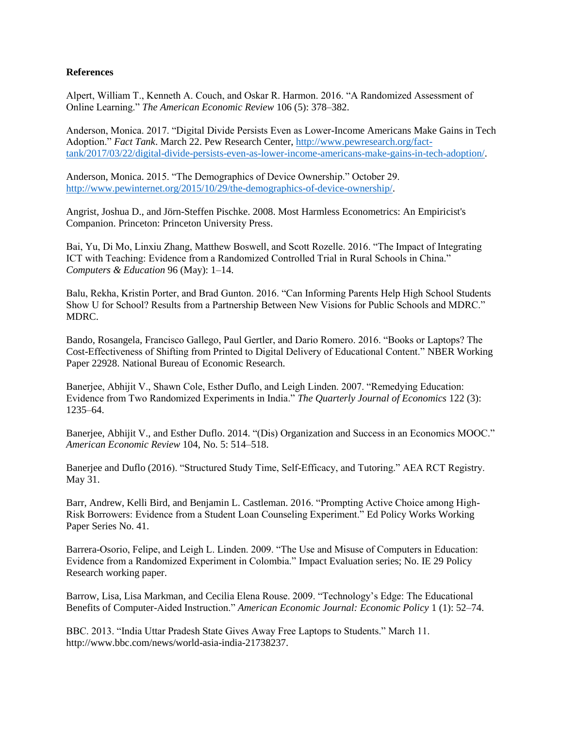### **References**

Alpert, William T., Kenneth A. Couch, and Oskar R. Harmon. 2016. "A Randomized Assessment of Online Learning." *The American Economic Review* 106 (5): 378–382.

Anderson, Monica. 2017. "Digital Divide Persists Even as Lower-Income Americans Make Gains in Tech Adoption." *Fact Tank*. March 22. Pew Research Center, [http://www.pewresearch.org/fact](http://www.pewresearch.org/fact-tank/2017/03/22/digital-divide-persists-even-as-lower-income-americans-make-gains-in-tech-adoption/)[tank/2017/03/22/digital-divide-persists-even-as-lower-income-americans-make-gains-in-tech-adoption/.](http://www.pewresearch.org/fact-tank/2017/03/22/digital-divide-persists-even-as-lower-income-americans-make-gains-in-tech-adoption/)

Anderson, Monica. 2015. "The Demographics of Device Ownership." October 29. [http://www.pewinternet.org/2015/10/29/the-demographics-of-device-ownership/.](http://www.pewinternet.org/2015/10/29/the-demographics-of-device-ownership/)

Angrist, Joshua D., and Jörn-Steffen Pischke. 2008. Most Harmless Econometrics: An Empiricist's Companion. Princeton: Princeton University Press.

Bai, Yu, Di Mo, Linxiu Zhang, Matthew Boswell, and Scott Rozelle. 2016. "The Impact of Integrating ICT with Teaching: Evidence from a Randomized Controlled Trial in Rural Schools in China." *Computers & Education* 96 (May): 1–14.

Balu, Rekha, Kristin Porter, and Brad Gunton. 2016. "Can Informing Parents Help High School Students Show U for School? Results from a Partnership Between New Visions for Public Schools and MDRC." MDRC.

Bando, Rosangela, Francisco Gallego, Paul Gertler, and Dario Romero. 2016. "Books or Laptops? The Cost-Effectiveness of Shifting from Printed to Digital Delivery of Educational Content." NBER Working Paper 22928. National Bureau of Economic Research.

Banerjee, Abhijit V., Shawn Cole, Esther Duflo, and Leigh Linden. 2007. "Remedying Education: Evidence from Two Randomized Experiments in India." *The Quarterly Journal of Economics* 122 (3): 1235–64.

Banerjee, Abhijit V., and Esther Duflo. 2014. "(Dis) Organization and Success in an Economics MOOC." *American Economic Review* 104, No. 5: 514–518.

Banerjee and Duflo (2016). "Structured Study Time, Self-Efficacy, and Tutoring." AEA RCT Registry. May 31.

Barr, Andrew, Kelli Bird, and Benjamin L. Castleman. 2016. "Prompting Active Choice among High-Risk Borrowers: Evidence from a Student Loan Counseling Experiment." Ed Policy Works Working Paper Series No. 41.

Barrera-Osorio, Felipe, and Leigh L. Linden. 2009. "The Use and Misuse of Computers in Education: Evidence from a Randomized Experiment in Colombia." Impact Evaluation series; No. IE 29 Policy Research working paper.

Barrow, Lisa, Lisa Markman, and Cecilia Elena Rouse. 2009. "Technology's Edge: The Educational Benefits of Computer-Aided Instruction." *American Economic Journal: Economic Policy* 1 (1): 52–74.

BBC. 2013. "India Uttar Pradesh State Gives Away Free Laptops to Students." March 11. http://www.bbc.com/news/world-asia-india-21738237.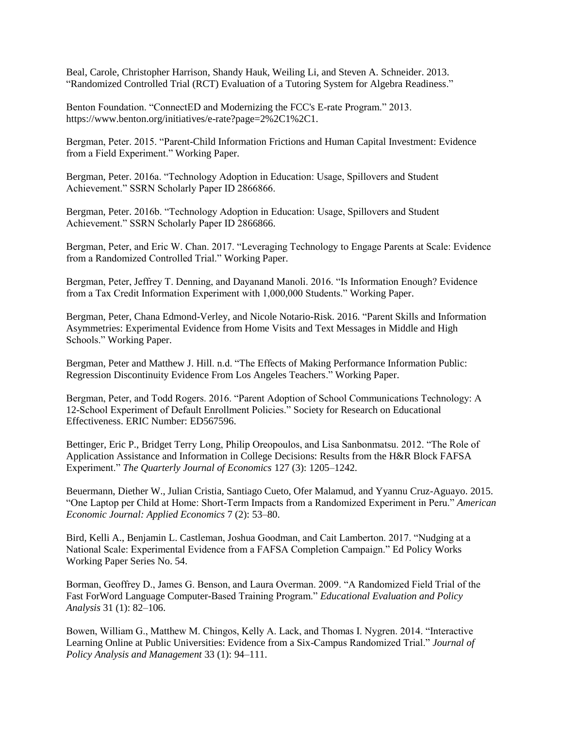Beal, Carole, Christopher Harrison, Shandy Hauk, Weiling Li, and Steven A. Schneider. 2013. "Randomized Controlled Trial (RCT) Evaluation of a Tutoring System for Algebra Readiness."

Benton Foundation. "ConnectED and Modernizing the FCC's E-rate Program." 2013. https://www.benton.org/initiatives/e-rate?page=2%2C1%2C1.

Bergman, Peter. 2015. "Parent-Child Information Frictions and Human Capital Investment: Evidence from a Field Experiment." Working Paper.

Bergman, Peter. 2016a. "Technology Adoption in Education: Usage, Spillovers and Student Achievement." SSRN Scholarly Paper ID 2866866.

Bergman, Peter. 2016b. "Technology Adoption in Education: Usage, Spillovers and Student Achievement." SSRN Scholarly Paper ID 2866866.

Bergman, Peter, and Eric W. Chan. 2017. "Leveraging Technology to Engage Parents at Scale: Evidence from a Randomized Controlled Trial." Working Paper.

Bergman, Peter, Jeffrey T. Denning, and Dayanand Manoli. 2016. "Is Information Enough? Evidence from a Tax Credit Information Experiment with 1,000,000 Students." Working Paper.

Bergman, Peter, Chana Edmond-Verley, and Nicole Notario-Risk. 2016. "Parent Skills and Information Asymmetries: Experimental Evidence from Home Visits and Text Messages in Middle and High Schools." Working Paper.

Bergman, Peter and Matthew J. Hill. n.d. "The Effects of Making Performance Information Public: Regression Discontinuity Evidence From Los Angeles Teachers." Working Paper.

Bergman, Peter, and Todd Rogers. 2016. "Parent Adoption of School Communications Technology: A 12-School Experiment of Default Enrollment Policies." Society for Research on Educational Effectiveness. ERIC Number: ED567596.

Bettinger, Eric P., Bridget Terry Long, Philip Oreopoulos, and Lisa Sanbonmatsu. 2012. "The Role of Application Assistance and Information in College Decisions: Results from the H&R Block FAFSA Experiment." *The Quarterly Journal of Economics* 127 (3): 1205–1242.

Beuermann, Diether W., Julian Cristia, Santiago Cueto, Ofer Malamud, and Yyannu Cruz-Aguayo. 2015. "One Laptop per Child at Home: Short-Term Impacts from a Randomized Experiment in Peru." *American Economic Journal: Applied Economics* 7 (2): 53–80.

Bird, Kelli A., Benjamin L. Castleman, Joshua Goodman, and Cait Lamberton. 2017. "Nudging at a National Scale: Experimental Evidence from a FAFSA Completion Campaign." Ed Policy Works Working Paper Series No. 54.

Borman, Geoffrey D., James G. Benson, and Laura Overman. 2009. "A Randomized Field Trial of the Fast ForWord Language Computer-Based Training Program." *Educational Evaluation and Policy Analysis* 31 (1): 82–106.

Bowen, William G., Matthew M. Chingos, Kelly A. Lack, and Thomas I. Nygren. 2014. "Interactive Learning Online at Public Universities: Evidence from a Six-Campus Randomized Trial." *Journal of Policy Analysis and Management* 33 (1): 94–111.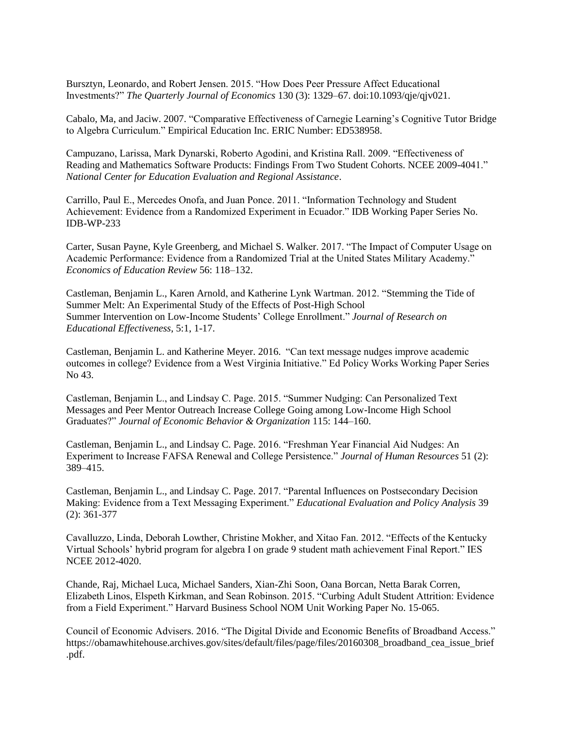Bursztyn, Leonardo, and Robert Jensen. 2015. "How Does Peer Pressure Affect Educational Investments?" *The Quarterly Journal of Economics* 130 (3): 1329–67. doi:10.1093/qje/qjv021.

Cabalo, Ma, and Jaciw. 2007. "Comparative Effectiveness of Carnegie Learning's Cognitive Tutor Bridge to Algebra Curriculum." Empirical Education Inc. ERIC Number: ED538958.

Campuzano, Larissa, Mark Dynarski, Roberto Agodini, and Kristina Rall. 2009. "Effectiveness of Reading and Mathematics Software Products: Findings From Two Student Cohorts. NCEE 2009-4041." *National Center for Education Evaluation and Regional Assistance*.

Carrillo, Paul E., Mercedes Onofa, and Juan Ponce. 2011. "Information Technology and Student Achievement: Evidence from a Randomized Experiment in Ecuador." IDB Working Paper Series No. IDB-WP-233

Carter, Susan Payne, Kyle Greenberg, and Michael S. Walker. 2017. "The Impact of Computer Usage on Academic Performance: Evidence from a Randomized Trial at the United States Military Academy." *Economics of Education Review* 56: 118–132.

Castleman, Benjamin L., Karen Arnold, and Katherine Lynk Wartman. 2012. "Stemming the Tide of Summer Melt: An Experimental Study of the Effects of Post-High School Summer Intervention on Low-Income Students' College Enrollment." *Journal of Research on Educational Effectiveness*, 5:1, 1-17.

Castleman, Benjamin L. and Katherine Meyer. 2016. "Can text message nudges improve academic outcomes in college? Evidence from a West Virginia Initiative." Ed Policy Works Working Paper Series No 43.

Castleman, Benjamin L., and Lindsay C. Page. 2015. "Summer Nudging: Can Personalized Text Messages and Peer Mentor Outreach Increase College Going among Low-Income High School Graduates?" *Journal of Economic Behavior & Organization* 115: 144–160.

Castleman, Benjamin L., and Lindsay C. Page. 2016. "Freshman Year Financial Aid Nudges: An Experiment to Increase FAFSA Renewal and College Persistence." *Journal of Human Resources* 51 (2): 389–415.

Castleman, Benjamin L., and Lindsay C. Page. 2017. "Parental Influences on Postsecondary Decision Making: Evidence from a Text Messaging Experiment." *Educational Evaluation and Policy Analysis* 39 (2): 361-377

Cavalluzzo, Linda, Deborah Lowther, Christine Mokher, and Xitao Fan. 2012. "Effects of the Kentucky Virtual Schools' hybrid program for algebra I on grade 9 student math achievement Final Report." IES NCEE 2012-4020.

Chande, Raj, Michael Luca, Michael Sanders, Xian-Zhi Soon, Oana Borcan, Netta Barak Corren, Elizabeth Linos, Elspeth Kirkman, and Sean Robinson. 2015. "Curbing Adult Student Attrition: Evidence from a Field Experiment." Harvard Business School NOM Unit Working Paper No. 15-065.

Council of Economic Advisers. 2016. "The Digital Divide and Economic Benefits of Broadband Access." https://obamawhitehouse.archives.gov/sites/default/files/page/files/20160308\_broadband\_cea\_issue\_brief .pdf.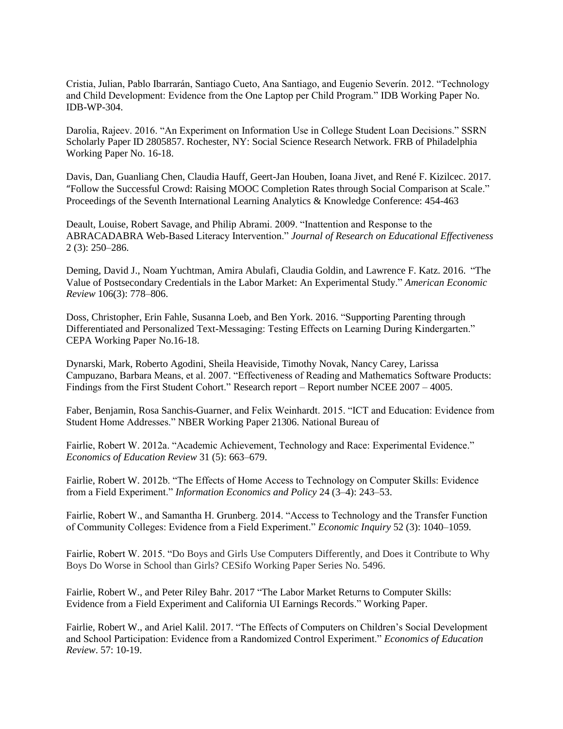Cristia, Julian, Pablo Ibarrarán, Santiago Cueto, Ana Santiago, and Eugenio Severín. 2012. "Technology and Child Development: Evidence from the One Laptop per Child Program." IDB Working Paper No. IDB-WP-304.

Darolia, Rajeev. 2016. "An Experiment on Information Use in College Student Loan Decisions." SSRN Scholarly Paper ID 2805857. Rochester, NY: Social Science Research Network. FRB of Philadelphia Working Paper No. 16-18.

Davis, Dan, Guanliang Chen, Claudia Hauff, Geert-Jan Houben, Ioana Jivet, and René F. Kizilcec. 2017. "Follow the Successful Crowd: Raising MOOC Completion Rates through Social Comparison at Scale." Proceedings of the Seventh International Learning Analytics & Knowledge Conference: 454-463

Deault, Louise, Robert Savage, and Philip Abrami. 2009. "Inattention and Response to the ABRACADABRA Web-Based Literacy Intervention." *Journal of Research on Educational Effectiveness* 2 (3): 250–286.

Deming, David J., Noam Yuchtman, Amira Abulafi, Claudia Goldin, and Lawrence F. Katz. 2016. "The Value of Postsecondary Credentials in the Labor Market: An Experimental Study." *American Economic Review* 106(3): 778–806.

Doss, Christopher, Erin Fahle, Susanna Loeb, and Ben York. 2016. "Supporting Parenting through Differentiated and Personalized Text-Messaging: Testing Effects on Learning During Kindergarten." CEPA Working Paper No.16-18.

Dynarski, Mark, Roberto Agodini, Sheila Heaviside, Timothy Novak, Nancy Carey, Larissa Campuzano, Barbara Means, et al. 2007. "Effectiveness of Reading and Mathematics Software Products: Findings from the First Student Cohort." Research report – Report number NCEE 2007 – 4005.

Faber, Benjamin, Rosa Sanchis-Guarner, and Felix Weinhardt. 2015. "ICT and Education: Evidence from Student Home Addresses." NBER Working Paper 21306. National Bureau of

Fairlie, Robert W. 2012a. "Academic Achievement, Technology and Race: Experimental Evidence." *Economics of Education Review* 31 (5): 663–679.

Fairlie, Robert W. 2012b. "The Effects of Home Access to Technology on Computer Skills: Evidence from a Field Experiment." *Information Economics and Policy* 24 (3–4): 243–53.

Fairlie, Robert W., and Samantha H. Grunberg. 2014. "Access to Technology and the Transfer Function of Community Colleges: Evidence from a Field Experiment." *Economic Inquiry* 52 (3): 1040–1059.

Fairlie, Robert W. 2015. "Do Boys and Girls Use Computers Differently, and Does it Contribute to Why Boys Do Worse in School than Girls? CESifo Working Paper Series No. 5496.

Fairlie, Robert W., and Peter Riley Bahr. 2017 "The Labor Market Returns to Computer Skills: Evidence from a Field Experiment and California UI Earnings Records." Working Paper.

Fairlie, Robert W., and Ariel Kalil. 2017. "The Effects of Computers on Children's Social Development and School Participation: Evidence from a Randomized Control Experiment." *Economics of Education Review*. 57: 10-19.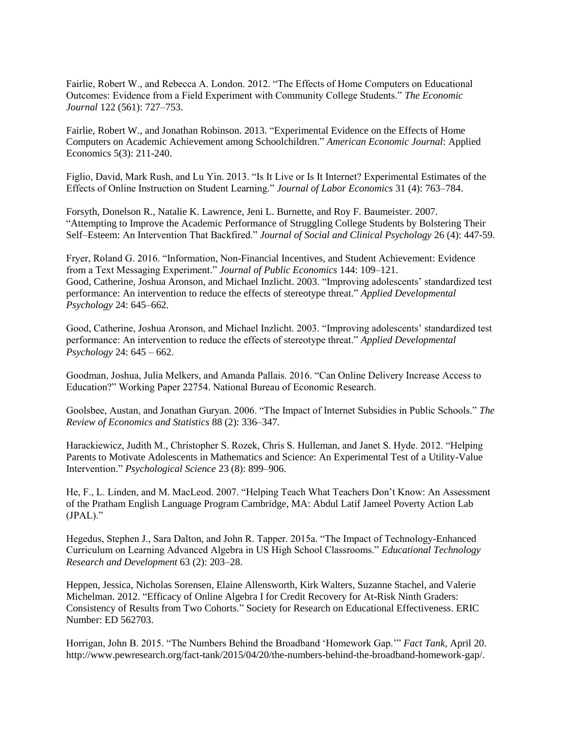Fairlie, Robert W., and Rebecca A. London. 2012. "The Effects of Home Computers on Educational Outcomes: Evidence from a Field Experiment with Community College Students." *The Economic Journal* 122 (561): 727–753.

Fairlie, Robert W., and Jonathan Robinson. 2013. "Experimental Evidence on the Effects of Home Computers on Academic Achievement among Schoolchildren." *American Economic Journal*: Applied Economics 5(3): 211-240.

Figlio, David, Mark Rush, and Lu Yin. 2013. "Is It Live or Is It Internet? Experimental Estimates of the Effects of Online Instruction on Student Learning." *Journal of Labor Economics* 31 (4): 763–784.

Forsyth, Donelson R., Natalie K. Lawrence, Jeni L. Burnette, and Roy F. Baumeister. 2007. "Attempting to Improve the Academic Performance of Struggling College Students by Bolstering Their Self–Esteem: An Intervention That Backfired." *Journal of Social and Clinical Psychology* 26 (4): 447-59.

Fryer, Roland G. 2016. "Information, Non-Financial Incentives, and Student Achievement: Evidence from a Text Messaging Experiment." *Journal of Public Economics* 144: 109–121. Good, Catherine, Joshua Aronson, and Michael Inzlicht. 2003. "Improving adolescents' standardized test performance: An intervention to reduce the effects of stereotype threat." *Applied Developmental Psychology* 24: 645–662.

Good, Catherine, Joshua Aronson, and Michael Inzlicht. 2003. "Improving adolescents' standardized test performance: An intervention to reduce the effects of stereotype threat." *Applied Developmental Psychology* 24: 645 – 662.

Goodman, Joshua, Julia Melkers, and Amanda Pallais. 2016. "Can Online Delivery Increase Access to Education?" Working Paper 22754. National Bureau of Economic Research.

Goolsbee, Austan, and Jonathan Guryan. 2006. "The Impact of Internet Subsidies in Public Schools." *The Review of Economics and Statistics* 88 (2): 336–347.

Harackiewicz, Judith M., Christopher S. Rozek, Chris S. Hulleman, and Janet S. Hyde. 2012. "Helping Parents to Motivate Adolescents in Mathematics and Science: An Experimental Test of a Utility-Value Intervention." *Psychological Science* 23 (8): 899–906.

He, F., L. Linden, and M. MacLeod. 2007. "Helping Teach What Teachers Don't Know: An Assessment of the Pratham English Language Program Cambridge, MA: Abdul Latif Jameel Poverty Action Lab (JPAL)."

Hegedus, Stephen J., Sara Dalton, and John R. Tapper. 2015a. "The Impact of Technology-Enhanced Curriculum on Learning Advanced Algebra in US High School Classrooms." *Educational Technology Research and Development* 63 (2): 203–28.

Heppen, Jessica, Nicholas Sorensen, Elaine Allensworth, Kirk Walters, Suzanne Stachel, and Valerie Michelman. 2012. "Efficacy of Online Algebra I for Credit Recovery for At-Risk Ninth Graders: Consistency of Results from Two Cohorts." Society for Research on Educational Effectiveness. ERIC Number: ED 562703.

Horrigan, John B. 2015. "The Numbers Behind the Broadband 'Homework Gap.'" *Fact Tank,* April 20. http://www.pewresearch.org/fact-tank/2015/04/20/the-numbers-behind-the-broadband-homework-gap/.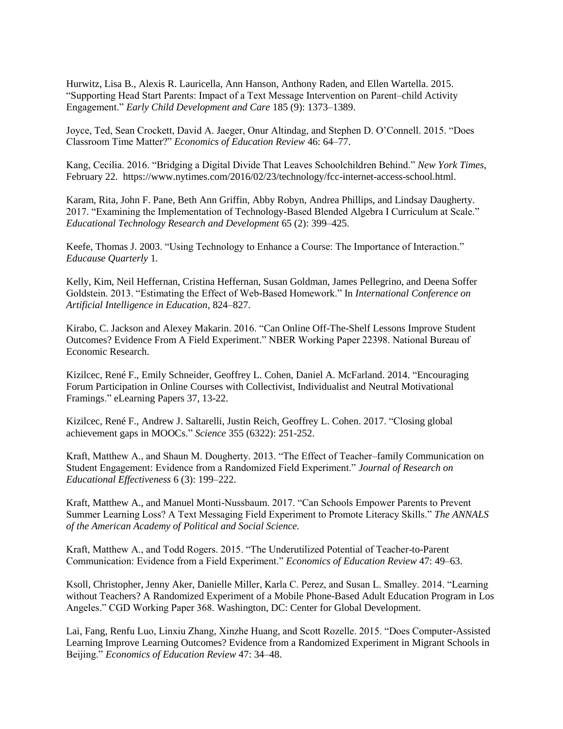Hurwitz, Lisa B., Alexis R. Lauricella, Ann Hanson, Anthony Raden, and Ellen Wartella. 2015. "Supporting Head Start Parents: Impact of a Text Message Intervention on Parent–child Activity Engagement." *Early Child Development and Care* 185 (9): 1373–1389.

Joyce, Ted, Sean Crockett, David A. Jaeger, Onur Altindag, and Stephen D. O'Connell. 2015. "Does Classroom Time Matter?" *Economics of Education Review* 46: 64–77.

Kang, Cecilia. 2016. "Bridging a Digital Divide That Leaves Schoolchildren Behind." *New York Times*, February 22. https://www.nytimes.com/2016/02/23/technology/fcc-internet-access-school.html.

Karam, Rita, John F. Pane, Beth Ann Griffin, Abby Robyn, Andrea Phillips, and Lindsay Daugherty. 2017. "Examining the Implementation of Technology-Based Blended Algebra I Curriculum at Scale." *Educational Technology Research and Development* 65 (2): 399–425.

Keefe, Thomas J. 2003. "Using Technology to Enhance a Course: The Importance of Interaction." *Educause Quarterly* 1*.* 

Kelly, Kim, Neil Heffernan, Cristina Heffernan, Susan Goldman, James Pellegrino, and Deena Soffer Goldstein. 2013. "Estimating the Effect of Web-Based Homework." In *International Conference on Artificial Intelligence in Education*, 824–827.

Kirabo, C. Jackson and Alexey Makarin. 2016. "Can Online Off-The-Shelf Lessons Improve Student Outcomes? Evidence From A Field Experiment." NBER Working Paper 22398. National Bureau of Economic Research.

Kizilcec, René F., Emily Schneider, Geoffrey L. Cohen, Daniel A. McFarland. 2014. "Encouraging Forum Participation in Online Courses with Collectivist, Individualist and Neutral Motivational Framings." eLearning Papers 37, 13-22.

Kizilcec, René F., Andrew J. Saltarelli, Justin Reich, Geoffrey L. Cohen. 2017. "Closing global achievement gaps in MOOCs." *Science* 355 (6322): 251-252.

Kraft, Matthew A., and Shaun M. Dougherty. 2013. "The Effect of Teacher–family Communication on Student Engagement: Evidence from a Randomized Field Experiment." *Journal of Research on Educational Effectiveness* 6 (3): 199–222.

Kraft, Matthew A., and Manuel Monti-Nussbaum. 2017. "Can Schools Empower Parents to Prevent Summer Learning Loss? A Text Messaging Field Experiment to Promote Literacy Skills." *The ANNALS of the American Academy of Political and Social Science.*

Kraft, Matthew A., and Todd Rogers. 2015. "The Underutilized Potential of Teacher-to-Parent Communication: Evidence from a Field Experiment." *Economics of Education Review* 47: 49–63.

Ksoll, Christopher, Jenny Aker, Danielle Miller, Karla C. Perez, and Susan L. Smalley. 2014. "Learning without Teachers? A Randomized Experiment of a Mobile Phone-Based Adult Education Program in Los Angeles." CGD Working Paper 368. Washington, DC: Center for Global Development.

Lai, Fang, Renfu Luo, Linxiu Zhang, Xinzhe Huang, and Scott Rozelle. 2015. "Does Computer-Assisted Learning Improve Learning Outcomes? Evidence from a Randomized Experiment in Migrant Schools in Beijing." *Economics of Education Review* 47: 34–48.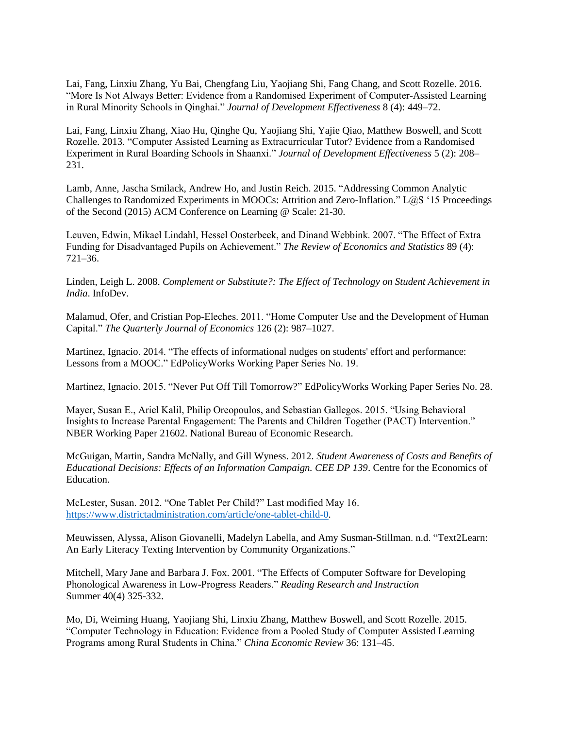Lai, Fang, Linxiu Zhang, Yu Bai, Chengfang Liu, Yaojiang Shi, Fang Chang, and Scott Rozelle. 2016. "More Is Not Always Better: Evidence from a Randomised Experiment of Computer-Assisted Learning in Rural Minority Schools in Qinghai." *Journal of Development Effectiveness* 8 (4): 449–72.

Lai, Fang, Linxiu Zhang, Xiao Hu, Qinghe Qu, Yaojiang Shi, Yajie Qiao, Matthew Boswell, and Scott Rozelle. 2013. "Computer Assisted Learning as Extracurricular Tutor? Evidence from a Randomised Experiment in Rural Boarding Schools in Shaanxi." *Journal of Development Effectiveness* 5 (2): 208– 231.

Lamb, Anne, Jascha Smilack, Andrew Ho, and Justin Reich. 2015. "Addressing Common Analytic Challenges to Randomized Experiments in MOOCs: Attrition and Zero-Inflation." L@S '15 Proceedings of the Second (2015) ACM Conference on Learning @ Scale: 21-30.

Leuven, Edwin, Mikael Lindahl, Hessel Oosterbeek, and Dinand Webbink. 2007. "The Effect of Extra Funding for Disadvantaged Pupils on Achievement." *The Review of Economics and Statistics* 89 (4): 721–36.

Linden, Leigh L. 2008. *Complement or Substitute?: The Effect of Technology on Student Achievement in India*. InfoDev.

Malamud, Ofer, and Cristian Pop-Eleches. 2011. "Home Computer Use and the Development of Human Capital." *The Quarterly Journal of Economics* 126 (2): 987–1027.

Martinez, Ignacio. 2014. "The effects of informational nudges on students' effort and performance: Lessons from a MOOC." EdPolicyWorks Working Paper Series No. 19.

Martinez, Ignacio. 2015. "Never Put Off Till Tomorrow?" EdPolicyWorks Working Paper Series No. 28.

Mayer, Susan E., Ariel Kalil, Philip Oreopoulos, and Sebastian Gallegos. 2015. "Using Behavioral Insights to Increase Parental Engagement: The Parents and Children Together (PACT) Intervention." NBER Working Paper 21602. National Bureau of Economic Research.

McGuigan, Martin, Sandra McNally, and Gill Wyness. 2012. *Student Awareness of Costs and Benefits of Educational Decisions: Effects of an Information Campaign. CEE DP 139*. Centre for the Economics of Education.

McLester, Susan. 2012. "One Tablet Per Child?" Last modified May 16. [https://www.districtadministration.com/article/one-tablet-child-0.](https://www.districtadministration.com/article/one-tablet-child-0)

Meuwissen, Alyssa, Alison Giovanelli, Madelyn Labella, and Amy Susman-Stillman. n.d. "Text2Learn: An Early Literacy Texting Intervention by Community Organizations."

Mitchell, Mary Jane and Barbara J. Fox. 2001. "The Effects of Computer Software for Developing Phonological Awareness in Low-Progress Readers." *Reading Research and Instruction* Summer 40(4) 325-332.

Mo, Di, Weiming Huang, Yaojiang Shi, Linxiu Zhang, Matthew Boswell, and Scott Rozelle. 2015. "Computer Technology in Education: Evidence from a Pooled Study of Computer Assisted Learning Programs among Rural Students in China." *China Economic Review* 36: 131–45.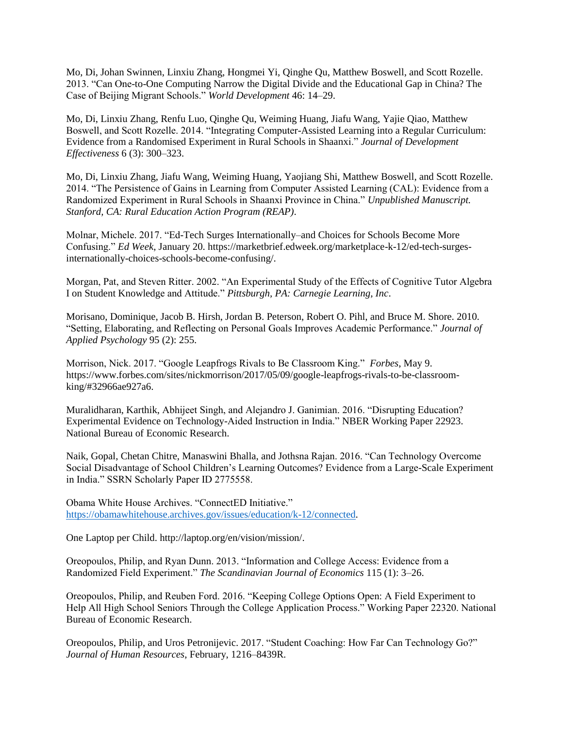Mo, Di, Johan Swinnen, Linxiu Zhang, Hongmei Yi, Qinghe Qu, Matthew Boswell, and Scott Rozelle. 2013. "Can One-to-One Computing Narrow the Digital Divide and the Educational Gap in China? The Case of Beijing Migrant Schools." *World Development* 46: 14–29.

Mo, Di, Linxiu Zhang, Renfu Luo, Qinghe Qu, Weiming Huang, Jiafu Wang, Yajie Qiao, Matthew Boswell, and Scott Rozelle. 2014. "Integrating Computer-Assisted Learning into a Regular Curriculum: Evidence from a Randomised Experiment in Rural Schools in Shaanxi." *Journal of Development Effectiveness* 6 (3): 300–323.

Mo, Di, Linxiu Zhang, Jiafu Wang, Weiming Huang, Yaojiang Shi, Matthew Boswell, and Scott Rozelle. 2014. "The Persistence of Gains in Learning from Computer Assisted Learning (CAL): Evidence from a Randomized Experiment in Rural Schools in Shaanxi Province in China." *Unpublished Manuscript. Stanford, CA: Rural Education Action Program (REAP)*.

Molnar, Michele. 2017. "Ed-Tech Surges Internationally–and Choices for Schools Become More Confusing." *Ed Week*, January 20. https://marketbrief.edweek.org/marketplace-k-12/ed-tech-surgesinternationally-choices-schools-become-confusing/.

Morgan, Pat, and Steven Ritter. 2002. "An Experimental Study of the Effects of Cognitive Tutor Algebra I on Student Knowledge and Attitude." *Pittsburgh, PA: Carnegie Learning, Inc*.

Morisano, Dominique, Jacob B. Hirsh, Jordan B. Peterson, Robert O. Pihl, and Bruce M. Shore. 2010. "Setting, Elaborating, and Reflecting on Personal Goals Improves Academic Performance." *Journal of Applied Psychology* 95 (2): 255.

Morrison, Nick. 2017. "Google Leapfrogs Rivals to Be Classroom King." *Forbes*, May 9. https://www.forbes.com/sites/nickmorrison/2017/05/09/google-leapfrogs-rivals-to-be-classroomking/#32966ae927a6.

Muralidharan, Karthik, Abhijeet Singh, and Alejandro J. Ganimian. 2016. "Disrupting Education? Experimental Evidence on Technology-Aided Instruction in India." NBER Working Paper 22923. National Bureau of Economic Research.

Naik, Gopal, Chetan Chitre, Manaswini Bhalla, and Jothsna Rajan. 2016. "Can Technology Overcome Social Disadvantage of School Children's Learning Outcomes? Evidence from a Large-Scale Experiment in India." SSRN Scholarly Paper ID 2775558.

Obama White House Archives. "ConnectED Initiative." [https://obamawhitehouse.archives.gov/issues/education/k-12/connected.](https://obamawhitehouse.archives.gov/issues/education/k-12/connected)

One Laptop per Child. http://laptop.org/en/vision/mission/.

Oreopoulos, Philip, and Ryan Dunn. 2013. "Information and College Access: Evidence from a Randomized Field Experiment." *The Scandinavian Journal of Economics* 115 (1): 3–26.

Oreopoulos, Philip, and Reuben Ford. 2016. "Keeping College Options Open: A Field Experiment to Help All High School Seniors Through the College Application Process." Working Paper 22320. National Bureau of Economic Research.

Oreopoulos, Philip, and Uros Petronijevic. 2017. "Student Coaching: How Far Can Technology Go?" *Journal of Human Resources*, February, 1216–8439R.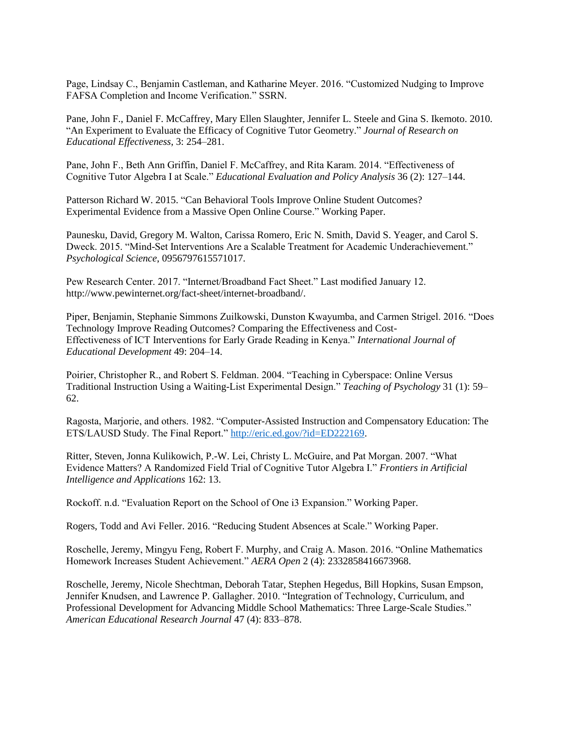Page, Lindsay C., Benjamin Castleman, and Katharine Meyer. 2016. "Customized Nudging to Improve FAFSA Completion and Income Verification." SSRN.

Pane, John F., Daniel F. McCaffrey, Mary Ellen Slaughter, Jennifer L. Steele and Gina S. Ikemoto. 2010. "An Experiment to Evaluate the Efficacy of Cognitive Tutor Geometry." *Journal of Research on Educational Effectiveness*, 3: 254–281.

Pane, John F., Beth Ann Griffin, Daniel F. McCaffrey, and Rita Karam. 2014. "Effectiveness of Cognitive Tutor Algebra I at Scale." *Educational Evaluation and Policy Analysis* 36 (2): 127–144.

Patterson Richard W. 2015. "Can Behavioral Tools Improve Online Student Outcomes? Experimental Evidence from a Massive Open Online Course." Working Paper.

Paunesku, David, Gregory M. Walton, Carissa Romero, Eric N. Smith, David S. Yeager, and Carol S. Dweck. 2015. "Mind-Set Interventions Are a Scalable Treatment for Academic Underachievement." *Psychological Science*, 0956797615571017.

Pew Research Center. 2017. "Internet/Broadband Fact Sheet." Last modified January 12. http://www.pewinternet.org/fact-sheet/internet-broadband/.

Piper, Benjamin, Stephanie Simmons Zuilkowski, Dunston Kwayumba, and Carmen Strigel. 2016. "Does Technology Improve Reading Outcomes? Comparing the Effectiveness and Cost-Effectiveness of ICT Interventions for Early Grade Reading in Kenya." *International Journal of Educational Development* 49: 204–14.

Poirier, Christopher R., and Robert S. Feldman. 2004. "Teaching in Cyberspace: Online Versus Traditional Instruction Using a Waiting-List Experimental Design." *Teaching of Psychology* 31 (1): 59– 62.

Ragosta, Marjorie, and others. 1982. "Computer-Assisted Instruction and Compensatory Education: The ETS/LAUSD Study. The Final Report.[" http://eric.ed.gov/?id=ED222169.](http://eric.ed.gov/?id=ED222169)

Ritter, Steven, Jonna Kulikowich, P.-W. Lei, Christy L. McGuire, and Pat Morgan. 2007. "What Evidence Matters? A Randomized Field Trial of Cognitive Tutor Algebra I." *Frontiers in Artificial Intelligence and Applications* 162: 13.

Rockoff. n.d. "Evaluation Report on the School of One i3 Expansion." Working Paper.

Rogers, Todd and Avi Feller. 2016. "Reducing Student Absences at Scale." Working Paper.

Roschelle, Jeremy, Mingyu Feng, Robert F. Murphy, and Craig A. Mason. 2016. "Online Mathematics Homework Increases Student Achievement." *AERA Open* 2 (4): 2332858416673968.

Roschelle, Jeremy, Nicole Shechtman, Deborah Tatar, Stephen Hegedus, Bill Hopkins, Susan Empson, Jennifer Knudsen, and Lawrence P. Gallagher. 2010. "Integration of Technology, Curriculum, and Professional Development for Advancing Middle School Mathematics: Three Large-Scale Studies." *American Educational Research Journal* 47 (4): 833–878.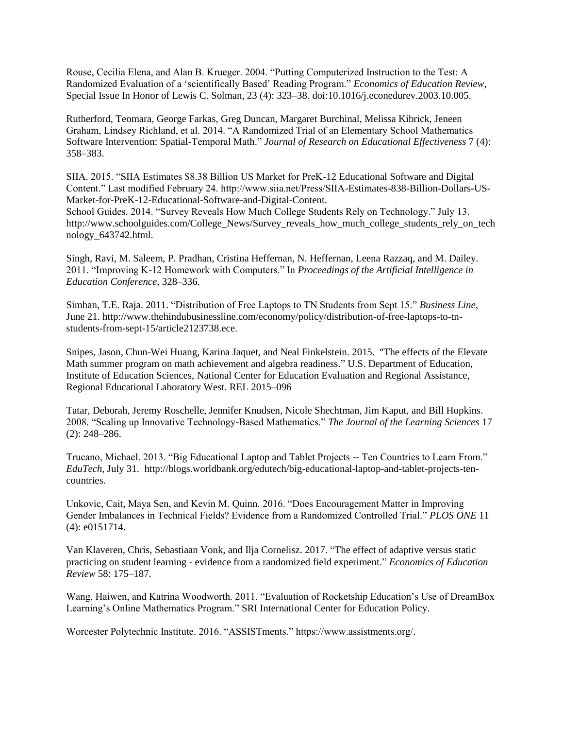Rouse, Cecilia Elena, and Alan B. Krueger. 2004. "Putting Computerized Instruction to the Test: A Randomized Evaluation of a 'scientifically Based' Reading Program." *Economics of Education Review*, Special Issue In Honor of Lewis C. Solman, 23 (4): 323–38. doi:10.1016/j.econedurev.2003.10.005.

Rutherford, Teomara, George Farkas, Greg Duncan, Margaret Burchinal, Melissa Kibrick, Jeneen Graham, Lindsey Richland, et al. 2014. "A Randomized Trial of an Elementary School Mathematics Software Intervention: Spatial-Temporal Math." *Journal of Research on Educational Effectiveness* 7 (4): 358–383.

SIIA. 2015. "SIIA Estimates \$8.38 Billion US Market for PreK-12 Educational Software and Digital Content." Last modified February 24. http://www.siia.net/Press/SIIA-Estimates-838-Billion-Dollars-US-Market-for-PreK-12-Educational-Software-and-Digital-Content.

School Guides. 2014. "Survey Reveals How Much College Students Rely on Technology." July 13. http://www.schoolguides.com/College\_News/Survey\_reveals\_how\_much\_college\_students\_rely\_on\_tech nology\_643742.html.

Singh, Ravi, M. Saleem, P. Pradhan, Cristina Heffernan, N. Heffernan, Leena Razzaq, and M. Dailey. 2011. "Improving K-12 Homework with Computers." In *Proceedings of the Artificial Intelligence in Education Conference*, 328–336.

Simhan, T.E. Raja. 2011. "Distribution of Free Laptops to TN Students from Sept 15." *Business Line*, June 21. http://www.thehindubusinessline.com/economy/policy/distribution-of-free-laptops-to-tnstudents-from-sept-15/article2123738.ece.

Snipes, Jason, Chun-Wei Huang, Karina Jaquet, and Neal Finkelstein. 2015. "The effects of the Elevate Math summer program on math achievement and algebra readiness." U.S. Department of Education, Institute of Education Sciences, National Center for Education Evaluation and Regional Assistance, Regional Educational Laboratory West. REL 2015–096

Tatar, Deborah, Jeremy Roschelle, Jennifer Knudsen, Nicole Shechtman, Jim Kaput, and Bill Hopkins. 2008. "Scaling up Innovative Technology-Based Mathematics." *The Journal of the Learning Sciences* 17 (2): 248–286.

Trucano, Michael. 2013. "Big Educational Laptop and Tablet Projects -- Ten Countries to Learn From." *EduTech*, July 31. http://blogs.worldbank.org/edutech/big-educational-laptop-and-tablet-projects-tencountries.

Unkovic, Cait, Maya Sen, and Kevin M. Quinn. 2016. "Does Encouragement Matter in Improving Gender Imbalances in Technical Fields? Evidence from a Randomized Controlled Trial." *PLOS ONE* 11 (4): e0151714.

Van Klaveren, Chris, Sebastiaan Vonk, and Ilja Cornelisz. 2017. "The effect of adaptive versus static practicing on student learning - evidence from a randomized field experiment." *Economics of Education Review* 58: 175–187.

Wang, Haiwen, and Katrina Woodworth. 2011. "Evaluation of Rocketship Education's Use of DreamBox Learning's Online Mathematics Program." SRI International Center for Education Policy.

Worcester Polytechnic Institute. 2016. "ASSISTments." https://www.assistments.org/.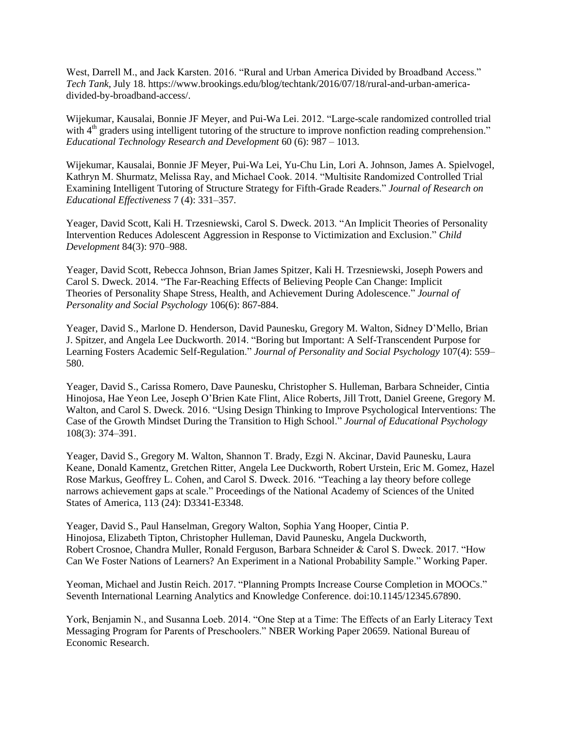West, Darrell M., and Jack Karsten. 2016. "Rural and Urban America Divided by Broadband Access." *Tech Tank*, July 18. https://www.brookings.edu/blog/techtank/2016/07/18/rural-and-urban-americadivided-by-broadband-access/.

Wijekumar, Kausalai, Bonnie JF Meyer, and Pui-Wa Lei. 2012. "Large-scale randomized controlled trial with 4<sup>th</sup> graders using intelligent tutoring of the structure to improve nonfiction reading comprehension." *Educational Technology Research and Development* 60 (6): 987 – 1013.

Wijekumar, Kausalai, Bonnie JF Meyer, Pui-Wa Lei, Yu-Chu Lin, Lori A. Johnson, James A. Spielvogel, Kathryn M. Shurmatz, Melissa Ray, and Michael Cook. 2014. "Multisite Randomized Controlled Trial Examining Intelligent Tutoring of Structure Strategy for Fifth-Grade Readers." *Journal of Research on Educational Effectiveness* 7 (4): 331–357.

Yeager, David Scott, Kali H. Trzesniewski, Carol S. Dweck. 2013. "An Implicit Theories of Personality Intervention Reduces Adolescent Aggression in Response to Victimization and Exclusion." *Child Development* 84(3): 970–988.

Yeager, David Scott, Rebecca Johnson, Brian James Spitzer, Kali H. Trzesniewski, Joseph Powers and Carol S. Dweck. 2014. "The Far-Reaching Effects of Believing People Can Change: Implicit Theories of Personality Shape Stress, Health, and Achievement During Adolescence." *Journal of Personality and Social Psychology* 106(6): 867-884.

Yeager, David S., Marlone D. Henderson, David Paunesku, Gregory M. Walton, Sidney D'Mello, Brian J. Spitzer, and Angela Lee Duckworth. 2014. "Boring but Important: A Self-Transcendent Purpose for Learning Fosters Academic Self-Regulation." *Journal of Personality and Social Psychology* 107(4): 559– 580.

Yeager, David S., Carissa Romero, Dave Paunesku, Christopher S. Hulleman, Barbara Schneider, Cintia Hinojosa, Hae Yeon Lee, Joseph O'Brien Kate Flint, Alice Roberts, Jill Trott, Daniel Greene, Gregory M. Walton, and Carol S. Dweck. 2016. "Using Design Thinking to Improve Psychological Interventions: The Case of the Growth Mindset During the Transition to High School." *Journal of Educational Psychology* 108(3): 374–391.

Yeager, David S., Gregory M. Walton, Shannon T. Brady, Ezgi N. Akcinar, David Paunesku, Laura Keane, Donald Kamentz, Gretchen Ritter, Angela Lee Duckworth, Robert Urstein, Eric M. Gomez, Hazel Rose Markus, Geoffrey L. Cohen, and Carol S. Dweck. 2016. "Teaching a lay theory before college narrows achievement gaps at scale." Proceedings of the National Academy of Sciences of the United States of America, 113 (24): D3341-E3348.

Yeager, David S., Paul Hanselman, Gregory Walton, Sophia Yang Hooper, Cintia P. Hinojosa, Elizabeth Tipton, Christopher Hulleman, David Paunesku, Angela Duckworth, Robert Crosnoe, Chandra Muller, Ronald Ferguson, Barbara Schneider & Carol S. Dweck. 2017. "How Can We Foster Nations of Learners? An Experiment in a National Probability Sample." Working Paper.

Yeoman, Michael and Justin Reich. 2017. "Planning Prompts Increase Course Completion in MOOCs." Seventh International Learning Analytics and Knowledge Conference. doi:10.1145/12345.67890.

York, Benjamin N., and Susanna Loeb. 2014. "One Step at a Time: The Effects of an Early Literacy Text Messaging Program for Parents of Preschoolers." NBER Working Paper 20659. National Bureau of Economic Research.